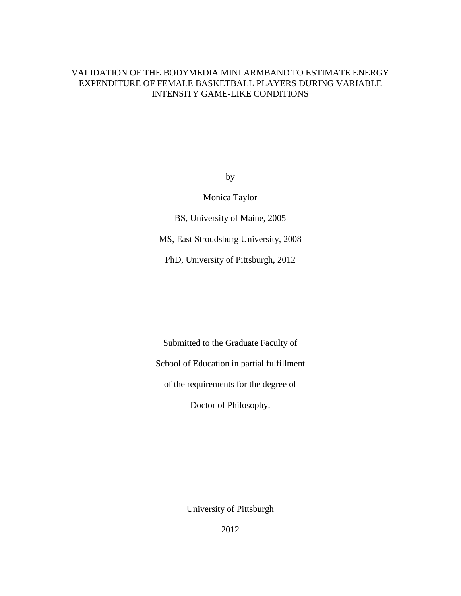# VALIDATION OF THE BODYMEDIA MINI ARMBAND TO ESTIMATE ENERGY EXPENDITURE OF FEMALE BASKETBALL PLAYERS DURING VARIABLE INTENSITY GAME-LIKE CONDITIONS

by

Monica Taylor

BS, University of Maine, 2005

MS, East Stroudsburg University, 2008

PhD, University of Pittsburgh, 2012

Submitted to the Graduate Faculty of School of Education in partial fulfillment

of the requirements for the degree of

Doctor of Philosophy.

University of Pittsburgh

2012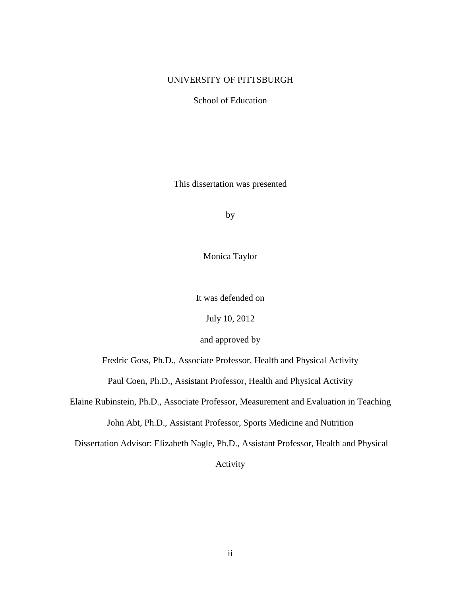# UNIVERSITY OF PITTSBURGH

School of Education

This dissertation was presented

by

Monica Taylor

It was defended on

July 10, 2012

and approved by

Fredric Goss, Ph.D., Associate Professor, Health and Physical Activity

Paul Coen, Ph.D., Assistant Professor, Health and Physical Activity

Elaine Rubinstein, Ph.D., Associate Professor, Measurement and Evaluation in Teaching

John Abt, Ph.D., Assistant Professor, Sports Medicine and Nutrition

Dissertation Advisor: Elizabeth Nagle, Ph.D., Assistant Professor, Health and Physical

Activity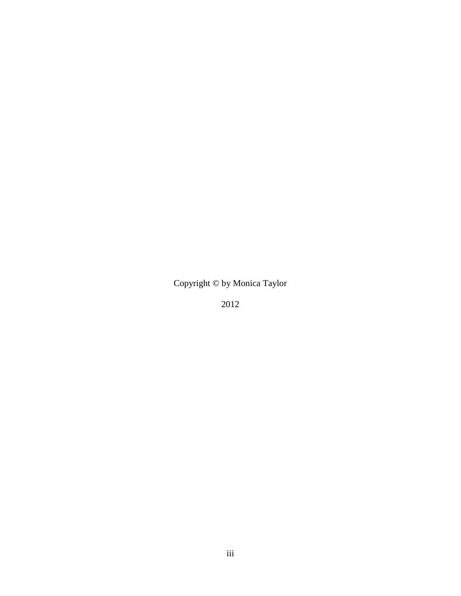Copyright © by Monica Taylor

2012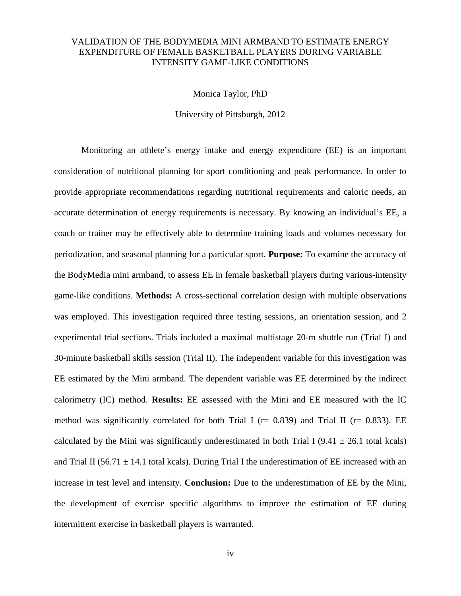# VALIDATION OF THE BODYMEDIA MINI ARMBAND TO ESTIMATE ENERGY EXPENDITURE OF FEMALE BASKETBALL PLAYERS DURING VARIABLE INTENSITY GAME-LIKE CONDITIONS

Monica Taylor, PhD

University of Pittsburgh, 2012

Monitoring an athlete's energy intake and energy expenditure (EE) is an important consideration of nutritional planning for sport conditioning and peak performance. In order to provide appropriate recommendations regarding nutritional requirements and caloric needs, an accurate determination of energy requirements is necessary. By knowing an individual's EE, a coach or trainer may be effectively able to determine training loads and volumes necessary for periodization, and seasonal planning for a particular sport. **Purpose:** To examine the accuracy of the BodyMedia mini armband, to assess EE in female basketball players during various-intensity game-like conditions. **Methods:** A cross-sectional correlation design with multiple observations was employed. This investigation required three testing sessions, an orientation session, and 2 experimental trial sections. Trials included a maximal multistage 20-m shuttle run (Trial I) and 30-minute basketball skills session (Trial II). The independent variable for this investigation was EE estimated by the Mini armband. The dependent variable was EE determined by the indirect calorimetry (IC) method. **Results:** EE assessed with the Mini and EE measured with the IC method was significantly correlated for both Trial I ( $r= 0.839$ ) and Trial II ( $r= 0.833$ ). EE calculated by the Mini was significantly underestimated in both Trial I (9.41  $\pm$  26.1 total kcals) and Trial II (56.71  $\pm$  14.1 total kcals). During Trial I the underestimation of EE increased with an increase in test level and intensity. **Conclusion:** Due to the underestimation of EE by the Mini, the development of exercise specific algorithms to improve the estimation of EE during intermittent exercise in basketball players is warranted.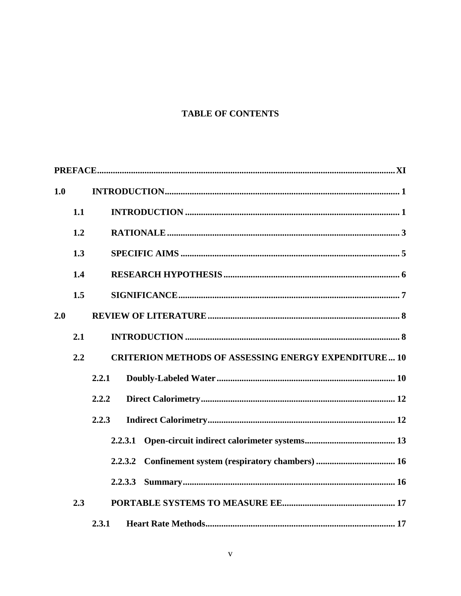# **TABLE OF CONTENTS**

| 1.0 |     |                                                            |
|-----|-----|------------------------------------------------------------|
|     | 1.1 |                                                            |
|     | 1.2 |                                                            |
|     | 1.3 |                                                            |
|     | 1.4 |                                                            |
|     | 1.5 |                                                            |
| 2.0 |     |                                                            |
|     | 2.1 |                                                            |
|     | 2.2 | <b>CRITERION METHODS OF ASSESSING ENERGY EXPENDITURE10</b> |
|     |     | 2.2.1                                                      |
|     |     | 2.2.2                                                      |
|     |     | 2.2.3                                                      |
|     |     | 2.2.3.1                                                    |
|     |     | 2.2.3.2                                                    |
|     |     |                                                            |
|     | 2.3 |                                                            |
|     |     | 2.3.1                                                      |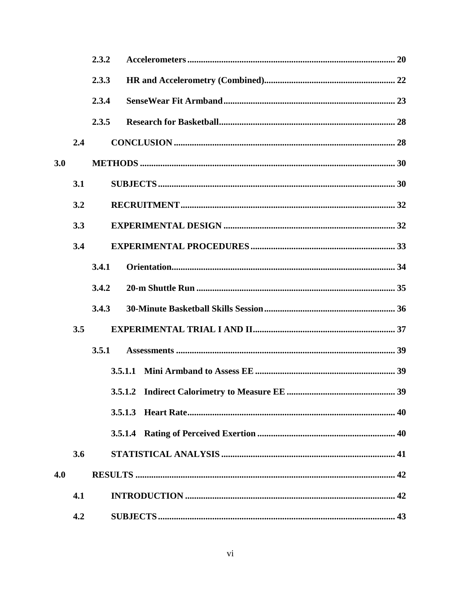|     |     | 2.3.2 |         |
|-----|-----|-------|---------|
|     |     | 2.3.3 |         |
|     |     | 2.3.4 |         |
|     |     | 2.3.5 |         |
|     | 2.4 |       |         |
| 3.0 |     |       |         |
|     | 3.1 |       |         |
|     | 3.2 |       |         |
|     | 3.3 |       |         |
|     | 3.4 |       |         |
|     |     | 3.4.1 |         |
|     |     | 3.4.2 |         |
|     |     | 3.4.3 |         |
|     | 3.5 |       |         |
|     |     | 3.5.1 |         |
|     |     |       |         |
|     |     |       |         |
|     |     |       | 3.5.1.3 |
|     |     |       |         |
|     | 3.6 |       |         |
| 4.0 |     |       |         |
|     | 4.1 |       |         |
|     | 4.2 |       |         |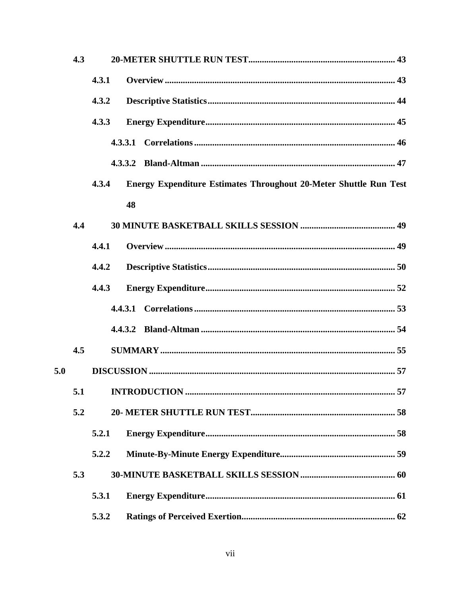|     | 4.3 |       |                                                                          |  |
|-----|-----|-------|--------------------------------------------------------------------------|--|
|     |     | 4.3.1 |                                                                          |  |
|     |     | 4.3.2 |                                                                          |  |
|     |     | 4.3.3 |                                                                          |  |
|     |     |       | 4.3.3.1                                                                  |  |
|     |     |       |                                                                          |  |
|     |     | 4.3.4 | <b>Energy Expenditure Estimates Throughout 20-Meter Shuttle Run Test</b> |  |
|     |     |       | 48                                                                       |  |
|     | 4.4 |       |                                                                          |  |
|     |     | 4.4.1 |                                                                          |  |
|     |     | 4.4.2 |                                                                          |  |
|     |     | 4.4.3 |                                                                          |  |
|     |     |       | 4.4.3.1                                                                  |  |
|     |     |       | 4.4.3.2                                                                  |  |
|     | 4.5 |       |                                                                          |  |
| 5.0 |     |       |                                                                          |  |
|     |     |       |                                                                          |  |
|     | 5.2 |       |                                                                          |  |
|     |     | 5.2.1 |                                                                          |  |
|     |     | 5.2.2 |                                                                          |  |
|     | 5.3 |       |                                                                          |  |
|     |     | 5.3.1 |                                                                          |  |
|     |     | 5.3.2 |                                                                          |  |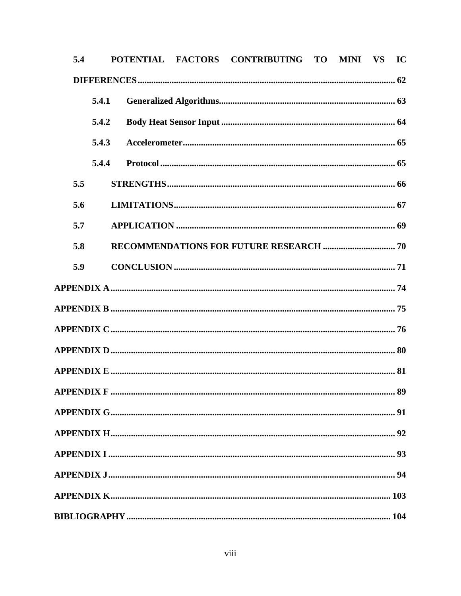| 5.4 |       |  | POTENTIAL FACTORS CONTRIBUTING TO MINI VS |  | IC |
|-----|-------|--|-------------------------------------------|--|----|
|     |       |  |                                           |  |    |
|     | 5.4.1 |  |                                           |  |    |
|     | 5.4.2 |  |                                           |  |    |
|     | 5.4.3 |  |                                           |  |    |
|     | 5.4.4 |  |                                           |  |    |
| 5.5 |       |  |                                           |  |    |
| 5.6 |       |  |                                           |  |    |
| 5.7 |       |  |                                           |  |    |
| 5.8 |       |  |                                           |  |    |
| 5.9 |       |  |                                           |  |    |
|     |       |  |                                           |  |    |
|     |       |  |                                           |  |    |
|     |       |  |                                           |  |    |
|     |       |  |                                           |  |    |
|     |       |  |                                           |  |    |
|     |       |  |                                           |  |    |
|     |       |  |                                           |  |    |
|     |       |  |                                           |  |    |
|     |       |  |                                           |  |    |
|     |       |  |                                           |  |    |
|     |       |  |                                           |  |    |
|     |       |  |                                           |  |    |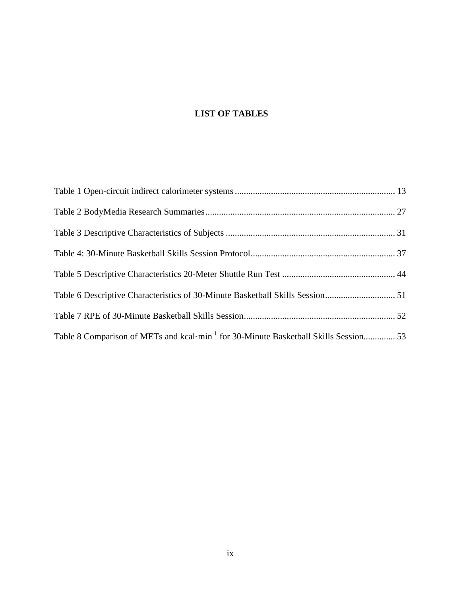# **LIST OF TABLES**

| Table 6 Descriptive Characteristics of 30-Minute Basketball Skills Session 51                    |  |
|--------------------------------------------------------------------------------------------------|--|
|                                                                                                  |  |
| Table 8 Comparison of METs and kcal·min <sup>-1</sup> for 30-Minute Basketball Skills Session 53 |  |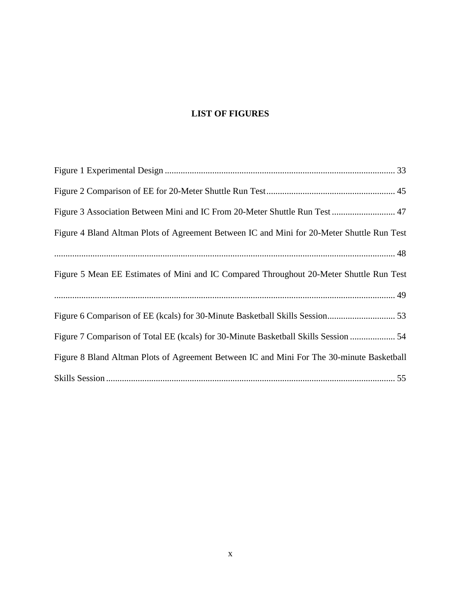# **LIST OF FIGURES**

| Figure 3 Association Between Mini and IC From 20-Meter Shuttle Run Test  47                |
|--------------------------------------------------------------------------------------------|
| Figure 4 Bland Altman Plots of Agreement Between IC and Mini for 20-Meter Shuttle Run Test |
|                                                                                            |
| Figure 5 Mean EE Estimates of Mini and IC Compared Throughout 20-Meter Shuttle Run Test    |
|                                                                                            |
|                                                                                            |
| Figure 7 Comparison of Total EE (kcals) for 30-Minute Basketball Skills Session  54        |
| Figure 8 Bland Altman Plots of Agreement Between IC and Mini For The 30-minute Basketball  |
|                                                                                            |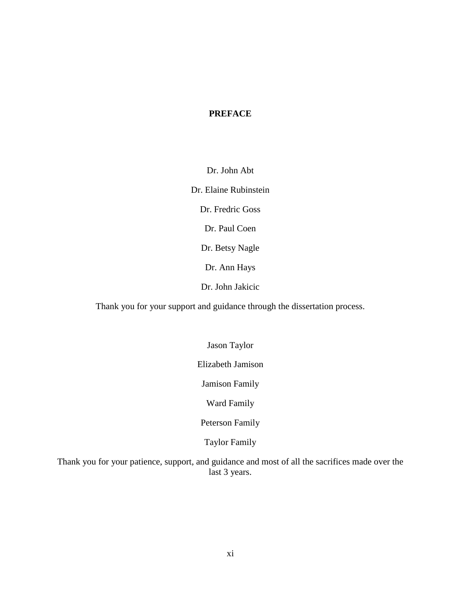# <span id="page-10-0"></span>**PREFACE**

Dr. John Abt

Dr. Elaine Rubinstein

Dr. Fredric Goss

Dr. Paul Coen

Dr. Betsy Nagle

Dr. Ann Hays

Dr. John Jakicic

Thank you for your support and guidance through the dissertation process.

Jason Taylor

Elizabeth Jamison

Jamison Family

Ward Family

Peterson Family

Taylor Family

Thank you for your patience, support, and guidance and most of all the sacrifices made over the last 3 years.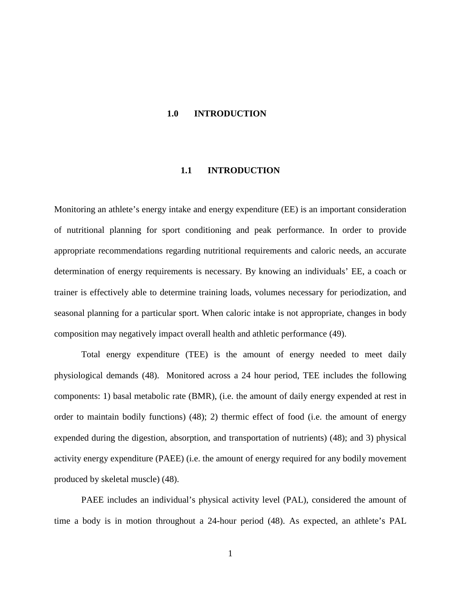#### <span id="page-11-0"></span>**1.0 INTRODUCTION**

#### **1.1 INTRODUCTION**

<span id="page-11-1"></span>Monitoring an athlete's energy intake and energy expenditure (EE) is an important consideration of nutritional planning for sport conditioning and peak performance. In order to provide appropriate recommendations regarding nutritional requirements and caloric needs, an accurate determination of energy requirements is necessary. By knowing an individuals' EE, a coach or trainer is effectively able to determine training loads, volumes necessary for periodization, and seasonal planning for a particular sport. When caloric intake is not appropriate, changes in body composition may negatively impact overall health and athletic performance (49).

Total energy expenditure (TEE) is the amount of energy needed to meet daily physiological demands (48). Monitored across a 24 hour period, TEE includes the following components: 1) basal metabolic rate (BMR), (i.e. the amount of daily energy expended at rest in order to maintain bodily functions) (48); 2) thermic effect of food (i.e. the amount of energy expended during the digestion, absorption, and transportation of nutrients) (48); and 3) physical activity energy expenditure (PAEE) (i.e. the amount of energy required for any bodily movement produced by skeletal muscle) (48).

PAEE includes an individual's physical activity level (PAL), considered the amount of time a body is in motion throughout a 24-hour period (48). As expected, an athlete's PAL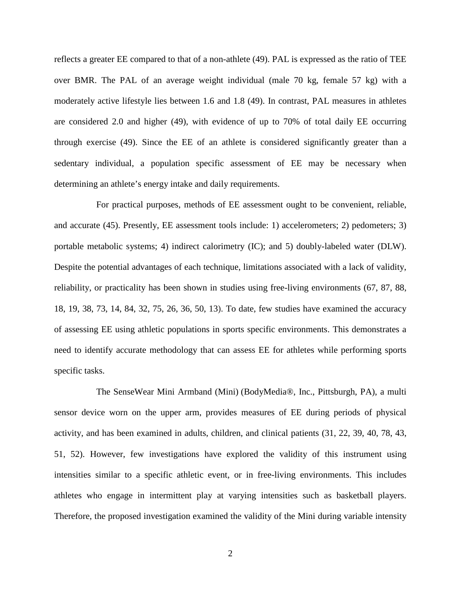reflects a greater EE compared to that of a non-athlete (49). PAL is expressed as the ratio of TEE over BMR. The PAL of an average weight individual (male 70 kg, female 57 kg) with a moderately active lifestyle lies between 1.6 and 1.8 (49). In contrast, PAL measures in athletes are considered 2.0 and higher (49), with evidence of up to 70% of total daily EE occurring through exercise (49). Since the EE of an athlete is considered significantly greater than a sedentary individual, a population specific assessment of EE may be necessary when determining an athlete's energy intake and daily requirements.

For practical purposes, methods of EE assessment ought to be convenient, reliable, and accurate (45). Presently, EE assessment tools include: 1) accelerometers; 2) pedometers; 3) portable metabolic systems; 4) indirect calorimetry (IC); and 5) doubly-labeled water (DLW). Despite the potential advantages of each technique, limitations associated with a lack of validity, reliability, or practicality has been shown in studies using free-living environments (67, 87, 88, 18, 19, 38, 73, 14, 84, 32, 75, 26, 36, 50, 13). To date, few studies have examined the accuracy of assessing EE using athletic populations in sports specific environments. This demonstrates a need to identify accurate methodology that can assess EE for athletes while performing sports specific tasks.

The SenseWear Mini Armband (Mini) (BodyMedia®, Inc., Pittsburgh, PA), a multi sensor device worn on the upper arm, provides measures of EE during periods of physical activity, and has been examined in adults, children, and clinical patients (31, 22, 39, 40, 78, 43, 51, 52). However, few investigations have explored the validity of this instrument using intensities similar to a specific athletic event, or in free-living environments. This includes athletes who engage in intermittent play at varying intensities such as basketball players. Therefore, the proposed investigation examined the validity of the Mini during variable intensity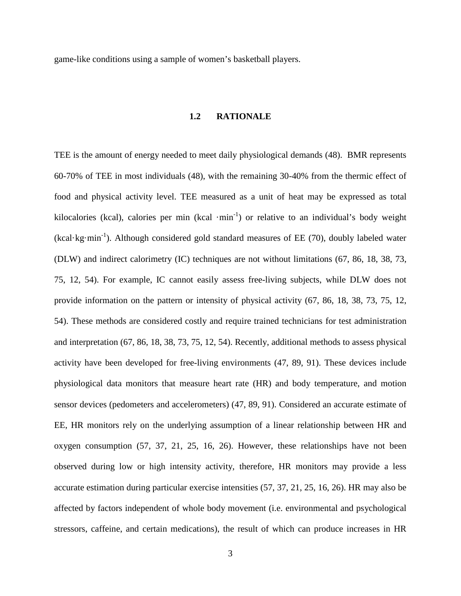<span id="page-13-0"></span>game-like conditions using a sample of women's basketball players.

# **1.2 RATIONALE**

TEE is the amount of energy needed to meet daily physiological demands (48). BMR represents 60-70% of TEE in most individuals (48), with the remaining 30-40% from the thermic effect of food and physical activity level. TEE measured as a unit of heat may be expressed as total kilocalories (kcal), calories per min (kcal ·min<sup>-1</sup>) or relative to an individual's body weight  $(kcal \cdot kg·min^{-1})$ . Although considered gold standard measures of EE (70), doubly labeled water (DLW) and indirect calorimetry (IC) techniques are not without limitations (67, 86, 18, 38, 73, 75, 12, 54). For example, IC cannot easily assess free-living subjects, while DLW does not provide information on the pattern or intensity of physical activity (67, 86, 18, 38, 73, 75, 12, 54). These methods are considered costly and require trained technicians for test administration and interpretation (67, 86, 18, 38, 73, 75, 12, 54). Recently, additional methods to assess physical activity have been developed for free-living environments (47, 89, 91). These devices include physiological data monitors that measure heart rate (HR) and body temperature, and motion sensor devices (pedometers and accelerometers) (47, 89, 91). Considered an accurate estimate of EE, HR monitors rely on the underlying assumption of a linear relationship between HR and oxygen consumption (57, 37, 21, 25, 16, 26). However, these relationships have not been observed during low or high intensity activity, therefore, HR monitors may provide a less accurate estimation during particular exercise intensities (57, 37, 21, 25, 16, 26). HR may also be affected by factors independent of whole body movement (i.e. environmental and psychological stressors, caffeine, and certain medications), the result of which can produce increases in HR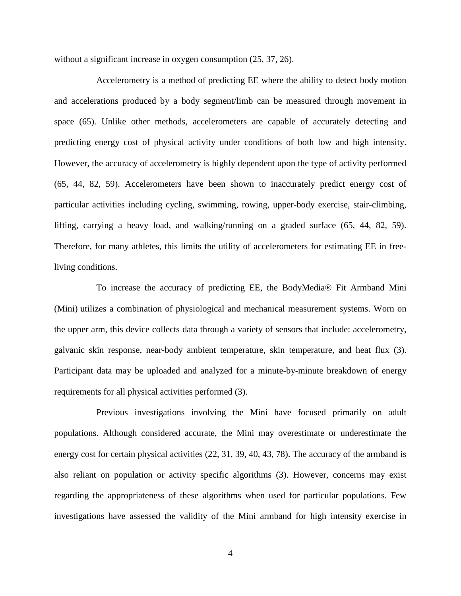without a significant increase in oxygen consumption  $(25, 37, 26)$ .

Accelerometry is a method of predicting EE where the ability to detect body motion and accelerations produced by a body segment/limb can be measured through movement in space (65). Unlike other methods, accelerometers are capable of accurately detecting and predicting energy cost of physical activity under conditions of both low and high intensity. However, the accuracy of accelerometry is highly dependent upon the type of activity performed (65, 44, 82, 59). Accelerometers have been shown to inaccurately predict energy cost of particular activities including cycling, swimming, rowing, upper-body exercise, stair-climbing, lifting, carrying a heavy load, and walking/running on a graded surface (65, 44, 82, 59). Therefore, for many athletes, this limits the utility of accelerometers for estimating EE in freeliving conditions.

To increase the accuracy of predicting EE, the BodyMedia® Fit Armband Mini (Mini) utilizes a combination of physiological and mechanical measurement systems. Worn on the upper arm, this device collects data through a variety of sensors that include: accelerometry, galvanic skin response, near-body ambient temperature, skin temperature, and heat flux (3). Participant data may be uploaded and analyzed for a minute-by-minute breakdown of energy requirements for all physical activities performed (3).

Previous investigations involving the Mini have focused primarily on adult populations. Although considered accurate, the Mini may overestimate or underestimate the energy cost for certain physical activities (22, 31, 39, 40, 43, 78). The accuracy of the armband is also reliant on population or activity specific algorithms (3). However, concerns may exist regarding the appropriateness of these algorithms when used for particular populations. Few investigations have assessed the validity of the Mini armband for high intensity exercise in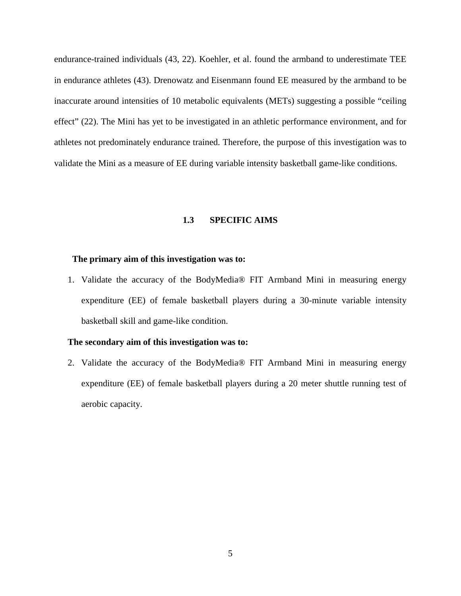endurance-trained individuals (43, 22). Koehler, et al. found the armband to underestimate TEE in endurance athletes (43). Drenowatz and Eisenmann found EE measured by the armband to be inaccurate around intensities of 10 metabolic equivalents (METs) suggesting a possible "ceiling effect" (22). The Mini has yet to be investigated in an athletic performance environment, and for athletes not predominately endurance trained. Therefore, the purpose of this investigation was to validate the Mini as a measure of EE during variable intensity basketball game-like conditions.

## **1.3 SPECIFIC AIMS**

#### <span id="page-15-0"></span>**The primary aim of this investigation was to:**

1. Validate the accuracy of the BodyMedia® FIT Armband Mini in measuring energy expenditure (EE) of female basketball players during a 30-minute variable intensity basketball skill and game-like condition.

### **The secondary aim of this investigation was to:**

2. Validate the accuracy of the BodyMedia® FIT Armband Mini in measuring energy expenditure (EE) of female basketball players during a 20 meter shuttle running test of aerobic capacity.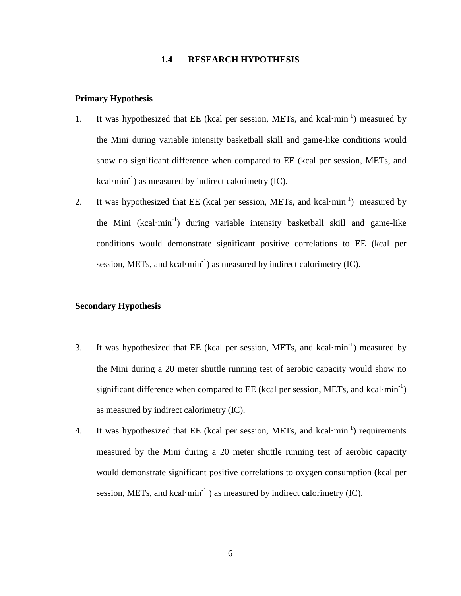#### **1.4 RESEARCH HYPOTHESIS**

#### <span id="page-16-0"></span>**Primary Hypothesis**

- 1. It was hypothesized that EE (kcal per session, METs, and kcal·min<sup>-1</sup>) measured by the Mini during variable intensity basketball skill and game-like conditions would show no significant difference when compared to EE (kcal per session, METs, and kcal·min<sup>-1</sup>) as measured by indirect calorimetry (IC).
- 2. It was hypothesized that EE (kcal per session, METs, and kcal·min<sup>-1</sup>) measured by the Mini (kcal·min<sup>-1</sup>) during variable intensity basketball skill and game-like conditions would demonstrate significant positive correlations to EE (kcal per session, METs, and kcal·min<sup>-1</sup>) as measured by indirect calorimetry (IC).

# **Secondary Hypothesis**

- 3. It was hypothesized that EE (kcal per session, METs, and kcal·min<sup>-1</sup>) measured by the Mini during a 20 meter shuttle running test of aerobic capacity would show no significant difference when compared to  $EE$  (kcal per session, METs, and kcal·min<sup>-1</sup>) as measured by indirect calorimetry (IC).
- 4. It was hypothesized that EE (kcal per session, METs, and kcal·min<sup>-1</sup>) requirements measured by the Mini during a 20 meter shuttle running test of aerobic capacity would demonstrate significant positive correlations to oxygen consumption (kcal per session, METs, and kcal·min<sup>-1</sup> ) as measured by indirect calorimetry (IC).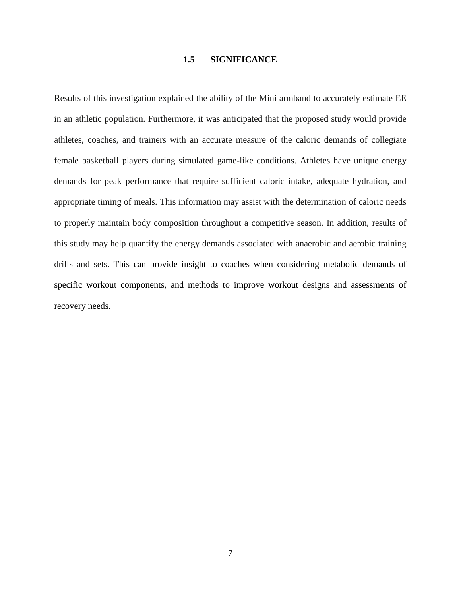## **1.5 SIGNIFICANCE**

<span id="page-17-0"></span>Results of this investigation explained the ability of the Mini armband to accurately estimate EE in an athletic population. Furthermore, it was anticipated that the proposed study would provide athletes, coaches, and trainers with an accurate measure of the caloric demands of collegiate female basketball players during simulated game-like conditions. Athletes have unique energy demands for peak performance that require sufficient caloric intake, adequate hydration, and appropriate timing of meals. This information may assist with the determination of caloric needs to properly maintain body composition throughout a competitive season. In addition, results of this study may help quantify the energy demands associated with anaerobic and aerobic training drills and sets. This can provide insight to coaches when considering metabolic demands of specific workout components, and methods to improve workout designs and assessments of recovery needs.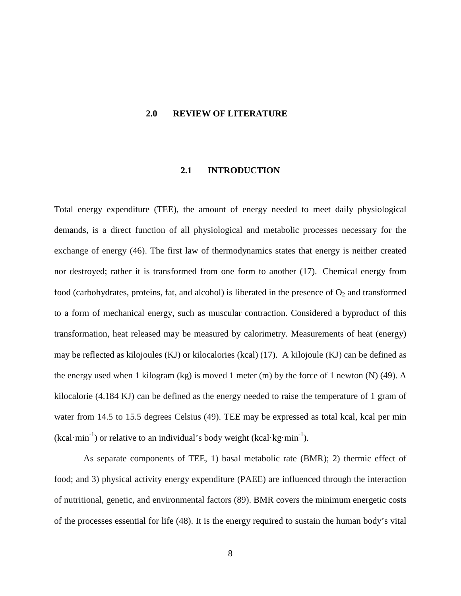#### <span id="page-18-0"></span>**2.0 REVIEW OF LITERATURE**

#### **2.1 INTRODUCTION**

<span id="page-18-1"></span>Total energy expenditure (TEE), the amount of energy needed to meet daily physiological demands, is a direct function of all physiological and metabolic processes necessary for the exchange of energy (46). The first law of thermodynamics states that energy is neither created nor destroyed; rather it is transformed from one form to another (17). Chemical energy from food (carbohydrates, proteins, fat, and alcohol) is liberated in the presence of  $O_2$  and transformed to a form of mechanical energy, such as muscular contraction. Considered a byproduct of this transformation, heat released may be measured by calorimetry. Measurements of heat (energy) may be reflected as kilojoules (KJ) or kilocalories (kcal) (17). A kilojoule (KJ) can be defined as the energy used when 1 kilogram (kg) is moved 1 meter (m) by the force of 1 newton (N) (49). A kilocalorie (4.184 KJ) can be defined as the energy needed to raise the temperature of 1 gram of water from 14.5 to 15.5 degrees Celsius (49). TEE may be expressed as total kcal, kcal per min  $(kcal·min<sup>-1</sup>)$  or relative to an individual's body weight  $(kcal·kg·min<sup>-1</sup>)$ .

As separate components of TEE, 1) basal metabolic rate (BMR); 2) thermic effect of food; and 3) physical activity energy expenditure (PAEE) are influenced through the interaction of nutritional, genetic, and environmental factors (89). BMR covers the minimum energetic costs of the processes essential for life (48). It is the energy required to sustain the human body's vital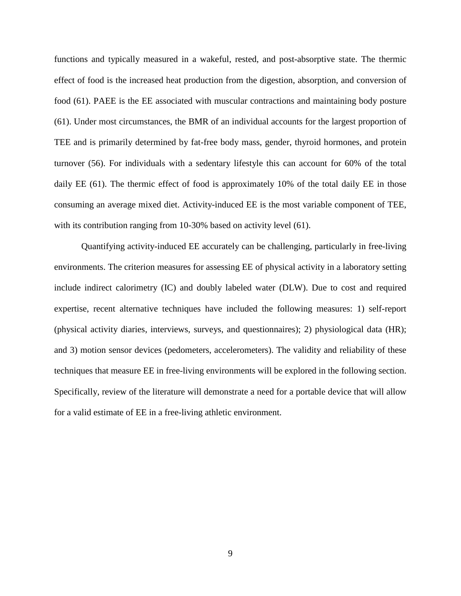functions and typically measured in a wakeful, rested, and post-absorptive state. The thermic effect of food is the increased heat production from the digestion, absorption, and conversion of food (61). PAEE is the EE associated with muscular contractions and maintaining body posture (61). Under most circumstances, the BMR of an individual accounts for the largest proportion of TEE and is primarily determined by fat-free body mass, gender, thyroid hormones, and protein turnover (56). For individuals with a sedentary lifestyle this can account for 60% of the total daily EE (61). The thermic effect of food is approximately 10% of the total daily EE in those consuming an average mixed diet. Activity-induced EE is the most variable component of TEE, with its contribution ranging from 10-30% based on activity level (61).

Quantifying activity-induced EE accurately can be challenging, particularly in free-living environments. The criterion measures for assessing EE of physical activity in a laboratory setting include indirect calorimetry (IC) and doubly labeled water (DLW). Due to cost and required expertise, recent alternative techniques have included the following measures: 1) self-report (physical activity diaries, interviews, surveys, and questionnaires); 2) physiological data (HR); and 3) motion sensor devices (pedometers, accelerometers). The validity and reliability of these techniques that measure EE in free-living environments will be explored in the following section. Specifically, review of the literature will demonstrate a need for a portable device that will allow for a valid estimate of EE in a free-living athletic environment.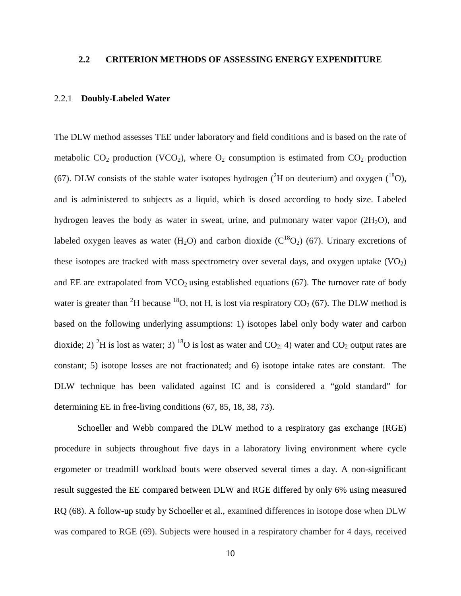# <span id="page-20-0"></span>**2.2 CRITERION METHODS OF ASSESSING ENERGY EXPENDITURE**

#### <span id="page-20-1"></span>2.2.1 **Doubly-Labeled Water**

The DLW method assesses TEE under laboratory and field conditions and is based on the rate of metabolic  $CO_2$  production (VCO<sub>2</sub>), where  $O_2$  consumption is estimated from  $CO_2$  production (67). DLW consists of the stable water isotopes hydrogen ( ${}^{2}$ H on deuterium) and oxygen ( ${}^{18}$ O), and is administered to subjects as a liquid, which is dosed according to body size. Labeled hydrogen leaves the body as water in sweat, urine, and pulmonary water vapor  $(2H<sub>2</sub>O)$ , and labeled oxygen leaves as water (H<sub>2</sub>O) and carbon dioxide ( $C^{18}O_2$ ) (67). Urinary excretions of these isotopes are tracked with mass spectrometry over several days, and oxygen uptake  $(VO<sub>2</sub>)$ and EE are extrapolated from  $VCO<sub>2</sub>$  using established equations (67). The turnover rate of body water is greater than <sup>2</sup>H because <sup>18</sup>O, not H, is lost via respiratory  $CO_2$  (67). The DLW method is based on the following underlying assumptions: 1) isotopes label only body water and carbon dioxide; 2) <sup>2</sup>H is lost as water; 3) <sup>18</sup>O is lost as water and CO<sub>2;</sub> 4) water and CO<sub>2</sub> output rates are constant; 5) isotope losses are not fractionated; and 6) isotope intake rates are constant. The DLW technique has been validated against IC and is considered a "gold standard" for determining EE in free-living conditions  $(67, 85, 18, 38, 73)$ .

Schoeller and Webb compared the DLW method to a respiratory gas exchange (RGE) procedure in subjects throughout five days in a laboratory living environment where cycle ergometer or treadmill workload bouts were observed several times a day. A non-significant result suggested the EE compared between DLW and RGE differed by only 6% using measured RQ (68). A follow-up study by Schoeller et al., examined differences in isotope dose when DLW was compared to RGE (69). Subjects were housed in a respiratory chamber for 4 days, received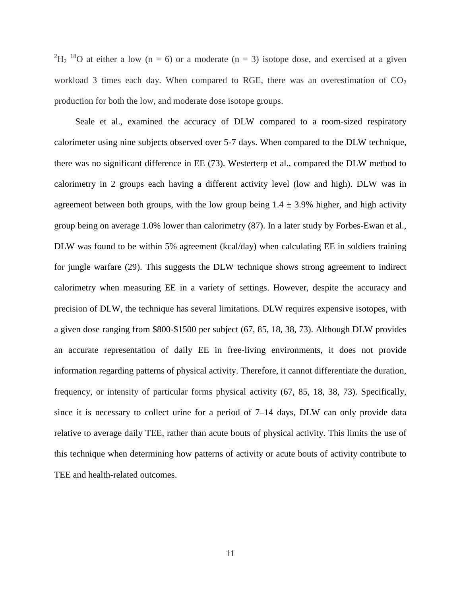<sup>2</sup>H<sub>2</sub><sup>18</sup>O at either a low (n = 6) or a moderate (n = 3) isotope dose, and exercised at a given workload 3 times each day. When compared to RGE, there was an overestimation of  $CO<sub>2</sub>$ production for both the low, and moderate dose isotope groups.

Seale et al., examined the accuracy of DLW compared to a room-sized respiratory calorimeter using nine subjects observed over 5-7 days. When compared to the DLW technique, there was no significant difference in EE (73). Westerterp et al., compared the DLW method to calorimetry in 2 groups each having a different activity level (low and high). DLW was in agreement between both groups, with the low group being  $1.4 \pm 3.9\%$  higher, and high activity group being on average 1.0% lower than calorimetry (87). In a later study by Forbes-Ewan et al., DLW was found to be within 5% agreement (kcal/day) when calculating EE in soldiers training for jungle warfare (29). This suggests the DLW technique shows strong agreement to indirect calorimetry when measuring EE in a variety of settings. However, despite the accuracy and precision of DLW, the technique has several limitations. DLW requires expensive isotopes, with a given dose ranging from \$800-\$1500 per subject (67, 85, 18, 38, 73). Although DLW provides an accurate representation of daily EE in free-living environments, it does not provide information regarding patterns of physical activity. Therefore, it cannot differentiate the duration, frequency, or intensity of particular forms physical activity (67, 85, 18, 38, 73). Specifically, since it is necessary to collect urine for a period of 7–14 days, DLW can only provide data relative to average daily TEE, rather than acute bouts of physical activity. This limits the use of this technique when determining how patterns of activity or acute bouts of activity contribute to TEE and health-related outcomes.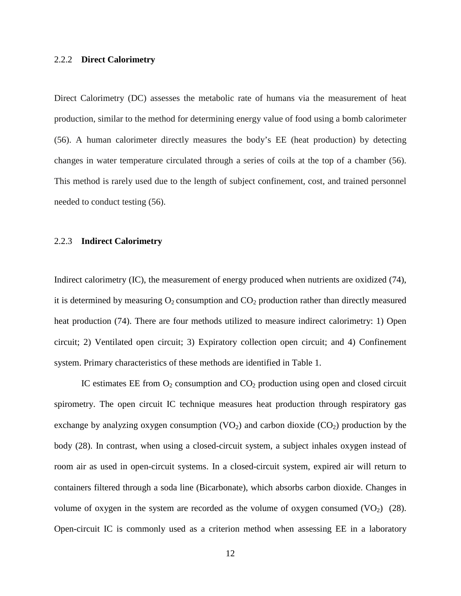#### <span id="page-22-0"></span>2.2.2 **Direct Calorimetry**

Direct Calorimetry (DC) assesses the metabolic rate of humans via the measurement of heat production, similar to the method for determining energy value of food using a bomb calorimeter (56). A human calorimeter directly measures the body's EE (heat production) by detecting changes in water temperature circulated through a series of coils at the top of a chamber (56). This method is rarely used due to the length of subject confinement, cost, and trained personnel needed to conduct testing (56).

#### <span id="page-22-1"></span>2.2.3 **Indirect Calorimetry**

Indirect calorimetry (IC), the measurement of energy produced when nutrients are oxidized (74), it is determined by measuring  $O_2$  consumption and  $CO_2$  production rather than directly measured heat production (74). There are four methods utilized to measure indirect calorimetry: 1) Open circuit; 2) Ventilated open circuit; 3) Expiratory collection open circuit; and 4) Confinement system. Primary characteristics of these methods are identified in Table 1.

IC estimates EE from  $O_2$  consumption and  $CO_2$  production using open and closed circuit spirometry. The open circuit IC technique measures heat production through respiratory gas exchange by analyzing oxygen consumption  $(VO_2)$  and carbon dioxide  $(CO_2)$  production by the body (28). In contrast, when using a closed-circuit system, a subject inhales oxygen instead of room air as used in open-circuit systems. In a closed-circuit system, expired air will return to containers filtered through a soda line (Bicarbonate), which absorbs carbon dioxide. Changes in volume of oxygen in the system are recorded as the volume of oxygen consumed  $(VO_2)$  (28). Open-circuit IC is commonly used as a criterion method when assessing EE in a laboratory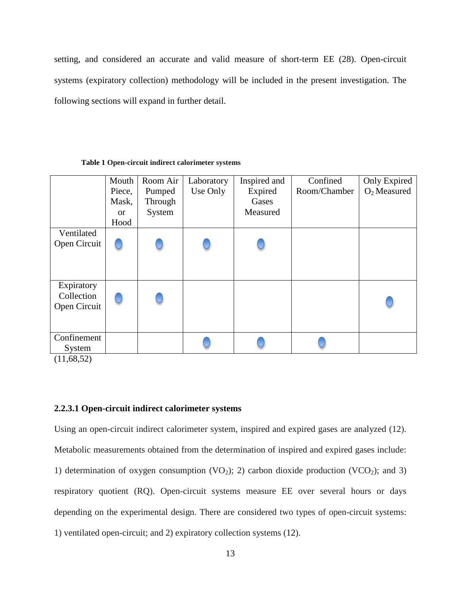setting, and considered an accurate and valid measure of short-term EE (28). Open-circuit systems (expiratory collection) methodology will be included in the present investigation. The following sections will expand in further detail.

<span id="page-23-1"></span>

|                      | Mouth<br>Piece, | Room Air<br>Pumped | Laboratory<br>Use Only | Inspired and<br>Expired | Confined<br>Room/Chamber | Only Expired<br>$O2$ Measured |
|----------------------|-----------------|--------------------|------------------------|-------------------------|--------------------------|-------------------------------|
|                      | Mask,           | Through            |                        | Gases                   |                          |                               |
|                      | <b>or</b>       | System             |                        | Measured                |                          |                               |
|                      | Hood            |                    |                        |                         |                          |                               |
| Ventilated           |                 |                    |                        |                         |                          |                               |
| Open Circuit         |                 |                    |                        |                         |                          |                               |
|                      |                 |                    |                        |                         |                          |                               |
|                      |                 |                    |                        |                         |                          |                               |
| Expiratory           |                 |                    |                        |                         |                          |                               |
| Collection           |                 |                    |                        |                         |                          |                               |
| Open Circuit         |                 |                    |                        |                         |                          |                               |
|                      |                 |                    |                        |                         |                          |                               |
|                      |                 |                    |                        |                         |                          |                               |
| Confinement          |                 |                    |                        |                         |                          |                               |
| System<br>(11.70.72) |                 |                    |                        |                         |                          |                               |

#### **Table 1 Open-circuit indirect calorimeter systems**

 $(11,68,52)$ 

# <span id="page-23-0"></span>**2.2.3.1 Open-circuit indirect calorimeter systems**

Using an open-circuit indirect calorimeter system, inspired and expired gases are analyzed (12). Metabolic measurements obtained from the determination of inspired and expired gases include: 1) determination of oxygen consumption (VO<sub>2</sub>); 2) carbon dioxide production (VCO<sub>2</sub>); and 3) respiratory quotient (RQ). Open-circuit systems measure EE over several hours or days depending on the experimental design. There are considered two types of open-circuit systems: 1) ventilated open-circuit; and 2) expiratory collection systems (12).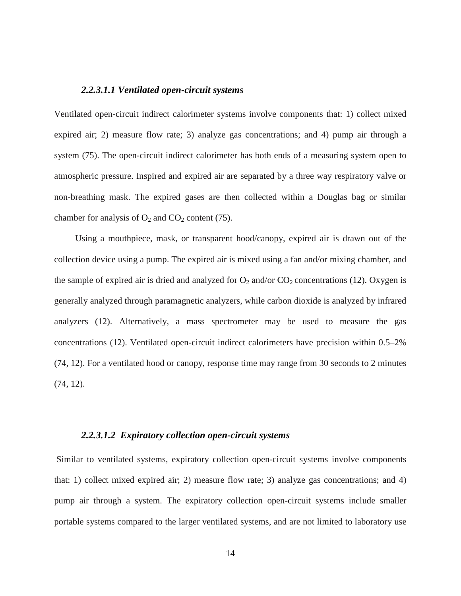#### *2.2.3.1.1 Ventilated open-circuit systems*

Ventilated open-circuit indirect calorimeter systems involve components that: 1) collect mixed expired air; 2) measure flow rate; 3) analyze gas concentrations; and 4) pump air through a system (75). The open-circuit indirect calorimeter has both ends of a measuring system open to atmospheric pressure. Inspired and expired air are separated by a three way respiratory valve or non-breathing mask. The expired gases are then collected within a Douglas bag or similar chamber for analysis of  $O_2$  and  $CO_2$  content (75).

Using a mouthpiece, mask, or transparent hood/canopy, expired air is drawn out of the collection device using a pump. The expired air is mixed using a fan and/or mixing chamber, and the sample of expired air is dried and analyzed for  $O_2$  and/or  $CO_2$  concentrations (12). Oxygen is generally analyzed through paramagnetic analyzers, while carbon dioxide is analyzed by infrared analyzers (12). Alternatively, a mass spectrometer may be used to measure the gas concentrations (12). Ventilated open-circuit indirect calorimeters have precision within 0.5–2% (74, 12). For a ventilated hood or canopy, response time may range from 30 seconds to 2 minutes (74, 12).

### *2.2.3.1.2 Expiratory collection open-circuit systems*

Similar to ventilated systems, expiratory collection open-circuit systems involve components that: 1) collect mixed expired air; 2) measure flow rate; 3) analyze gas concentrations; and 4) pump air through a system. The expiratory collection open-circuit systems include smaller portable systems compared to the larger ventilated systems, and are not limited to laboratory use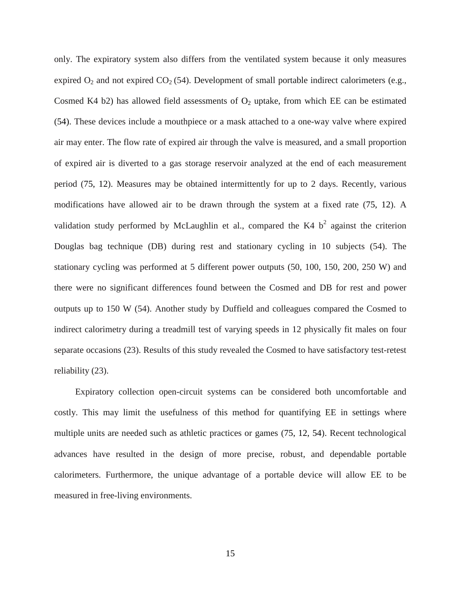only. The expiratory system also differs from the ventilated system because it only measures expired  $O_2$  and not expired  $CO_2$  (54). Development of small portable indirect calorimeters (e.g., Cosmed K4 b2) has allowed field assessments of  $O_2$  uptake, from which EE can be estimated (54). These devices include a mouthpiece or a mask attached to a one-way valve where expired air may enter. The flow rate of expired air through the valve is measured, and a small proportion of expired air is diverted to a gas storage reservoir analyzed at the end of each measurement period (75, 12). Measures may be obtained intermittently for up to 2 days. Recently, various modifications have allowed air to be drawn through the system at a fixed rate (75, 12). A validation study performed by McLaughlin et al., compared the K4  $b<sup>2</sup>$  against the criterion Douglas bag technique (DB) during rest and stationary cycling in 10 subjects (54). The stationary cycling was performed at 5 different power outputs (50, 100, 150, 200, 250 W) and there were no significant differences found between the Cosmed and DB for rest and power outputs up to 150 W (54). Another study by Duffield and colleagues compared the Cosmed to indirect calorimetry during a treadmill test of varying speeds in 12 physically fit males on four separate occasions (23). Results of this study revealed the Cosmed to have satisfactory test-retest reliability (23).

Expiratory collection open-circuit systems can be considered both uncomfortable and costly. This may limit the usefulness of this method for quantifying EE in settings where multiple units are needed such as athletic practices or games (75, 12, 54). Recent technological advances have resulted in the design of more precise, robust, and dependable portable calorimeters. Furthermore, the unique advantage of a portable device will allow EE to be measured in free-living environments.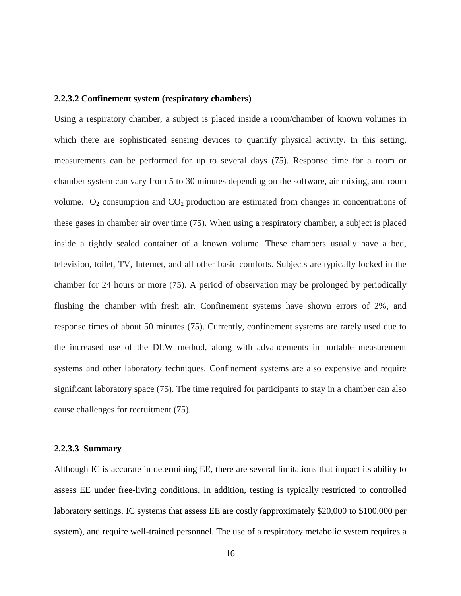#### <span id="page-26-0"></span>**2.2.3.2 Confinement system (respiratory chambers)**

Using a respiratory chamber, a subject is placed inside a room/chamber of known volumes in which there are sophisticated sensing devices to quantify physical activity. In this setting, measurements can be performed for up to several days (75). Response time for a room or chamber system can vary from 5 to 30 minutes depending on the software, air mixing, and room volume.  $O_2$  consumption and  $CO_2$  production are estimated from changes in concentrations of these gases in chamber air over time (75). When using a respiratory chamber, a subject is placed inside a tightly sealed container of a known volume. These chambers usually have a bed, television, toilet, TV, Internet, and all other basic comforts. Subjects are typically locked in the chamber for 24 hours or more (75). A period of observation may be prolonged by periodically flushing the chamber with fresh air. Confinement systems have shown errors of 2%, and response times of about 50 minutes (75). Currently, confinement systems are rarely used due to the increased use of the DLW method, along with advancements in portable measurement systems and other laboratory techniques. Confinement systems are also expensive and require significant laboratory space (75). The time required for participants to stay in a chamber can also cause challenges for recruitment (75).

#### <span id="page-26-1"></span>**2.2.3.3 Summary**

Although IC is accurate in determining EE, there are several limitations that impact its ability to assess EE under free-living conditions. In addition, testing is typically restricted to controlled laboratory settings. IC systems that assess EE are costly (approximately \$20,000 to \$100,000 per system), and require well-trained personnel. The use of a respiratory metabolic system requires a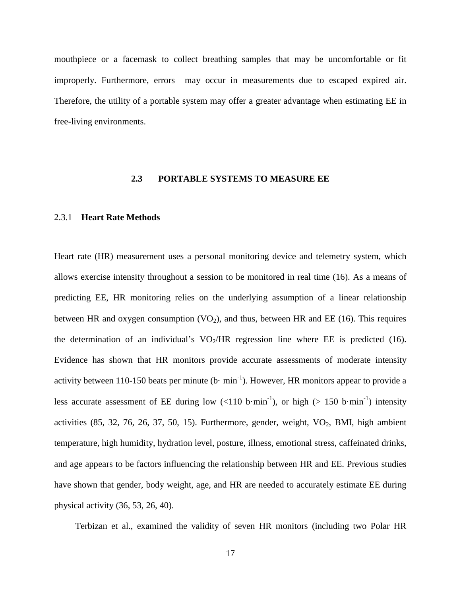mouthpiece or a facemask to collect breathing samples that may be uncomfortable or fit improperly. Furthermore, errors may occur in measurements due to escaped expired air. Therefore, the utility of a portable system may offer a greater advantage when estimating EE in free-living environments.

## **2.3 PORTABLE SYSTEMS TO MEASURE EE**

#### <span id="page-27-1"></span><span id="page-27-0"></span>2.3.1 **Heart Rate Methods**

Heart rate (HR) measurement uses a personal monitoring device and telemetry system, which allows exercise intensity throughout a session to be monitored in real time (16). As a means of predicting EE, HR monitoring relies on the underlying assumption of a linear relationship between HR and oxygen consumption  $(VO<sub>2</sub>)$ , and thus, between HR and EE (16). This requires the determination of an individual's  $VO<sub>2</sub>/HR$  regression line where EE is predicted (16). Evidence has shown that HR monitors provide accurate assessments of moderate intensity activity between 110-150 beats per minute (b $\cdot$  min<sup>-1</sup>). However, HR monitors appear to provide a less accurate assessment of EE during low  $(<110 \text{ b-min}^{-1})$ , or high  $(>150 \text{ b-min}^{-1})$  intensity activities  $(85, 32, 76, 26, 37, 50, 15)$ . Furthermore, gender, weight,  $VO<sub>2</sub>$ , BMI, high ambient temperature, high humidity, hydration level, posture, illness, emotional stress, caffeinated drinks, and age appears to be factors influencing the relationship between HR and EE. Previous studies have shown that gender, body weight, age, and HR are needed to accurately estimate EE during physical activity (36, 53, 26, 40).

Terbizan et al., examined the validity of seven HR monitors (including two Polar HR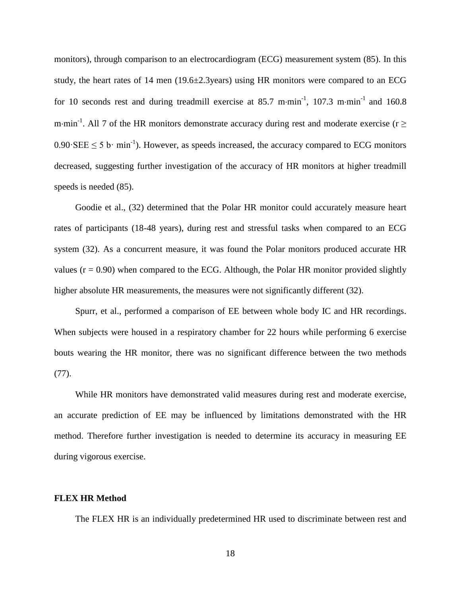monitors), through comparison to an electrocardiogram (ECG) measurement system (85). In this study, the heart rates of 14 men (19.6±2.3years) using HR monitors were compared to an ECG for 10 seconds rest and during treadmill exercise at 85.7 m⋅min<sup>-1</sup>, 107.3 m⋅min<sup>-1</sup> and 160.8 m⋅min<sup>-1</sup>. All 7 of the HR monitors demonstrate accuracy during rest and moderate exercise (r  $\geq$  $0.90 \text{ E } \leq 5 \text{ b} \cdot \text{min}^{-1}$ ). However, as speeds increased, the accuracy compared to ECG monitors decreased, suggesting further investigation of the accuracy of HR monitors at higher treadmill speeds is needed (85).

Goodie et al., (32) determined that the Polar HR monitor could accurately measure heart rates of participants (18-48 years), during rest and stressful tasks when compared to an ECG system (32). As a concurrent measure, it was found the Polar monitors produced accurate HR values  $(r = 0.90)$  when compared to the ECG. Although, the Polar HR monitor provided slightly higher absolute HR measurements, the measures were not significantly different (32).

Spurr, et al., performed a comparison of EE between whole body IC and HR recordings. When subjects were housed in a respiratory chamber for 22 hours while performing 6 exercise bouts wearing the HR monitor, there was no significant difference between the two methods (77).

While HR monitors have demonstrated valid measures during rest and moderate exercise, an accurate prediction of EE may be influenced by limitations demonstrated with the HR method. Therefore further investigation is needed to determine its accuracy in measuring EE during vigorous exercise.

## **FLEX HR Method**

The FLEX HR is an individually predetermined HR used to discriminate between rest and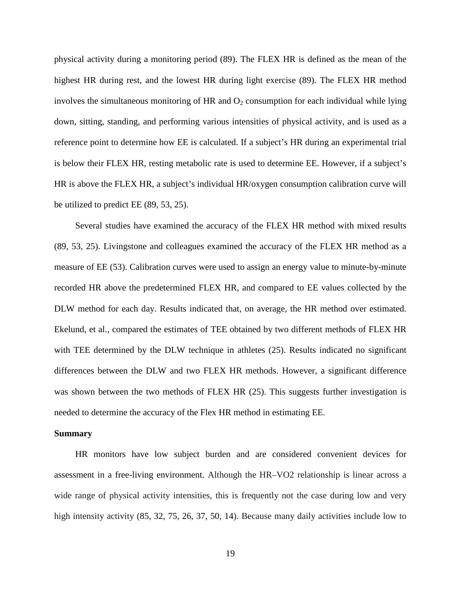physical activity during a monitoring period (89). The FLEX HR is defined as the mean of the highest HR during rest, and the lowest HR during light exercise (89). The FLEX HR method involves the simultaneous monitoring of HR and  $O<sub>2</sub>$  consumption for each individual while lying down, sitting, standing, and performing various intensities of physical activity, and is used as a reference point to determine how EE is calculated. If a subject's HR during an experimental trial is below their FLEX HR, resting metabolic rate is used to determine EE. However, if a subject's HR is above the FLEX HR, a subject's individual HR/oxygen consumption calibration curve will be utilized to predict EE (89, 53, 25).

Several studies have examined the accuracy of the FLEX HR method with mixed results (89, 53, 25). Livingstone and colleagues examined the accuracy of the FLEX HR method as a measure of EE (53). Calibration curves were used to assign an energy value to minute-by-minute recorded HR above the predetermined FLEX HR, and compared to EE values collected by the DLW method for each day. Results indicated that, on average, the HR method over estimated. Ekelund, et al., compared the estimates of TEE obtained by two different methods of FLEX HR with TEE determined by the DLW technique in athletes (25). Results indicated no significant differences between the DLW and two FLEX HR methods. However, a significant difference was shown between the two methods of FLEX HR (25). This suggests further investigation is needed to determine the accuracy of the Flex HR method in estimating EE.

#### **Summary**

HR monitors have low subject burden and are considered convenient devices for assessment in a free-living environment. Although the HR–VO2 relationship is linear across a wide range of physical activity intensities, this is frequently not the case during low and very high intensity activity  $(85, 32, 75, 26, 37, 50, 14)$ . Because many daily activities include low to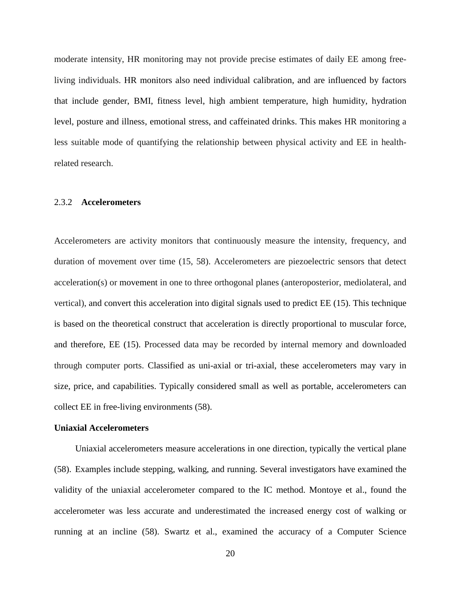moderate intensity, HR monitoring may not provide precise estimates of daily EE among freeliving individuals. HR monitors also need individual calibration, and are influenced by factors that include gender, BMI, fitness level, high ambient temperature, high humidity, hydration level, posture and illness, emotional stress, and caffeinated drinks. This makes HR monitoring a less suitable mode of quantifying the relationship between physical activity and EE in healthrelated research.

#### <span id="page-30-0"></span>2.3.2 **Accelerometers**

Accelerometers are activity monitors that continuously measure the intensity, frequency, and duration of movement over time (15, 58). Accelerometers are piezoelectric sensors that detect acceleration(s) or movement in one to three orthogonal planes (anteroposterior, mediolateral, and vertical), and convert this acceleration into digital signals used to predict EE (15). This technique is based on the theoretical construct that acceleration is directly proportional to muscular force, and therefore, EE (15). Processed data may be recorded by internal memory and downloaded through computer ports. Classified as uni-axial or tri-axial, these accelerometers may vary in size, price, and capabilities. Typically considered small as well as portable, accelerometers can collect EE in free-living environments (58).

#### **Uniaxial Accelerometers**

Uniaxial accelerometers measure accelerations in one direction, typically the vertical plane (58). Examples include stepping, walking, and running. Several investigators have examined the validity of the uniaxial accelerometer compared to the IC method. Montoye et al., found the accelerometer was less accurate and underestimated the increased energy cost of walking or running at an incline (58). Swartz et al., examined the accuracy of a Computer Science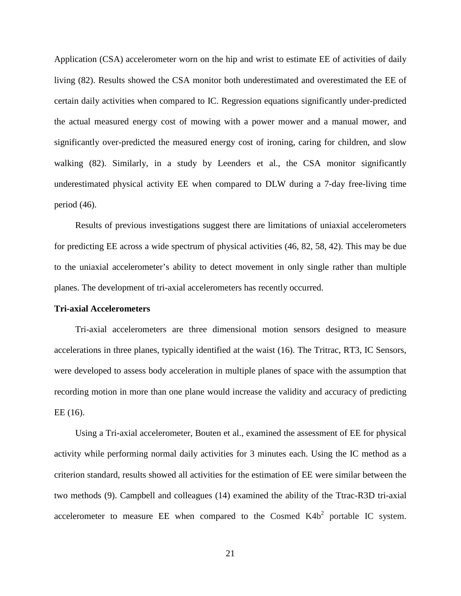Application (CSA) accelerometer worn on the hip and wrist to estimate EE of activities of daily living (82). Results showed the CSA monitor both underestimated and overestimated the EE of certain daily activities when compared to IC. Regression equations significantly under-predicted the actual measured energy cost of mowing with a power mower and a manual mower, and significantly over-predicted the measured energy cost of ironing, caring for children, and slow walking (82). Similarly, in a study by Leenders et al., the CSA monitor significantly underestimated physical activity EE when compared to DLW during a 7-day free-living time period (46).

Results of previous investigations suggest there are limitations of uniaxial accelerometers for predicting EE across a wide spectrum of physical activities (46, 82, 58, 42). This may be due to the uniaxial accelerometer's ability to detect movement in only single rather than multiple planes. The development of tri-axial accelerometers has recently occurred.

#### **Tri-axial Accelerometers**

Tri-axial accelerometers are three dimensional motion sensors designed to measure accelerations in three planes, typically identified at the waist (16). The Tritrac, RT3, IC Sensors, were developed to assess body acceleration in multiple planes of space with the assumption that recording motion in more than one plane would increase the validity and accuracy of predicting EE (16).

Using a Tri-axial accelerometer, Bouten et al., examined the assessment of EE for physical activity while performing normal daily activities for 3 minutes each. Using the IC method as a criterion standard, results showed all activities for the estimation of EE were similar between the two methods (9). Campbell and colleagues (14) examined the ability of the Ttrac-R3D tri-axial accelerometer to measure EE when compared to the Cosmed  $K4b<sup>2</sup>$  portable IC system.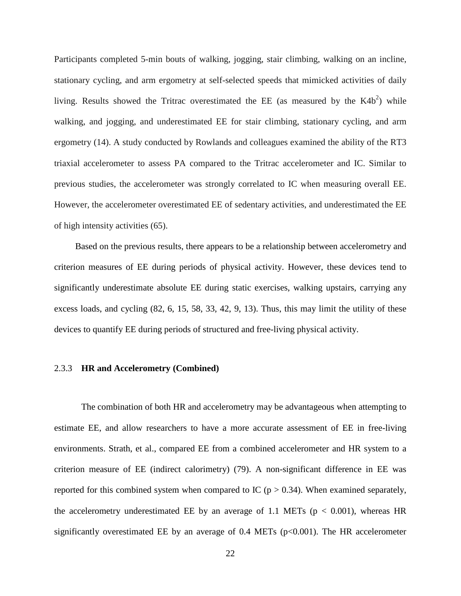Participants completed 5-min bouts of walking, jogging, stair climbing, walking on an incline, stationary cycling, and arm ergometry at self-selected speeds that mimicked activities of daily living. Results showed the Tritrac overestimated the EE (as measured by the  $K4b<sup>2</sup>$ ) while walking, and jogging, and underestimated EE for stair climbing, stationary cycling, and arm ergometry (14). A study conducted by Rowlands and colleagues examined the ability of the RT3 triaxial accelerometer to assess PA compared to the Tritrac accelerometer and IC. Similar to previous studies, the accelerometer was strongly correlated to IC when measuring overall EE. However, the accelerometer overestimated EE of sedentary activities, and underestimated the EE of high intensity activities (65).

Based on the previous results, there appears to be a relationship between accelerometry and criterion measures of EE during periods of physical activity. However, these devices tend to significantly underestimate absolute EE during static exercises, walking upstairs, carrying any excess loads, and cycling (82, 6, 15, 58, 33, 42, 9, 13). Thus, this may limit the utility of these devices to quantify EE during periods of structured and free-living physical activity.

# <span id="page-32-0"></span>2.3.3 **HR and Accelerometry (Combined)**

The combination of both HR and accelerometry may be advantageous when attempting to estimate EE, and allow researchers to have a more accurate assessment of EE in free-living environments. Strath, et al., compared EE from a combined accelerometer and HR system to a criterion measure of EE (indirect calorimetry) (79). A non-significant difference in EE was reported for this combined system when compared to IC ( $p > 0.34$ ). When examined separately, the accelerometry underestimated EE by an average of 1.1 METs ( $p < 0.001$ ), whereas HR significantly overestimated EE by an average of  $0.4$  METs ( $p<0.001$ ). The HR accelerometer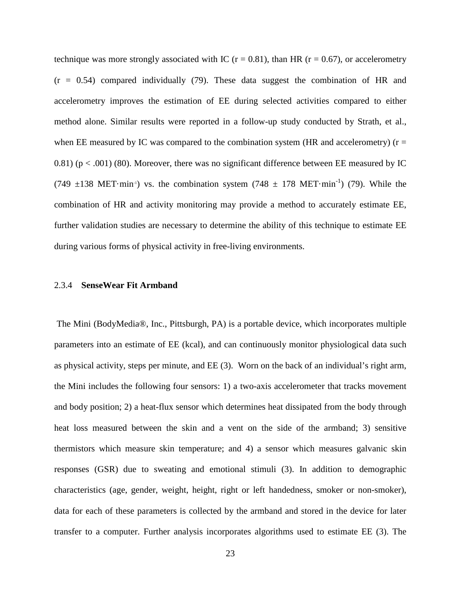technique was more strongly associated with IC ( $r = 0.81$ ), than HR ( $r = 0.67$ ), or accelerometry  $(r = 0.54)$  compared individually (79). These data suggest the combination of HR and accelerometry improves the estimation of EE during selected activities compared to either method alone. Similar results were reported in a follow-up study conducted by Strath, et al., when EE measured by IC was compared to the combination system (HR and accelerometry) ( $r =$ 0.81) ( $p < .001$ ) (80). Moreover, there was no significant difference between EE measured by IC (749  $\pm$ 138 MET·min<sup>-1</sup>) vs. the combination system (748  $\pm$  178 MET·min<sup>-1</sup>) (79). While the combination of HR and activity monitoring may provide a method to accurately estimate EE, further validation studies are necessary to determine the ability of this technique to estimate EE during various forms of physical activity in free-living environments.

## <span id="page-33-0"></span>2.3.4 **SenseWear Fit Armband**

The Mini (BodyMedia®, Inc., Pittsburgh, PA) is a portable device, which incorporates multiple parameters into an estimate of EE (kcal), and can continuously monitor physiological data such as physical activity, steps per minute, and EE (3). Worn on the back of an individual's right arm, the Mini includes the following four sensors: 1) a two-axis accelerometer that tracks movement and body position; 2) a heat-flux sensor which determines heat dissipated from the body through heat loss measured between the skin and a vent on the side of the armband; 3) sensitive thermistors which measure skin temperature; and 4) a sensor which measures galvanic skin responses (GSR) due to sweating and emotional stimuli (3). In addition to demographic characteristics (age, gender, weight, height, right or left handedness, smoker or non-smoker), data for each of these parameters is collected by the armband and stored in the device for later transfer to a computer. Further analysis incorporates algorithms used to estimate EE (3). The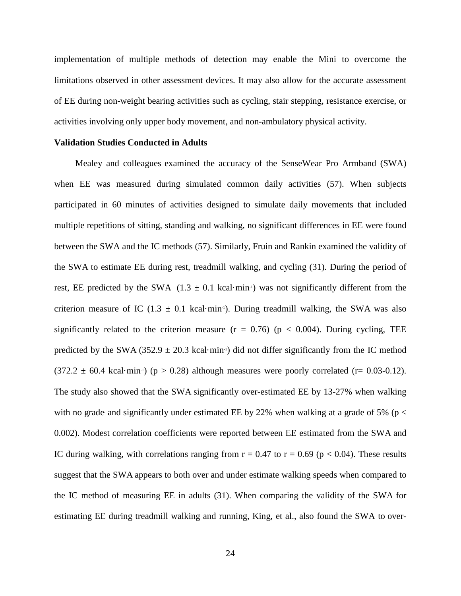implementation of multiple methods of detection may enable the Mini to overcome the limitations observed in other assessment devices. It may also allow for the accurate assessment of EE during non-weight bearing activities such as cycling, stair stepping, resistance exercise, or activities involving only upper body movement, and non-ambulatory physical activity.

#### **Validation Studies Conducted in Adults**

Mealey and colleagues examined the accuracy of the SenseWear Pro Armband (SWA) when EE was measured during simulated common daily activities (57). When subjects participated in 60 minutes of activities designed to simulate daily movements that included multiple repetitions of sitting, standing and walking, no significant differences in EE were found between the SWA and the IC methods (57). Similarly, Fruin and Rankin examined the validity of the SWA to estimate EE during rest, treadmill walking, and cycling (31). During the period of rest, EE predicted by the SWA  $(1.3 \pm 0.1 \text{ kcal-min}^3)$  was not significantly different from the criterion measure of IC  $(1.3 \pm 0.1 \text{ kcal} \cdot \text{min}^{-1})$ . During treadmill walking, the SWA was also significantly related to the criterion measure  $(r = 0.76)$  ( $p < 0.004$ ). During cycling, TEE predicted by the SWA (352.9  $\pm$  20.3 kcal·min<sup>-1</sup>) did not differ significantly from the IC method  $(372.2 \pm 60.4 \text{ kcal} \cdot \text{min}^3)$  (p > 0.28) although measures were poorly correlated (r= 0.03-0.12). The study also showed that the SWA significantly over-estimated EE by 13-27% when walking with no grade, and significantly under estimated EE by 22% when walking at a grade of 5% ( $p <$ 0.002). Modest correlation coefficients were reported between EE estimated from the SWA and IC during walking, with correlations ranging from  $r = 0.47$  to  $r = 0.69$  ( $p < 0.04$ ). These results suggest that the SWA appears to both over and under estimate walking speeds when compared to the IC method of measuring EE in adults (31). When comparing the validity of the SWA for estimating EE during treadmill walking and running, King, et al., also found the SWA to over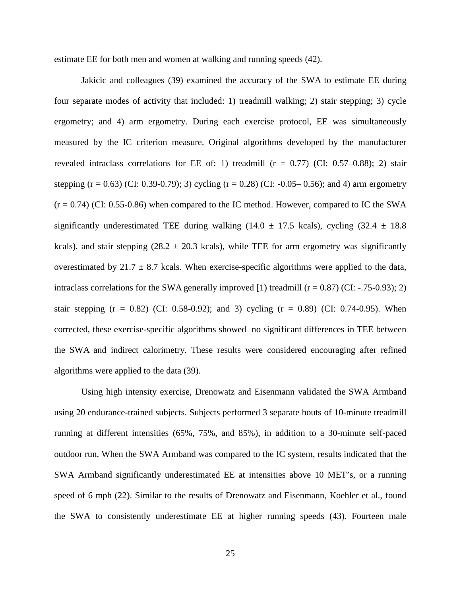estimate EE for both men and women at walking and running speeds (42).

Jakicic and colleagues (39) examined the accuracy of the SWA to estimate EE during four separate modes of activity that included: 1) treadmill walking; 2) stair stepping; 3) cycle ergometry; and 4) arm ergometry. During each exercise protocol, EE was simultaneously measured by the IC criterion measure. Original algorithms developed by the manufacturer revealed intraclass correlations for EE of: 1) treadmill  $(r = 0.77)$  (CI: 0.57–0.88); 2) stair stepping (r = 0.63) (CI: 0.39-0.79); 3) cycling (r = 0.28) (CI: -0.05– 0.56); and 4) arm ergometry  $(r = 0.74)$  (CI: 0.55-0.86) when compared to the IC method. However, compared to IC the SWA significantly underestimated TEE during walking (14.0  $\pm$  17.5 kcals), cycling (32.4  $\pm$  18.8 kcals), and stair stepping (28.2  $\pm$  20.3 kcals), while TEE for arm ergometry was significantly overestimated by  $21.7 \pm 8.7$  kcals. When exercise-specific algorithms were applied to the data, intraclass correlations for the SWA generally improved [1) treadmill  $(r = 0.87)$  (CI: -.75-0.93); 2) stair stepping  $(r = 0.82)$  (CI: 0.58-0.92); and 3) cycling  $(r = 0.89)$  (CI: 0.74-0.95). When corrected, these exercise-specific algorithms showed no significant differences in TEE between the SWA and indirect calorimetry. These results were considered encouraging after refined algorithms were applied to the data (39).

Using high intensity exercise, Drenowatz and Eisenmann validated the SWA Armband using 20 endurance-trained subjects. Subjects performed 3 separate bouts of 10-minute treadmill running at different intensities (65%, 75%, and 85%), in addition to a 30-minute self-paced outdoor run. When the SWA Armband was compared to the IC system, results indicated that the SWA Armband significantly underestimated EE at intensities above 10 MET's, or a running speed of 6 mph (22). Similar to the results of Drenowatz and Eisenmann, Koehler et al., found the SWA to consistently underestimate EE at higher running speeds (43). Fourteen male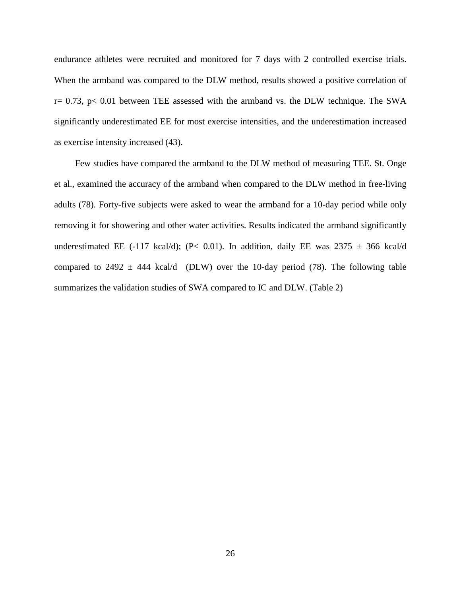endurance athletes were recruited and monitored for 7 days with 2 controlled exercise trials. When the armband was compared to the DLW method, results showed a positive correlation of  $r= 0.73$ ,  $p< 0.01$  between TEE assessed with the armband vs. the DLW technique. The SWA significantly underestimated EE for most exercise intensities, and the underestimation increased as exercise intensity increased (43).

Few studies have compared the armband to the DLW method of measuring TEE. St. Onge et al., examined the accuracy of the armband when compared to the DLW method in free-living adults (78). Forty-five subjects were asked to wear the armband for a 10-day period while only removing it for showering and other water activities. Results indicated the armband significantly underestimated EE (-117 kcal/d); (P< 0.01). In addition, daily EE was  $2375 \pm 366$  kcal/d compared to 2492  $\pm$  444 kcal/d (DLW) over the 10-day period (78). The following table summarizes the validation studies of SWA compared to IC and DLW. (Table 2)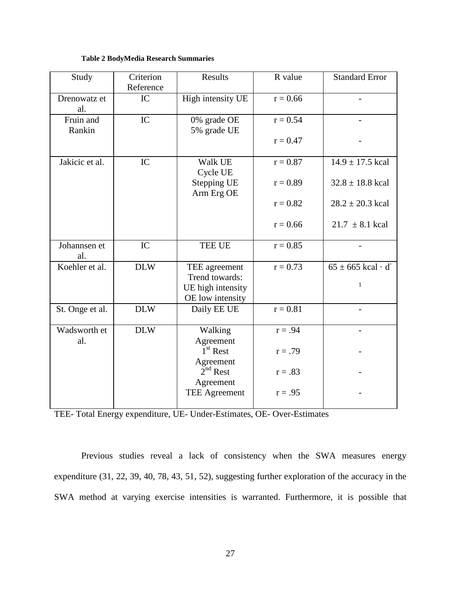### **Table 2 BodyMedia Research Summaries**

| Study               | Criterion  | Results                          | R value    | <b>Standard Error</b>              |
|---------------------|------------|----------------------------------|------------|------------------------------------|
|                     | Reference  |                                  |            |                                    |
| Drenowatz et<br>al. | IC         | High intensity UE                | $r = 0.66$ |                                    |
| Fruin and<br>Rankin | IC         | 0% grade OE<br>5% grade UE       | $r = 0.54$ |                                    |
|                     |            |                                  | $r = 0.47$ |                                    |
| Jakicic et al.      | IC         | Walk UE<br>Cycle UE              | $r = 0.87$ | $14.9 \pm 17.5$ kcal               |
|                     |            | <b>Stepping UE</b><br>Arm Erg OE | $r = 0.89$ | $32.8 \pm 18.8$ kcal               |
|                     |            |                                  | $r = 0.82$ | $28.2 \pm 20.3$ kcal               |
|                     |            |                                  | $r = 0.66$ | $21.7 \pm 8.1$ kcal                |
| Johannsen et<br>al. | IC         | <b>TEE UE</b>                    | $r = 0.85$ |                                    |
| Koehler et al.      | <b>DLW</b> | TEE agreement                    | $r = 0.73$ | $65 \pm 665$ kcal · d <sup>-</sup> |
|                     |            | Trend towards:                   |            |                                    |
|                     |            | UE high intensity                |            | $\mathbf{1}$                       |
|                     |            | OE low intensity                 |            |                                    |
| St. Onge et al.     | <b>DLW</b> | Daily EE UE                      | $r = 0.81$ |                                    |
| Wadsworth et        | <b>DLW</b> | Walking                          | $r = .94$  |                                    |
| al.                 |            | Agreement                        |            |                                    |
|                     |            | $1st$ Rest                       | $r = .79$  |                                    |
|                     |            | Agreement<br>$2nd$ Rest          | $r = .83$  |                                    |
|                     |            | Agreement                        |            |                                    |
|                     |            | <b>TEE Agreement</b>             | $r = .95$  |                                    |
|                     |            |                                  |            |                                    |

Previous studies reveal a lack of consistency when the SWA measures energy expenditure (31, 22, 39, 40, 78, 43, 51, 52), suggesting further exploration of the accuracy in the SWA method at varying exercise intensities is warranted. Furthermore, it is possible that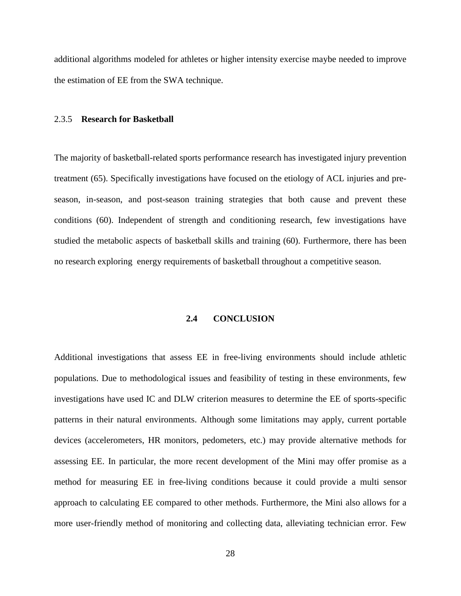additional algorithms modeled for athletes or higher intensity exercise maybe needed to improve the estimation of EE from the SWA technique.

#### 2.3.5 **Research for Basketball**

The majority of basketball-related sports performance research has investigated injury prevention treatment (65). Specifically investigations have focused on the etiology of ACL injuries and preseason, in-season, and post-season training strategies that both cause and prevent these conditions (60). Independent of strength and conditioning research, few investigations have studied the metabolic aspects of basketball skills and training (60). Furthermore, there has been no research exploring energy requirements of basketball throughout a competitive season.

## **2.4 CONCLUSION**

Additional investigations that assess EE in free-living environments should include athletic populations. Due to methodological issues and feasibility of testing in these environments, few investigations have used IC and DLW criterion measures to determine the EE of sports-specific patterns in their natural environments. Although some limitations may apply, current portable devices (accelerometers, HR monitors, pedometers, etc.) may provide alternative methods for assessing EE. In particular, the more recent development of the Mini may offer promise as a method for measuring EE in free-living conditions because it could provide a multi sensor approach to calculating EE compared to other methods. Furthermore, the Mini also allows for a more user-friendly method of monitoring and collecting data, alleviating technician error. Few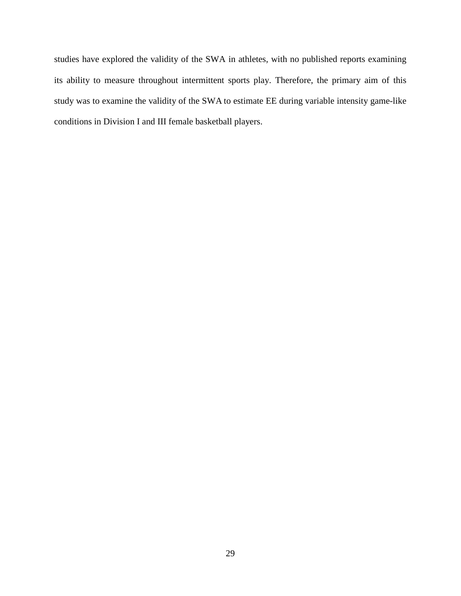studies have explored the validity of the SWA in athletes, with no published reports examining its ability to measure throughout intermittent sports play. Therefore, the primary aim of this study was to examine the validity of the SWA to estimate EE during variable intensity game-like conditions in Division I and III female basketball players.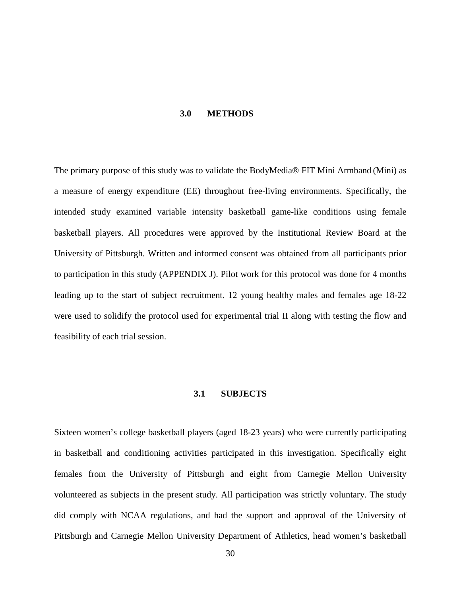#### **3.0 METHODS**

The primary purpose of this study was to validate the BodyMedia® FIT Mini Armband (Mini) as a measure of energy expenditure (EE) throughout free-living environments. Specifically, the intended study examined variable intensity basketball game-like conditions using female basketball players. All procedures were approved by the Institutional Review Board at the University of Pittsburgh. Written and informed consent was obtained from all participants prior to participation in this study (APPENDIX J). Pilot work for this protocol was done for 4 months leading up to the start of subject recruitment. 12 young healthy males and females age 18-22 were used to solidify the protocol used for experimental trial II along with testing the flow and feasibility of each trial session.

#### **3.1 SUBJECTS**

Sixteen women's college basketball players (aged 18-23 years) who were currently participating in basketball and conditioning activities participated in this investigation. Specifically eight females from the University of Pittsburgh and eight from Carnegie Mellon University volunteered as subjects in the present study. All participation was strictly voluntary. The study did comply with NCAA regulations, and had the support and approval of the University of Pittsburgh and Carnegie Mellon University Department of Athletics, head women's basketball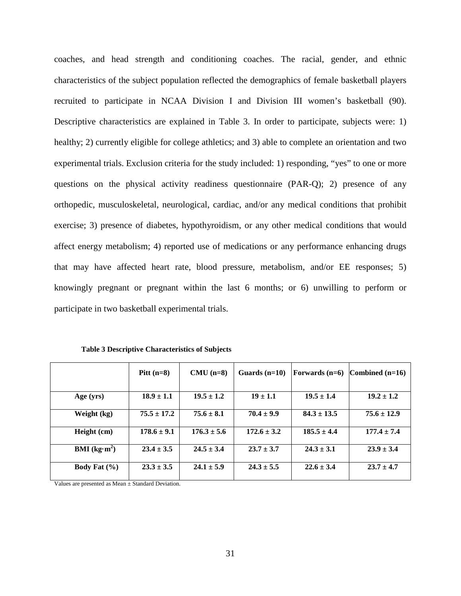coaches, and head strength and conditioning coaches. The racial, gender, and ethnic characteristics of the subject population reflected the demographics of female basketball players recruited to participate in NCAA Division I and Division III women's basketball (90). Descriptive characteristics are explained in Table 3. In order to participate, subjects were: 1) healthy; 2) currently eligible for college athletics; and 3) able to complete an orientation and two experimental trials. Exclusion criteria for the study included: 1) responding, "yes" to one or more questions on the physical activity readiness questionnaire (PAR-Q); 2) presence of any orthopedic, musculoskeletal, neurological, cardiac, and/or any medical conditions that prohibit exercise; 3) presence of diabetes, hypothyroidism, or any other medical conditions that would affect energy metabolism; 4) reported use of medications or any performance enhancing drugs that may have affected heart rate, blood pressure, metabolism, and/or EE responses; 5) knowingly pregnant or pregnant within the last 6 months; or 6) unwilling to perform or participate in two basketball experimental trials.

|                        | Pitt $(n=8)$    | $CMU$ (n=8)     | Guards $(n=10)$ | Forwards $(n=6)$ | Combined $(n=16)$ |
|------------------------|-----------------|-----------------|-----------------|------------------|-------------------|
| Age (yrs)              | $18.9 \pm 1.1$  | $19.5 \pm 1.2$  | $19 + 1.1$      | $19.5 \pm 1.4$   | $19.2 \pm 1.2$    |
| Weight (kg)            | $75.5 \pm 17.2$ | $75.6 \pm 8.1$  | $70.4 \pm 9.9$  | $84.3 \pm 13.5$  | $75.6 \pm 12.9$   |
| Height (cm)            | $178.6 \pm 9.1$ | $176.3 \pm 5.6$ | $172.6 \pm 3.2$ | $185.5 \pm 4.4$  | $177.4 \pm 7.4$   |
| <b>BMI</b> ( $kg·m2$ ) | $23.4 \pm 3.5$  | $24.5 \pm 3.4$  | $23.7 \pm 3.7$  | $24.3 \pm 3.1$   | $23.9 \pm 3.4$    |
| Body Fat $(\% )$       | $23.3 \pm 3.5$  | $24.1 \pm 5.9$  | $24.3 \pm 5.5$  | $22.6 \pm 3.4$   | $23.7 \pm 4.7$    |

**Table 3 Descriptive Characteristics of Subjects**

Values are presented as Mean ± Standard Deviation.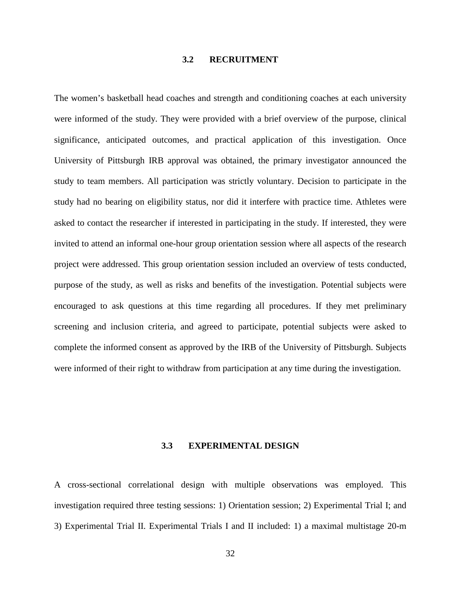## **3.2 RECRUITMENT**

The women's basketball head coaches and strength and conditioning coaches at each university were informed of the study. They were provided with a brief overview of the purpose, clinical significance, anticipated outcomes, and practical application of this investigation. Once University of Pittsburgh IRB approval was obtained, the primary investigator announced the study to team members. All participation was strictly voluntary. Decision to participate in the study had no bearing on eligibility status, nor did it interfere with practice time. Athletes were asked to contact the researcher if interested in participating in the study. If interested, they were invited to attend an informal one-hour group orientation session where all aspects of the research project were addressed. This group orientation session included an overview of tests conducted, purpose of the study, as well as risks and benefits of the investigation. Potential subjects were encouraged to ask questions at this time regarding all procedures. If they met preliminary screening and inclusion criteria, and agreed to participate, potential subjects were asked to complete the informed consent as approved by the IRB of the University of Pittsburgh. Subjects were informed of their right to withdraw from participation at any time during the investigation.

### **3.3 EXPERIMENTAL DESIGN**

A cross-sectional correlational design with multiple observations was employed. This investigation required three testing sessions: 1) Orientation session; 2) Experimental Trial I; and 3) Experimental Trial II. Experimental Trials I and II included: 1) a maximal multistage 20-m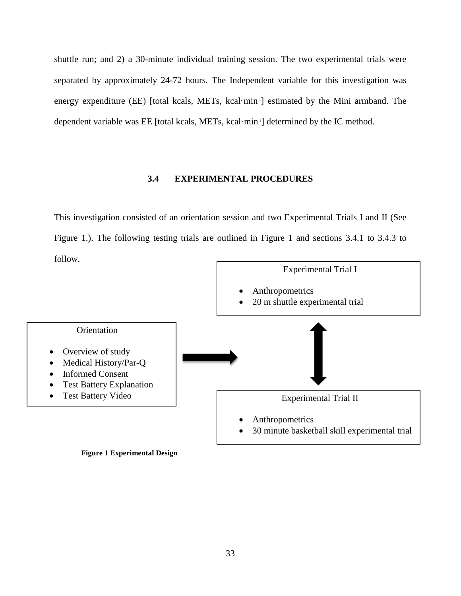shuttle run; and 2) a 30-minute individual training session. The two experimental trials were separated by approximately 24-72 hours. The Independent variable for this investigation was energy expenditure (EE) [total kcals, METs, kcal·min<sup>-1</sup>] estimated by the Mini armband. The dependent variable was EE [total kcals, METs, kcal·min-1 ] determined by the IC method.

## **3.4 EXPERIMENTAL PROCEDURES**

This investigation consisted of an orientation session and two Experimental Trials I and II (See Figure 1.). The following testing trials are outlined in Figure 1 and sections 3.4.1 to 3.4.3 to follow.



**Figure 1 Experimental Design**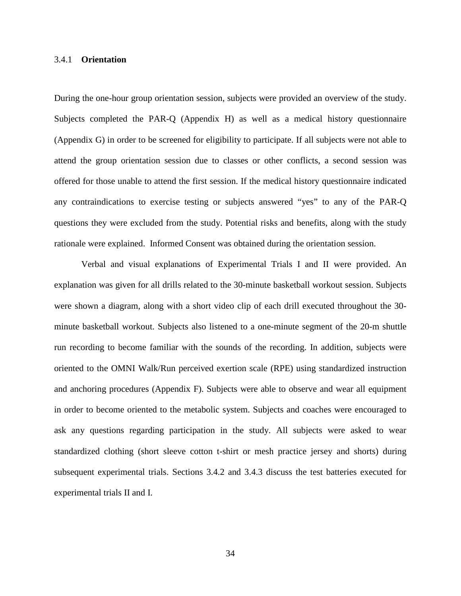### 3.4.1 **Orientation**

During the one-hour group orientation session, subjects were provided an overview of the study. Subjects completed the PAR-Q (Appendix H) as well as a medical history questionnaire (Appendix G) in order to be screened for eligibility to participate. If all subjects were not able to attend the group orientation session due to classes or other conflicts, a second session was offered for those unable to attend the first session. If the medical history questionnaire indicated any contraindications to exercise testing or subjects answered "yes" to any of the PAR-Q questions they were excluded from the study. Potential risks and benefits, along with the study rationale were explained. Informed Consent was obtained during the orientation session.

Verbal and visual explanations of Experimental Trials I and II were provided. An explanation was given for all drills related to the 30-minute basketball workout session. Subjects were shown a diagram, along with a short video clip of each drill executed throughout the 30 minute basketball workout. Subjects also listened to a one-minute segment of the 20-m shuttle run recording to become familiar with the sounds of the recording. In addition, subjects were oriented to the OMNI Walk/Run perceived exertion scale (RPE) using standardized instruction and anchoring procedures (Appendix F). Subjects were able to observe and wear all equipment in order to become oriented to the metabolic system. Subjects and coaches were encouraged to ask any questions regarding participation in the study. All subjects were asked to wear standardized clothing (short sleeve cotton t-shirt or mesh practice jersey and shorts) during subsequent experimental trials. Sections 3.4.2 and 3.4.3 discuss the test batteries executed for experimental trials II and I.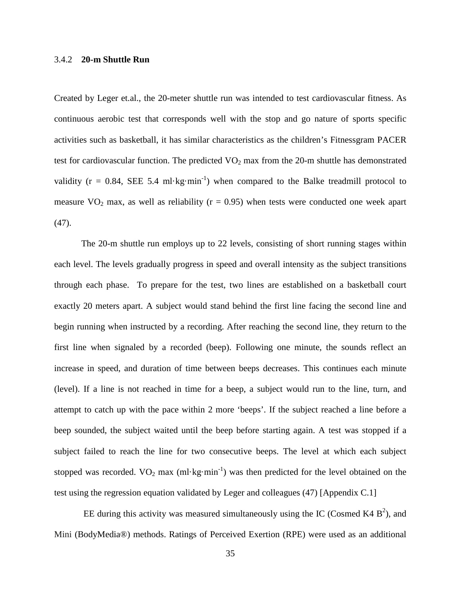### 3.4.2 **20-m Shuttle Run**

Created by Leger et.al., the 20-meter shuttle run was intended to test cardiovascular fitness. As continuous aerobic test that corresponds well with the stop and go nature of sports specific activities such as basketball, it has similar characteristics as the children's Fitnessgram PACER test for cardiovascular function. The predicted  $VO<sub>2</sub>$  max from the 20-m shuttle has demonstrated validity ( $r = 0.84$ , SEE 5.4 ml·kg·min<sup>-1</sup>) when compared to the Balke treadmill protocol to measure  $VO<sub>2</sub>$  max, as well as reliability ( $r = 0.95$ ) when tests were conducted one week apart (47).

The 20-m shuttle run employs up to 22 levels, consisting of short running stages within each level. The levels gradually progress in speed and overall intensity as the subject transitions through each phase. To prepare for the test, two lines are established on a basketball court exactly 20 meters apart. A subject would stand behind the first line facing the second line and begin running when instructed by a recording. After reaching the second line, they return to the first line when signaled by a recorded (beep). Following one minute, the sounds reflect an increase in speed, and duration of time between beeps decreases. This continues each minute (level). If a line is not reached in time for a beep, a subject would run to the line, turn, and attempt to catch up with the pace within 2 more 'beeps'. If the subject reached a line before a beep sounded, the subject waited until the beep before starting again. A test was stopped if a subject failed to reach the line for two consecutive beeps. The level at which each subject stopped was recorded.  $VO_2$  max (ml·kg·min<sup>-1</sup>) was then predicted for the level obtained on the test using the regression equation validated by Leger and colleagues (47) [Appendix C.1]

EE during this activity was measured simultaneously using the IC (Cosmed K4  $B^2$ ), and Mini (BodyMedia®) methods. Ratings of Perceived Exertion (RPE) were used as an additional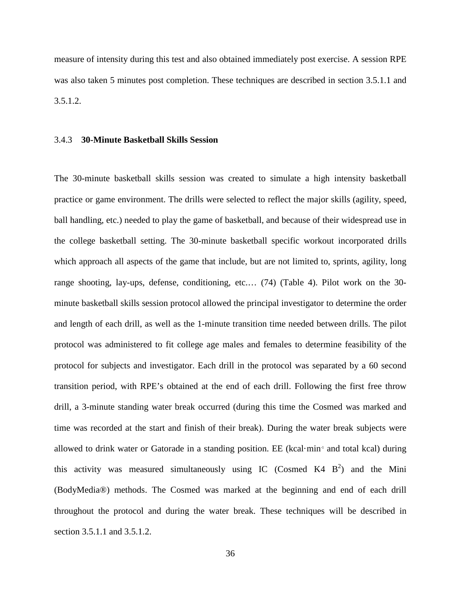measure of intensity during this test and also obtained immediately post exercise. A session RPE was also taken 5 minutes post completion. These techniques are described in section 3.5.1.1 and 3.5.1.2.

#### 3.4.3 **30-Minute Basketball Skills Session**

The 30-minute basketball skills session was created to simulate a high intensity basketball practice or game environment. The drills were selected to reflect the major skills (agility, speed, ball handling, etc.) needed to play the game of basketball, and because of their widespread use in the college basketball setting. The 30-minute basketball specific workout incorporated drills which approach all aspects of the game that include, but are not limited to, sprints, agility, long range shooting, lay-ups, defense, conditioning, etc.… (74) (Table 4). Pilot work on the 30 minute basketball skills session protocol allowed the principal investigator to determine the order and length of each drill, as well as the 1-minute transition time needed between drills. The pilot protocol was administered to fit college age males and females to determine feasibility of the protocol for subjects and investigator. Each drill in the protocol was separated by a 60 second transition period, with RPE's obtained at the end of each drill. Following the first free throw drill, a 3-minute standing water break occurred (during this time the Cosmed was marked and time was recorded at the start and finish of their break). During the water break subjects were allowed to drink water or Gatorade in a standing position. EE (kcal·min<sup>-1</sup> and total kcal) during this activity was measured simultaneously using IC (Cosmed K4  $B<sup>2</sup>$ ) and the Mini (BodyMedia®) methods. The Cosmed was marked at the beginning and end of each drill throughout the protocol and during the water break. These techniques will be described in section 3.5.1.1 and 3.5.1.2.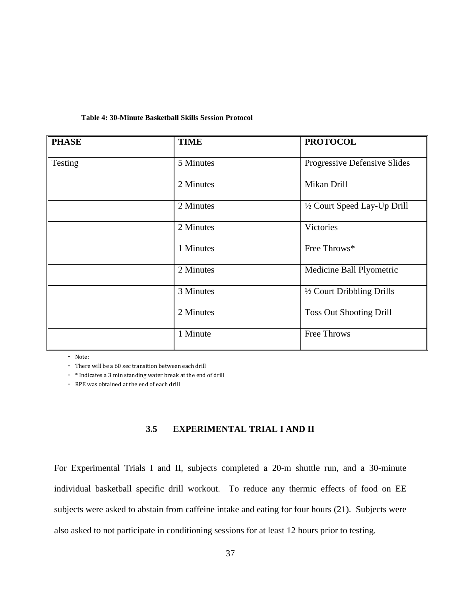| Table 4: 30-Minute Basketball Skills Session Protocol |  |  |
|-------------------------------------------------------|--|--|
|-------------------------------------------------------|--|--|

| <b>PHASE</b> | <b>TIME</b> | <b>PROTOCOL</b>                |
|--------------|-------------|--------------------------------|
| Testing      | 5 Minutes   | Progressive Defensive Slides   |
|              | 2 Minutes   | Mikan Drill                    |
|              | 2 Minutes   | 1/2 Court Speed Lay-Up Drill   |
|              | 2 Minutes   | Victories                      |
|              | 1 Minutes   | Free Throws*                   |
|              | 2 Minutes   | Medicine Ball Plyometric       |
|              | 3 Minutes   | 1/2 Court Dribbling Drills     |
|              | 2 Minutes   | <b>Toss Out Shooting Drill</b> |
|              | 1 Minute    | Free Throws                    |

- Note:

- There will be a 60 sec transition between each drill

- \* Indicates a 3 min standing water break at the end of drill

- RPE was obtained at the end of each drill

# **3.5 EXPERIMENTAL TRIAL I AND II**

For Experimental Trials I and II, subjects completed a 20-m shuttle run, and a 30-minute individual basketball specific drill workout. To reduce any thermic effects of food on EE subjects were asked to abstain from caffeine intake and eating for four hours (21). Subjects were also asked to not participate in conditioning sessions for at least 12 hours prior to testing.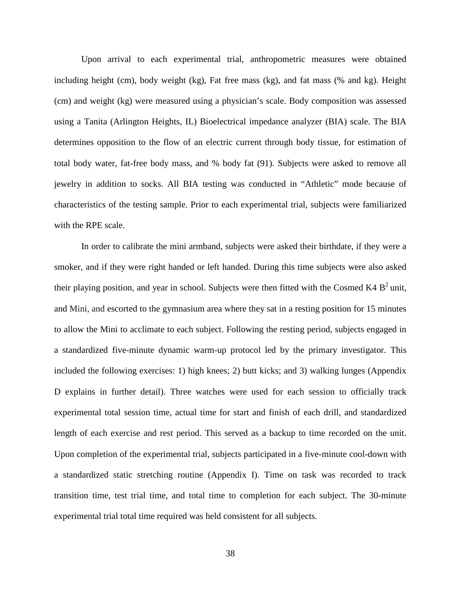Upon arrival to each experimental trial, anthropometric measures were obtained including height (cm), body weight (kg), Fat free mass (kg), and fat mass (% and kg). Height (cm) and weight (kg) were measured using a physician's scale. Body composition was assessed using a Tanita (Arlington Heights, IL) Bioelectrical impedance analyzer (BIA) scale. The BIA determines opposition to the flow of an electric current through body tissue, for estimation of total body water, fat-free body mass, and % body fat (91). Subjects were asked to remove all jewelry in addition to socks. All BIA testing was conducted in "Athletic" mode because of characteristics of the testing sample. Prior to each experimental trial, subjects were familiarized with the RPE scale.

In order to calibrate the mini armband, subjects were asked their birthdate, if they were a smoker, and if they were right handed or left handed. During this time subjects were also asked their playing position, and year in school. Subjects were then fitted with the Cosmed K4  $B^2$  unit, and Mini, and escorted to the gymnasium area where they sat in a resting position for 15 minutes to allow the Mini to acclimate to each subject. Following the resting period, subjects engaged in a standardized five-minute dynamic warm-up protocol led by the primary investigator. This included the following exercises: 1) high knees; 2) butt kicks; and 3) walking lunges (Appendix D explains in further detail). Three watches were used for each session to officially track experimental total session time, actual time for start and finish of each drill, and standardized length of each exercise and rest period. This served as a backup to time recorded on the unit. Upon completion of the experimental trial, subjects participated in a five-minute cool-down with a standardized static stretching routine (Appendix I). Time on task was recorded to track transition time, test trial time, and total time to completion for each subject. The 30-minute experimental trial total time required was held consistent for all subjects.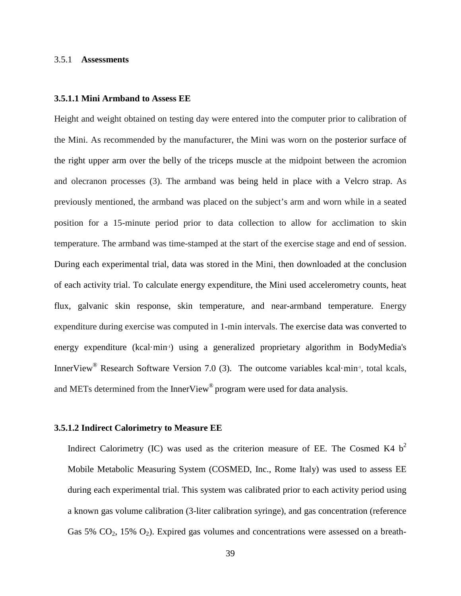#### 3.5.1 **Assessments**

#### **3.5.1.1 Mini Armband to Assess EE**

Height and weight obtained on testing day were entered into the computer prior to calibration of the Mini. As recommended by the manufacturer, the Mini was worn on the posterior surface of the right upper arm over the belly of the triceps muscle at the midpoint between the acromion and olecranon processes (3). The armband was being held in place with a Velcro strap. As previously mentioned, the armband was placed on the subject's arm and worn while in a seated position for a 15-minute period prior to data collection to allow for acclimation to skin temperature. The armband was time-stamped at the start of the exercise stage and end of session. During each experimental trial, data was stored in the Mini, then downloaded at the conclusion of each activity trial. To calculate energy expenditure, the Mini used accelerometry counts, heat flux, galvanic skin response, skin temperature, and near-armband temperature. Energy expenditure during exercise was computed in 1-min intervals. The exercise data was converted to energy expenditure (kcal·min<sup>-1</sup>) using a generalized proprietary algorithm in BodyMedia's InnerView<sup>®</sup> Research Software Version 7.0 (3). The outcome variables kcal·min<sup>-1</sup>, total kcals, and METs determined from the InnerView<sup>®</sup> program were used for data analysis.

### **3.5.1.2 Indirect Calorimetry to Measure EE**

Indirect Calorimetry (IC) was used as the criterion measure of EE. The Cosmed K4  $b<sup>2</sup>$ Mobile Metabolic Measuring System (COSMED, Inc., Rome Italy) was used to assess EE during each experimental trial. This system was calibrated prior to each activity period using a known gas volume calibration (3-liter calibration syringe), and gas concentration (reference Gas 5%  $CO<sub>2</sub>$ , 15%  $O<sub>2</sub>$ ). Expired gas volumes and concentrations were assessed on a breath-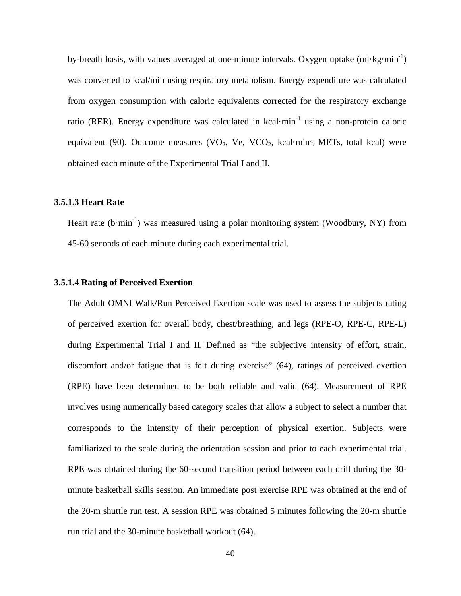by-breath basis, with values averaged at one-minute intervals. Oxygen uptake  $(ml \cdot kg \cdot min^{-1})$ was converted to kcal/min using respiratory metabolism. Energy expenditure was calculated from oxygen consumption with caloric equivalents corrected for the respiratory exchange ratio (RER). Energy expenditure was calculated in kcal·min<sup>-1</sup> using a non-protein caloric equivalent (90). Outcome measures (VO<sub>2</sub>, Ve, VCO<sub>2</sub>, kcal·min<sup>-1</sup>, METs, total kcal) were obtained each minute of the Experimental Trial I and II.

### **3.5.1.3 Heart Rate**

Heart rate  $(b·min^{-1})$  was measured using a polar monitoring system (Woodbury, NY) from 45-60 seconds of each minute during each experimental trial.

### **3.5.1.4 Rating of Perceived Exertion**

The Adult OMNI Walk/Run Perceived Exertion scale was used to assess the subjects rating of perceived exertion for overall body, chest/breathing, and legs (RPE-O, RPE-C, RPE-L) during Experimental Trial I and II. Defined as "the subjective intensity of effort, strain, discomfort and/or fatigue that is felt during exercise" (64), ratings of perceived exertion (RPE) have been determined to be both reliable and valid (64). Measurement of RPE involves using numerically based category scales that allow a subject to select a number that corresponds to the intensity of their perception of physical exertion. Subjects were familiarized to the scale during the orientation session and prior to each experimental trial. RPE was obtained during the 60-second transition period between each drill during the 30 minute basketball skills session. An immediate post exercise RPE was obtained at the end of the 20-m shuttle run test. A session RPE was obtained 5 minutes following the 20-m shuttle run trial and the 30-minute basketball workout (64).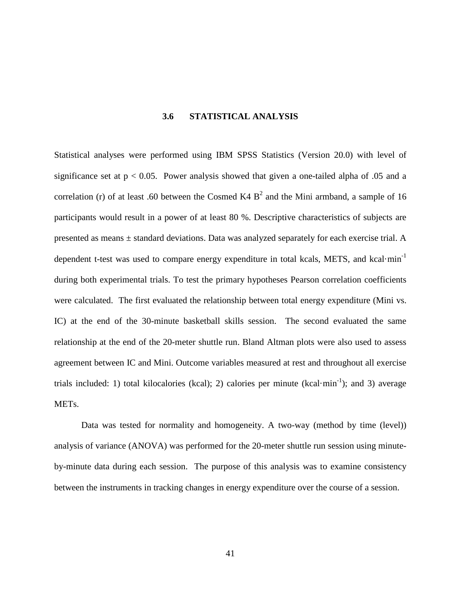# **3.6 STATISTICAL ANALYSIS**

Statistical analyses were performed using IBM SPSS Statistics (Version 20.0) with level of significance set at  $p < 0.05$ . Power analysis showed that given a one-tailed alpha of 0.05 and a correlation (r) of at least .60 between the Cosmed K4  $B<sup>2</sup>$  and the Mini armband, a sample of 16 participants would result in a power of at least 80 %. Descriptive characteristics of subjects are presented as means ± standard deviations. Data was analyzed separately for each exercise trial. A dependent t-test was used to compare energy expenditure in total kcals, METS, and kcal·min<sup>-1</sup> during both experimental trials. To test the primary hypotheses Pearson correlation coefficients were calculated. The first evaluated the relationship between total energy expenditure (Mini vs. IC) at the end of the 30-minute basketball skills session. The second evaluated the same relationship at the end of the 20-meter shuttle run. Bland Altman plots were also used to assess agreement between IC and Mini. Outcome variables measured at rest and throughout all exercise trials included: 1) total kilocalories (kcal); 2) calories per minute (kcal·min<sup>-1</sup>); and 3) average METs.

Data was tested for normality and homogeneity. A two-way (method by time (level)) analysis of variance (ANOVA) was performed for the 20-meter shuttle run session using minuteby-minute data during each session. The purpose of this analysis was to examine consistency between the instruments in tracking changes in energy expenditure over the course of a session.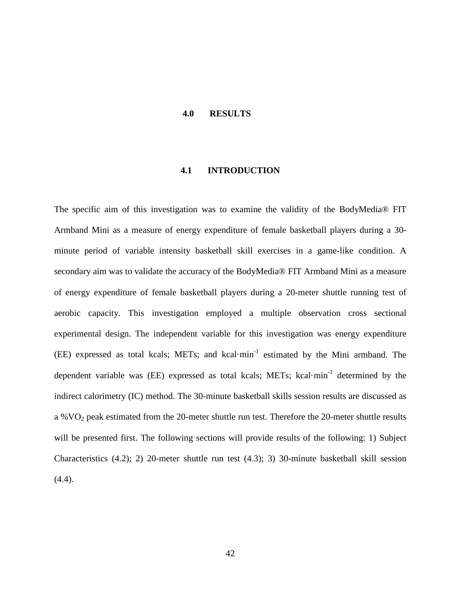#### **4.0 RESULTS**

## **4.1 INTRODUCTION**

The specific aim of this investigation was to examine the validity of the BodyMedia® FIT Armband Mini as a measure of energy expenditure of female basketball players during a 30 minute period of variable intensity basketball skill exercises in a game-like condition. A secondary aim was to validate the accuracy of the BodyMedia® FIT Armband Mini as a measure of energy expenditure of female basketball players during a 20-meter shuttle running test of aerobic capacity. This investigation employed a multiple observation cross sectional experimental design. The independent variable for this investigation was energy expenditure (EE) expressed as total kcals; METs; and kcal·min-1 estimated by the Mini armband. The dependent variable was (EE) expressed as total kcals; METs; kcal·min<sup>-1</sup> determined by the indirect calorimetry (IC) method. The 30-minute basketball skills session results are discussed as a %VO2 peak estimated from the 20-meter shuttle run test. Therefore the 20-meter shuttle results will be presented first. The following sections will provide results of the following: 1) Subject Characteristics (4.2); 2) 20-meter shuttle run test (4.3); 3) 30-minute basketball skill session (4.4).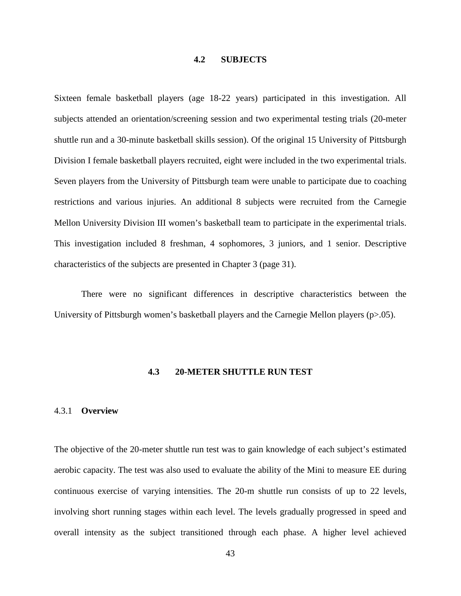## **4.2 SUBJECTS**

Sixteen female basketball players (age 18-22 years) participated in this investigation. All subjects attended an orientation/screening session and two experimental testing trials (20-meter shuttle run and a 30-minute basketball skills session). Of the original 15 University of Pittsburgh Division I female basketball players recruited, eight were included in the two experimental trials. Seven players from the University of Pittsburgh team were unable to participate due to coaching restrictions and various injuries. An additional 8 subjects were recruited from the Carnegie Mellon University Division III women's basketball team to participate in the experimental trials. This investigation included 8 freshman, 4 sophomores, 3 juniors, and 1 senior. Descriptive characteristics of the subjects are presented in Chapter 3 (page 31).

There were no significant differences in descriptive characteristics between the University of Pittsburgh women's basketball players and the Carnegie Mellon players (p>.05).

#### **4.3 20-METER SHUTTLE RUN TEST**

### 4.3.1 **Overview**

The objective of the 20-meter shuttle run test was to gain knowledge of each subject's estimated aerobic capacity. The test was also used to evaluate the ability of the Mini to measure EE during continuous exercise of varying intensities. The 20-m shuttle run consists of up to 22 levels, involving short running stages within each level. The levels gradually progressed in speed and overall intensity as the subject transitioned through each phase. A higher level achieved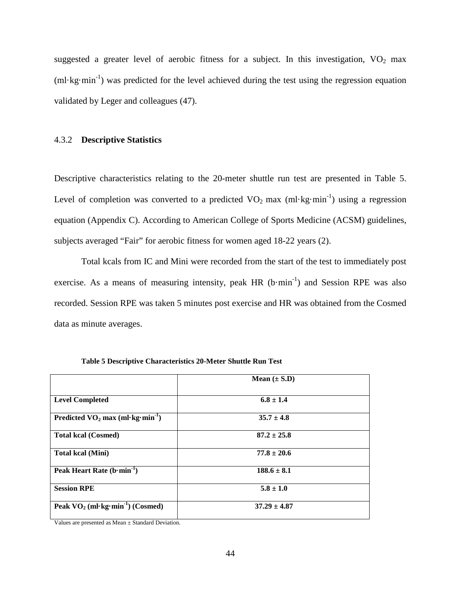suggested a greater level of aerobic fitness for a subject. In this investigation,  $VO<sub>2</sub>$  max (ml·kg·min<sup>-1</sup>) was predicted for the level achieved during the test using the regression equation validated by Leger and colleagues (47).

#### 4.3.2 **Descriptive Statistics**

Descriptive characteristics relating to the 20-meter shuttle run test are presented in Table 5. Level of completion was converted to a predicted  $VO_2$  max (ml·kg·min<sup>-1</sup>) using a regression equation (Appendix C). According to American College of Sports Medicine (ACSM) guidelines, subjects averaged "Fair" for aerobic fitness for women aged 18-22 years (2).

Total kcals from IC and Mini were recorded from the start of the test to immediately post exercise. As a means of measuring intensity, peak  $HR$  (b $\cdot$ min $^{-1}$ ) and Session RPE was also recorded. Session RPE was taken 5 minutes post exercise and HR was obtained from the Cosmed data as minute averages.

|                                                 | Mean $(\pm S.D)$ |
|-------------------------------------------------|------------------|
| <b>Level Completed</b>                          | $6.8 \pm 1.4$    |
| Predicted $VO_2$ max (ml·kg·min <sup>-1</sup> ) | $35.7 \pm 4.8$   |
| <b>Total kcal (Cosmed)</b>                      | $87.2 \pm 25.8$  |
| <b>Total kcal (Mini)</b>                        | $77.8 \pm 20.6$  |
| Peak Heart Rate $(b \cdot min^{-1})$            | $188.6 \pm 8.1$  |
| <b>Session RPE</b>                              | $5.8 \pm 1.0$    |
| Peak $VO_2$ (ml·kg·min <sup>-1</sup> ) (Cosmed) | $37.29 \pm 4.87$ |

**Table 5 Descriptive Characteristics 20-Meter Shuttle Run Test**

Values are presented as Mean ± Standard Deviation.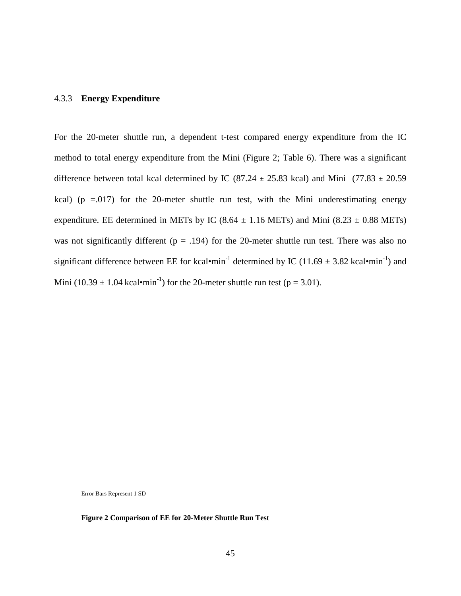#### 4.3.3 **Energy Expenditure**

For the 20-meter shuttle run, a dependent t-test compared energy expenditure from the IC method to total energy expenditure from the Mini (Figure 2; Table 6). There was a significant difference between total kcal determined by IC (87.24 **±** 25.83 kcal) and Mini (77.83 **±** 20.59 kcal) ( $p = 0.017$ ) for the 20-meter shuttle run test, with the Mini underestimating energy expenditure. EE determined in METs by IC (8.64  $\pm$  1.16 METs) and Mini (8.23  $\pm$  0.88 METs) was not significantly different ( $p = .194$ ) for the 20-meter shuttle run test. There was also no significant difference between EE for kcal•min<sup>-1</sup> determined by IC (11.69  $\pm$  3.82 kcal•min<sup>-1</sup>) and Mini (10.39  $\pm$  1.04 kcal•min<sup>-1</sup>) for the 20-meter shuttle run test (p = 3.01).

Error Bars Represent 1 SD

**Figure 2 Comparison of EE for 20-Meter Shuttle Run Test**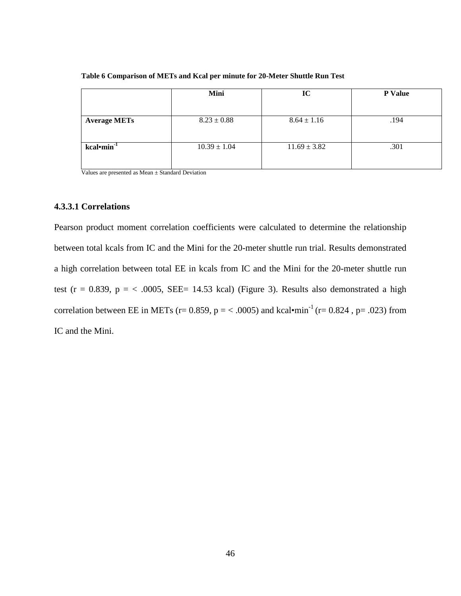|                           | Mini             | IC               | P Value |
|---------------------------|------------------|------------------|---------|
|                           |                  |                  |         |
| <b>Average METs</b>       | $8.23 \pm 0.88$  | $8.64 \pm 1.16$  | .194    |
| $kcal$ -min <sup>-1</sup> | $10.39 \pm 1.04$ | $11.69 \pm 3.82$ | .301    |

**Table 6 Comparison of METs and Kcal per minute for 20-Meter Shuttle Run Test**

Values are presented as Mean ± Standard Deviation

### **4.3.3.1 Correlations**

Pearson product moment correlation coefficients were calculated to determine the relationship between total kcals from IC and the Mini for the 20-meter shuttle run trial. Results demonstrated a high correlation between total EE in kcals from IC and the Mini for the 20-meter shuttle run test (r = 0.839, p =  $<$  .0005, SEE= 14.53 kcal) (Figure 3). Results also demonstrated a high correlation between EE in METs (r= 0.859, p = < .0005) and kcal•min<sup>-1</sup> (r= 0.824, p= .023) from IC and the Mini.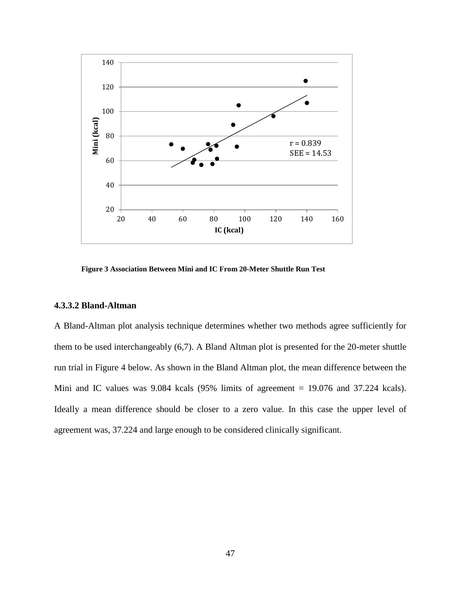

**Figure 3 Association Between Mini and IC From 20-Meter Shuttle Run Test**

### **4.3.3.2 Bland-Altman**

A Bland-Altman plot analysis technique determines whether two methods agree sufficiently for them to be used interchangeably (6,7). A Bland Altman plot is presented for the 20-meter shuttle run trial in Figure 4 below. As shown in the Bland Altman plot, the mean difference between the Mini and IC values was 9.084 kcals (95% limits of agreement = 19.076 and 37.224 kcals). Ideally a mean difference should be closer to a zero value. In this case the upper level of agreement was, 37.224 and large enough to be considered clinically significant.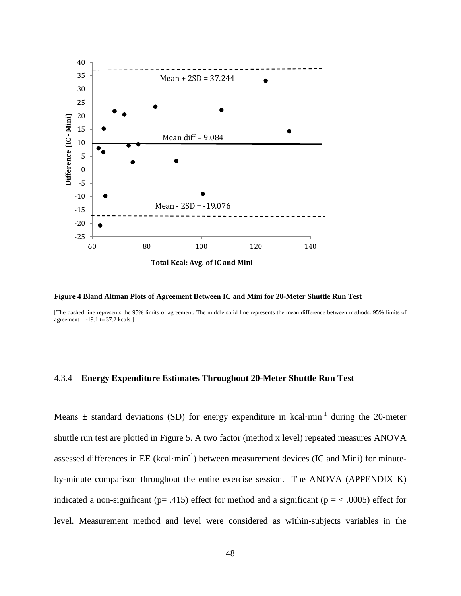

**Figure 4 Bland Altman Plots of Agreement Between IC and Mini for 20-Meter Shuttle Run Test**

[The dashed line represents the 95% limits of agreement. The middle solid line represents the mean difference between methods. 95% limits of agreement = -19.1 to 37.2 kcals.]

### 4.3.4 **Energy Expenditure Estimates Throughout 20-Meter Shuttle Run Test**

Means  $\pm$  standard deviations (SD) for energy expenditure in kcal·min<sup>-1</sup> during the 20-meter shuttle run test are plotted in Figure 5. A two factor (method x level) repeated measures ANOVA assessed differences in EE (kcal·min<sup>-1</sup>) between measurement devices (IC and Mini) for minuteby-minute comparison throughout the entire exercise session. The ANOVA (APPENDIX K) indicated a non-significant ( $p = .415$ ) effect for method and a significant ( $p = < .0005$ ) effect for level. Measurement method and level were considered as within-subjects variables in the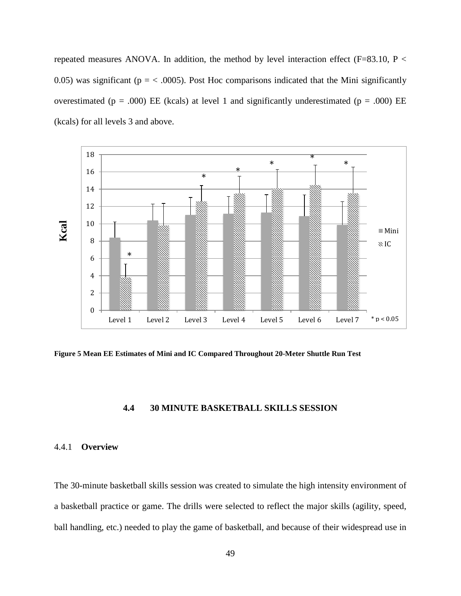repeated measures ANOVA. In addition, the method by level interaction effect (F=83.10, P  $\lt$ 0.05) was significant ( $p = < .0005$ ). Post Hoc comparisons indicated that the Mini significantly overestimated ( $p = .000$ ) EE (kcals) at level 1 and significantly underestimated ( $p = .000$ ) EE (kcals) for all levels 3 and above.



**Figure 5 Mean EE Estimates of Mini and IC Compared Throughout 20-Meter Shuttle Run Test**

## **4.4 30 MINUTE BASKETBALL SKILLS SESSION**

### 4.4.1 **Overview**

The 30-minute basketball skills session was created to simulate the high intensity environment of a basketball practice or game. The drills were selected to reflect the major skills (agility, speed, ball handling, etc.) needed to play the game of basketball, and because of their widespread use in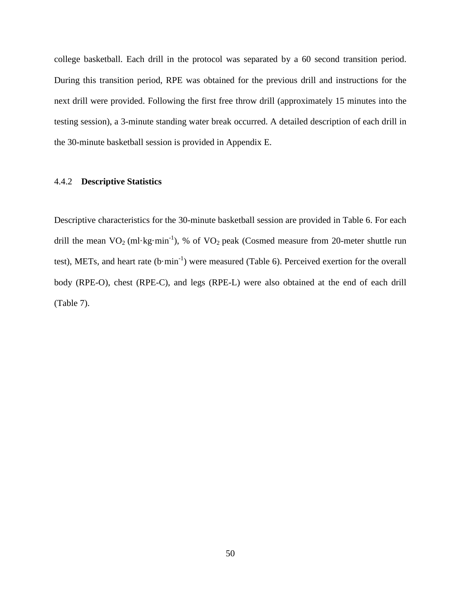college basketball. Each drill in the protocol was separated by a 60 second transition period. During this transition period, RPE was obtained for the previous drill and instructions for the next drill were provided. Following the first free throw drill (approximately 15 minutes into the testing session), a 3-minute standing water break occurred. A detailed description of each drill in the 30-minute basketball session is provided in Appendix E.

#### 4.4.2 **Descriptive Statistics**

Descriptive characteristics for the 30-minute basketball session are provided in Table 6. For each drill the mean  $VO_2$  (ml·kg·min<sup>-1</sup>), % of  $VO_2$  peak (Cosmed measure from 20-meter shuttle run test), METs, and heart rate  $(b·min^{-1})$  were measured (Table 6). Perceived exertion for the overall body (RPE-O), chest (RPE-C), and legs (RPE-L) were also obtained at the end of each drill (Table 7).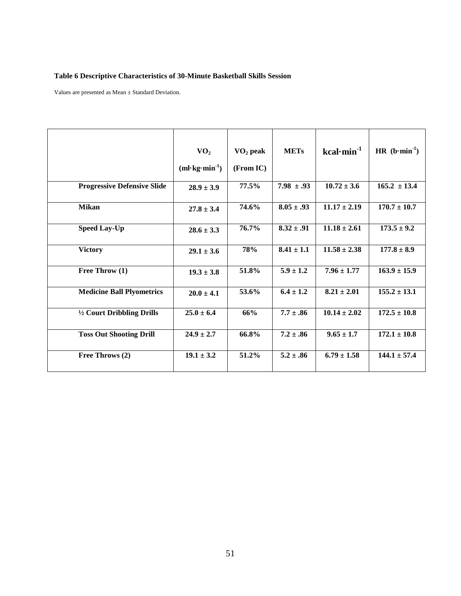# **Table 6 Descriptive Characteristics of 30-Minute Basketball Skills Session**

Values are presented as Mean ± Standard Deviation.

|                                    | VO <sub>2</sub><br>$(ml$ kg·min <sup>-1</sup> ) | $\rm VO_2$ peak<br>(From IC) | <b>METs</b>    | $kcal·min-1$     | $HR (b·min-1)$   |
|------------------------------------|-------------------------------------------------|------------------------------|----------------|------------------|------------------|
| <b>Progressive Defensive Slide</b> | $28.9 \pm 3.9$                                  | 77.5%                        | $7.98 \pm .93$ | $10.72 \pm 3.6$  | $165.2 \pm 13.4$ |
| <b>Mikan</b>                       | $27.8 \pm 3.4$                                  | 74.6%                        | $8.05 \pm .93$ | $11.17 \pm 2.19$ | $170.7 \pm 10.7$ |
| <b>Speed Lay-Up</b>                | $28.6 \pm 3.3$                                  | 76.7%                        | $8.32 \pm .91$ | $11.18 \pm 2.61$ | $173.5 \pm 9.2$  |
| <b>Victory</b>                     | $29.1 \pm 3.6$                                  | 78%                          | $8.41 \pm 1.1$ | $11.58 \pm 2.38$ | $177.8 \pm 8.9$  |
| Free Throw (1)                     | $19.3 \pm 3.8$                                  | 51.8%                        | $5.9 \pm 1.2$  | $7.96 \pm 1.77$  | $163.9 \pm 15.9$ |
| <b>Medicine Ball Plyometrics</b>   | $20.0 \pm 4.1$                                  | 53.6%                        | $6.4 \pm 1.2$  | $8.21 \pm 2.01$  | $155.2 \pm 13.1$ |
| 1/2 Court Dribbling Drills         | $25.0 \pm 6.4$                                  | 66%                          | $7.7 \pm .86$  | $10.14 \pm 2.02$ | $172.5 \pm 10.8$ |
| <b>Toss Out Shooting Drill</b>     | $24.9 \pm 2.7$                                  | 66.8%                        | $7.2 \pm .86$  | $9.65 \pm 1.7$   | $172.1 \pm 10.8$ |
| Free Throws (2)                    | $19.1 \pm 3.2$                                  | 51.2%                        | $5.2 \pm .86$  | $6.79 \pm 1.58$  | $144.1 \pm 57.4$ |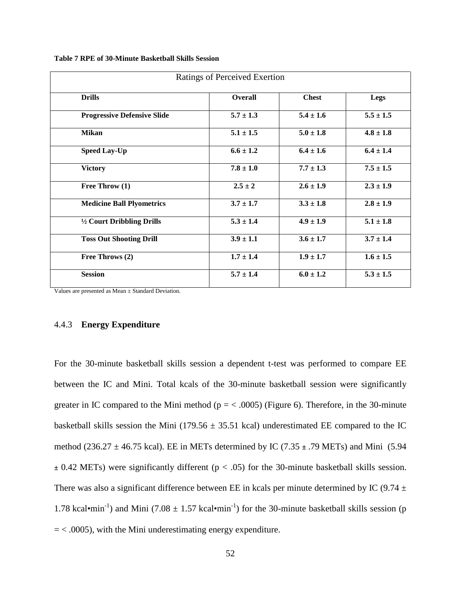**Table 7 RPE of 30-Minute Basketball Skills Session**

| Ratings of Perceived Exertion      |               |               |               |  |
|------------------------------------|---------------|---------------|---------------|--|
| <b>Drills</b>                      | Overall       | <b>Chest</b>  | Legs          |  |
| <b>Progressive Defensive Slide</b> | $5.7 \pm 1.3$ | $5.4 \pm 1.6$ | $5.5 \pm 1.5$ |  |
| <b>Mikan</b>                       | $5.1 \pm 1.5$ | $5.0 \pm 1.8$ | $4.8 \pm 1.8$ |  |
| <b>Speed Lay-Up</b>                | $6.6 \pm 1.2$ | $6.4 \pm 1.6$ | $6.4 \pm 1.4$ |  |
| <b>Victory</b>                     | $7.8 \pm 1.0$ | $7.7 \pm 1.3$ | $7.5 \pm 1.5$ |  |
| Free Throw (1)                     | $2.5 \pm 2$   | $2.6 \pm 1.9$ | $2.3 \pm 1.9$ |  |
| <b>Medicine Ball Plyometrics</b>   | $3.7 \pm 1.7$ | $3.3 \pm 1.8$ | $2.8 \pm 1.9$ |  |
| 1/2 Court Dribbling Drills         | $5.3 \pm 1.4$ | $4.9 \pm 1.9$ | $5.1 \pm 1.8$ |  |
| <b>Toss Out Shooting Drill</b>     | $3.9 \pm 1.1$ | $3.6 \pm 1.7$ | $3.7 \pm 1.4$ |  |
| Free Throws (2)                    | $1.7 \pm 1.4$ | $1.9 \pm 1.7$ | $1.6 \pm 1.5$ |  |
| <b>Session</b>                     | $5.7 \pm 1.4$ | $6.0 \pm 1.2$ | $5.3 \pm 1.5$ |  |

Values are presented as Mean ± Standard Deviation.

### 4.4.3 **Energy Expenditure**

For the 30-minute basketball skills session a dependent t-test was performed to compare EE between the IC and Mini. Total kcals of the 30-minute basketball session were significantly greater in IC compared to the Mini method ( $p = < .0005$ ) (Figure 6). Therefore, in the 30-minute basketball skills session the Mini (179.56  $\pm$  35.51 kcal) underestimated EE compared to the IC method (236.27  $\pm$  46.75 kcal). EE in METs determined by IC (7.35  $\pm$  .79 METs) and Mini (5.94 **±** 0.42 METs) were significantly different (p < .05) for the 30-minute basketball skills session. There was also a significant difference between EE in kcals per minute determined by IC (9.74  $\pm$ 1.78 kcal•min<sup>-1</sup>) and Mini (7.08  $\pm$  1.57 kcal•min<sup>-1</sup>) for the 30-minute basketball skills session (p  $=$  < .0005), with the Mini underestimating energy expenditure.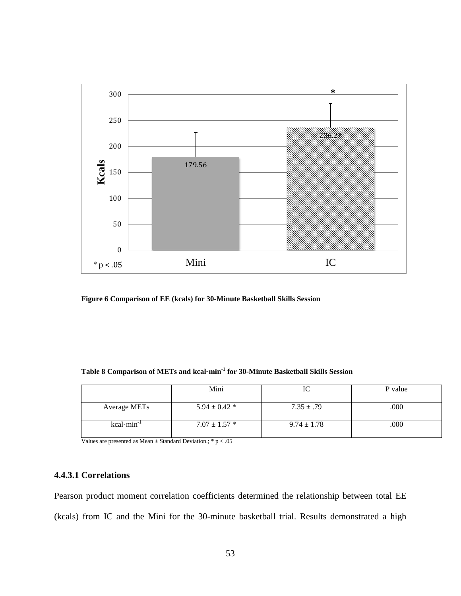

**Figure 6 Comparison of EE (kcals) for 30-Minute Basketball Skills Session**

|                     | Mini              | 1U              | P value |
|---------------------|-------------------|-----------------|---------|
| <b>Average METs</b> | $5.94 \pm 0.42$ * | $7.35 \pm .79$  | .000    |
| $kcal·min-1$        | $7.07 \pm 1.57$ * | $9.74 \pm 1.78$ | .000    |

Values are presented as Mean  $\pm$  Standard Deviation.; \* p  $<.05$ 

## **4.4.3.1 Correlations**

Pearson product moment correlation coefficients determined the relationship between total EE (kcals) from IC and the Mini for the 30-minute basketball trial. Results demonstrated a high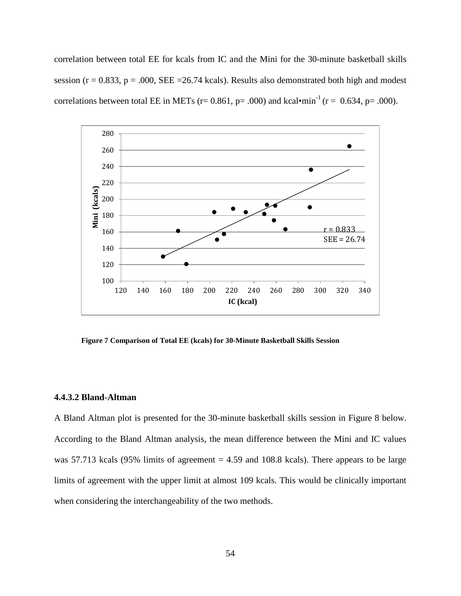correlation between total EE for kcals from IC and the Mini for the 30-minute basketball skills session ( $r = 0.833$ ,  $p = .000$ , SEE = 26.74 kcals). Results also demonstrated both high and modest correlations between total EE in METs (r= 0.861, p= .000) and kcal•min<sup>-1</sup> (r = 0.634, p= .000).



**Figure 7 Comparison of Total EE (kcals) for 30-Minute Basketball Skills Session**

### **4.4.3.2 Bland-Altman**

A Bland Altman plot is presented for the 30-minute basketball skills session in Figure 8 below. According to the Bland Altman analysis, the mean difference between the Mini and IC values was 57.713 kcals (95% limits of agreement  $= 4.59$  and 108.8 kcals). There appears to be large limits of agreement with the upper limit at almost 109 kcals. This would be clinically important when considering the interchangeability of the two methods.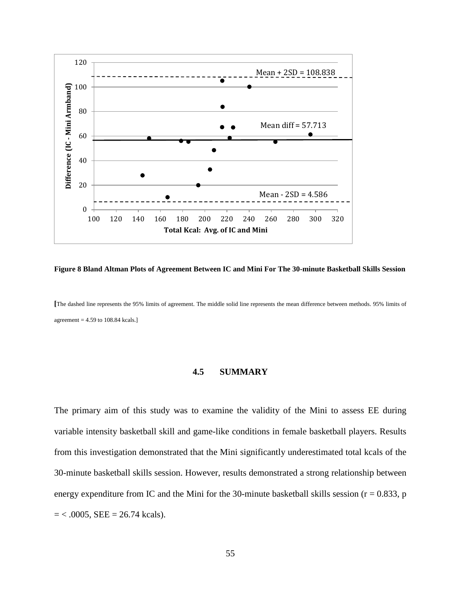

**Figure 8 Bland Altman Plots of Agreement Between IC and Mini For The 30-minute Basketball Skills Session**

**[**The dashed line represents the 95% limits of agreement. The middle solid line represents the mean difference between methods. 95% limits of agreement = 4.59 to 108.84 kcals.]

#### **4.5 SUMMARY**

The primary aim of this study was to examine the validity of the Mini to assess EE during variable intensity basketball skill and game-like conditions in female basketball players. Results from this investigation demonstrated that the Mini significantly underestimated total kcals of the 30-minute basketball skills session. However, results demonstrated a strong relationship between energy expenditure from IC and the Mini for the 30-minute basketball skills session ( $r = 0.833$ , p  $=$  < .0005, SEE = 26.74 kcals).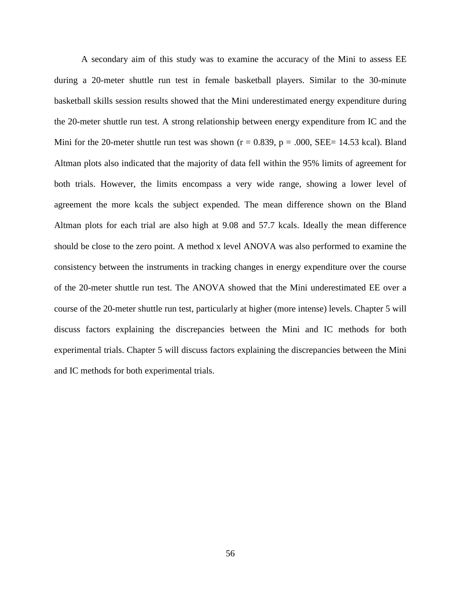A secondary aim of this study was to examine the accuracy of the Mini to assess EE during a 20-meter shuttle run test in female basketball players. Similar to the 30-minute basketball skills session results showed that the Mini underestimated energy expenditure during the 20-meter shuttle run test. A strong relationship between energy expenditure from IC and the Mini for the 20-meter shuttle run test was shown ( $r = 0.839$ ,  $p = .000$ , SEE= 14.53 kcal). Bland Altman plots also indicated that the majority of data fell within the 95% limits of agreement for both trials. However, the limits encompass a very wide range, showing a lower level of agreement the more kcals the subject expended. The mean difference shown on the Bland Altman plots for each trial are also high at 9.08 and 57.7 kcals. Ideally the mean difference should be close to the zero point. A method x level ANOVA was also performed to examine the consistency between the instruments in tracking changes in energy expenditure over the course of the 20-meter shuttle run test. The ANOVA showed that the Mini underestimated EE over a course of the 20-meter shuttle run test, particularly at higher (more intense) levels. Chapter 5 will discuss factors explaining the discrepancies between the Mini and IC methods for both experimental trials. Chapter 5 will discuss factors explaining the discrepancies between the Mini and IC methods for both experimental trials.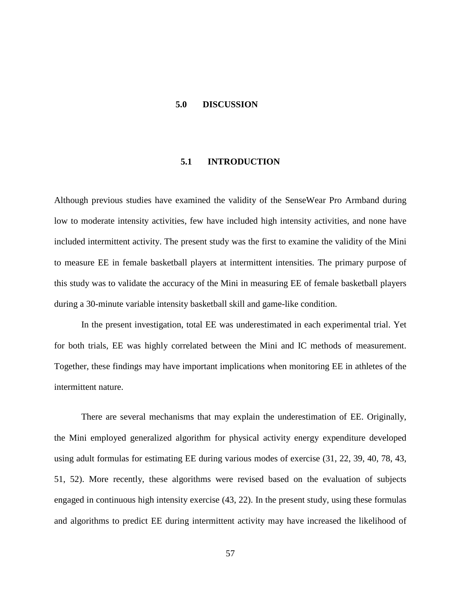### **5.0 DISCUSSION**

# **5.1 INTRODUCTION**

Although previous studies have examined the validity of the SenseWear Pro Armband during low to moderate intensity activities, few have included high intensity activities, and none have included intermittent activity. The present study was the first to examine the validity of the Mini to measure EE in female basketball players at intermittent intensities. The primary purpose of this study was to validate the accuracy of the Mini in measuring EE of female basketball players during a 30-minute variable intensity basketball skill and game-like condition.

In the present investigation, total EE was underestimated in each experimental trial. Yet for both trials, EE was highly correlated between the Mini and IC methods of measurement. Together, these findings may have important implications when monitoring EE in athletes of the intermittent nature.

There are several mechanisms that may explain the underestimation of EE. Originally, the Mini employed generalized algorithm for physical activity energy expenditure developed using adult formulas for estimating EE during various modes of exercise (31, 22, 39, 40, 78, 43, 51, 52). More recently, these algorithms were revised based on the evaluation of subjects engaged in continuous high intensity exercise (43, 22). In the present study, using these formulas and algorithms to predict EE during intermittent activity may have increased the likelihood of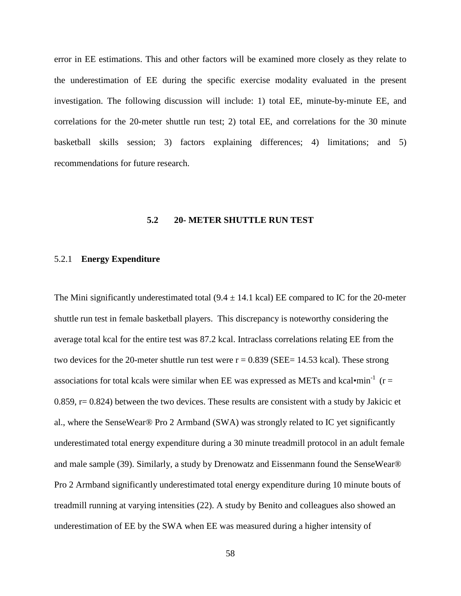error in EE estimations. This and other factors will be examined more closely as they relate to the underestimation of EE during the specific exercise modality evaluated in the present investigation. The following discussion will include: 1) total EE, minute-by-minute EE, and correlations for the 20-meter shuttle run test; 2) total EE, and correlations for the 30 minute basketball skills session; 3) factors explaining differences; 4) limitations; and 5) recommendations for future research.

### **5.2 20- METER SHUTTLE RUN TEST**

#### 5.2.1 **Energy Expenditure**

The Mini significantly underestimated total  $(9.4 \pm 14.1 \text{ kcal})$  EE compared to IC for the 20-meter shuttle run test in female basketball players. This discrepancy is noteworthy considering the average total kcal for the entire test was 87.2 kcal. Intraclass correlations relating EE from the two devices for the 20-meter shuttle run test were  $r = 0.839$  (SEE= 14.53 kcal). These strong associations for total kcals were similar when EE was expressed as METs and kcal•min<sup>-1</sup> (r =  $0.859$ , r= 0.824) between the two devices. These results are consistent with a study by Jakicic et al., where the SenseWear® Pro 2 Armband (SWA) was strongly related to IC yet significantly underestimated total energy expenditure during a 30 minute treadmill protocol in an adult female and male sample (39). Similarly, a study by Drenowatz and Eissenmann found the SenseWear® Pro 2 Armband significantly underestimated total energy expenditure during 10 minute bouts of treadmill running at varying intensities (22). A study by Benito and colleagues also showed an underestimation of EE by the SWA when EE was measured during a higher intensity of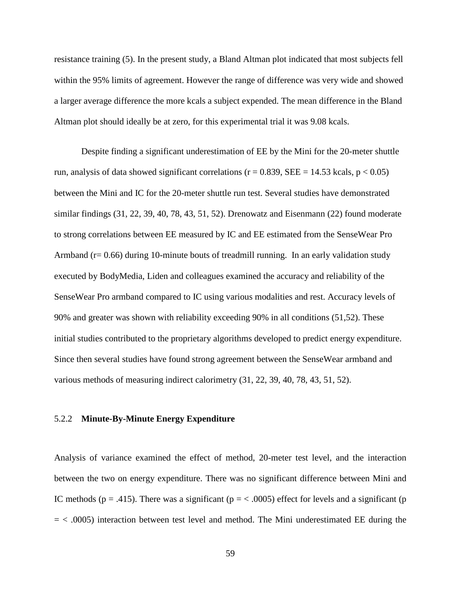resistance training (5). In the present study, a Bland Altman plot indicated that most subjects fell within the 95% limits of agreement. However the range of difference was very wide and showed a larger average difference the more kcals a subject expended. The mean difference in the Bland Altman plot should ideally be at zero, for this experimental trial it was 9.08 kcals.

Despite finding a significant underestimation of EE by the Mini for the 20-meter shuttle run, analysis of data showed significant correlations ( $r = 0.839$ , SEE = 14.53 kcals,  $p < 0.05$ ) between the Mini and IC for the 20-meter shuttle run test. Several studies have demonstrated similar findings (31, 22, 39, 40, 78, 43, 51, 52). Drenowatz and Eisenmann (22) found moderate to strong correlations between EE measured by IC and EE estimated from the SenseWear Pro Armband ( $r = 0.66$ ) during 10-minute bouts of treadmill running. In an early validation study executed by BodyMedia, Liden and colleagues examined the accuracy and reliability of the SenseWear Pro armband compared to IC using various modalities and rest. Accuracy levels of 90% and greater was shown with reliability exceeding 90% in all conditions (51,52). These initial studies contributed to the proprietary algorithms developed to predict energy expenditure. Since then several studies have found strong agreement between the SenseWear armband and various methods of measuring indirect calorimetry (31, 22, 39, 40, 78, 43, 51, 52).

#### 5.2.2 **Minute-By-Minute Energy Expenditure**

Analysis of variance examined the effect of method, 20-meter test level, and the interaction between the two on energy expenditure. There was no significant difference between Mini and IC methods ( $p = .415$ ). There was a significant ( $p = < .0005$ ) effect for levels and a significant ( $p = 0.005$ )  $=$  < .0005) interaction between test level and method. The Mini underestimated EE during the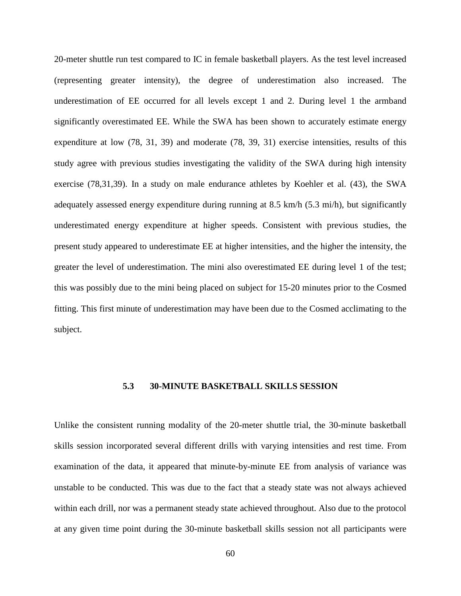20-meter shuttle run test compared to IC in female basketball players. As the test level increased (representing greater intensity), the degree of underestimation also increased. The underestimation of EE occurred for all levels except 1 and 2. During level 1 the armband significantly overestimated EE. While the SWA has been shown to accurately estimate energy expenditure at low (78, 31, 39) and moderate (78, 39, 31) exercise intensities, results of this study agree with previous studies investigating the validity of the SWA during high intensity exercise (78,31,39). In a study on male endurance athletes by Koehler et al. (43), the SWA adequately assessed energy expenditure during running at 8.5 km/h (5.3 mi/h), but significantly underestimated energy expenditure at higher speeds. Consistent with previous studies, the present study appeared to underestimate EE at higher intensities, and the higher the intensity, the greater the level of underestimation. The mini also overestimated EE during level 1 of the test; this was possibly due to the mini being placed on subject for 15-20 minutes prior to the Cosmed fitting. This first minute of underestimation may have been due to the Cosmed acclimating to the subject.

### **5.3 30-MINUTE BASKETBALL SKILLS SESSION**

Unlike the consistent running modality of the 20-meter shuttle trial, the 30-minute basketball skills session incorporated several different drills with varying intensities and rest time. From examination of the data, it appeared that minute-by-minute EE from analysis of variance was unstable to be conducted. This was due to the fact that a steady state was not always achieved within each drill, nor was a permanent steady state achieved throughout. Also due to the protocol at any given time point during the 30-minute basketball skills session not all participants were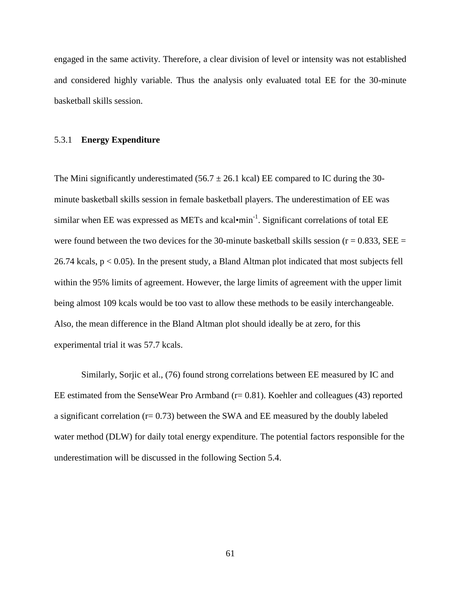engaged in the same activity. Therefore, a clear division of level or intensity was not established and considered highly variable. Thus the analysis only evaluated total EE for the 30-minute basketball skills session.

#### 5.3.1 **Energy Expenditure**

The Mini significantly underestimated (56.7  $\pm$  26.1 kcal) EE compared to IC during the 30minute basketball skills session in female basketball players. The underestimation of EE was similar when EE was expressed as METs and kcal•min<sup>-1</sup>. Significant correlations of total EE were found between the two devices for the 30-minute basketball skills session ( $r = 0.833$ , SEE = 26.74 kcals,  $p < 0.05$ ). In the present study, a Bland Altman plot indicated that most subjects fell within the 95% limits of agreement. However, the large limits of agreement with the upper limit being almost 109 kcals would be too vast to allow these methods to be easily interchangeable. Also, the mean difference in the Bland Altman plot should ideally be at zero, for this experimental trial it was 57.7 kcals.

Similarly, Sorjic et al., (76) found strong correlations between EE measured by IC and EE estimated from the SenseWear Pro Armband  $(r= 0.81)$ . Koehler and colleagues (43) reported a significant correlation  $(r= 0.73)$  between the SWA and EE measured by the doubly labeled water method (DLW) for daily total energy expenditure. The potential factors responsible for the underestimation will be discussed in the following Section 5.4.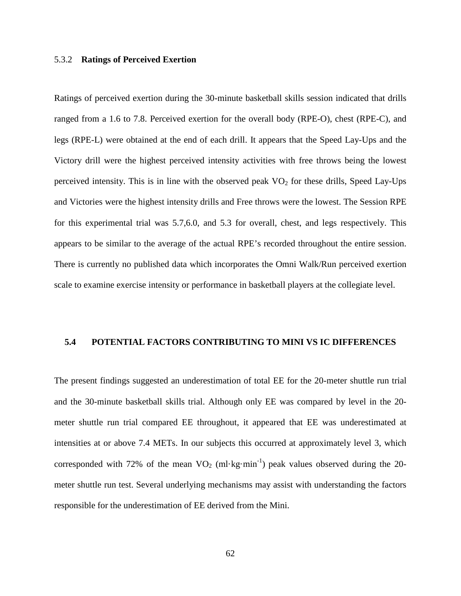#### 5.3.2 **Ratings of Perceived Exertion**

Ratings of perceived exertion during the 30-minute basketball skills session indicated that drills ranged from a 1.6 to 7.8. Perceived exertion for the overall body (RPE-O), chest (RPE-C), and legs (RPE-L) were obtained at the end of each drill. It appears that the Speed Lay-Ups and the Victory drill were the highest perceived intensity activities with free throws being the lowest perceived intensity. This is in line with the observed peak  $VO<sub>2</sub>$  for these drills, Speed Lay-Ups and Victories were the highest intensity drills and Free throws were the lowest. The Session RPE for this experimental trial was 5.7,6.0, and 5.3 for overall, chest, and legs respectively. This appears to be similar to the average of the actual RPE's recorded throughout the entire session. There is currently no published data which incorporates the Omni Walk/Run perceived exertion scale to examine exercise intensity or performance in basketball players at the collegiate level.

#### **5.4 POTENTIAL FACTORS CONTRIBUTING TO MINI VS IC DIFFERENCES**

The present findings suggested an underestimation of total EE for the 20-meter shuttle run trial and the 30-minute basketball skills trial. Although only EE was compared by level in the 20 meter shuttle run trial compared EE throughout, it appeared that EE was underestimated at intensities at or above 7.4 METs. In our subjects this occurred at approximately level 3, which corresponded with 72% of the mean  $VO_2$  (ml·kg·min<sup>-1</sup>) peak values observed during the 20meter shuttle run test. Several underlying mechanisms may assist with understanding the factors responsible for the underestimation of EE derived from the Mini.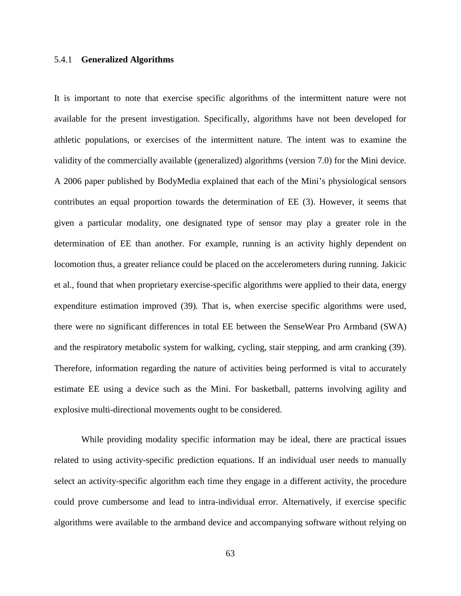#### 5.4.1 **Generalized Algorithms**

It is important to note that exercise specific algorithms of the intermittent nature were not available for the present investigation. Specifically, algorithms have not been developed for athletic populations, or exercises of the intermittent nature. The intent was to examine the validity of the commercially available (generalized) algorithms (version 7.0) for the Mini device. A 2006 paper published by BodyMedia explained that each of the Mini's physiological sensors contributes an equal proportion towards the determination of EE (3). However, it seems that given a particular modality, one designated type of sensor may play a greater role in the determination of EE than another. For example, running is an activity highly dependent on locomotion thus, a greater reliance could be placed on the accelerometers during running. Jakicic et al., found that when proprietary exercise-specific algorithms were applied to their data, energy expenditure estimation improved (39). That is, when exercise specific algorithms were used, there were no significant differences in total EE between the SenseWear Pro Armband (SWA) and the respiratory metabolic system for walking, cycling, stair stepping, and arm cranking (39). Therefore, information regarding the nature of activities being performed is vital to accurately estimate EE using a device such as the Mini. For basketball, patterns involving agility and explosive multi-directional movements ought to be considered.

While providing modality specific information may be ideal, there are practical issues related to using activity-specific prediction equations. If an individual user needs to manually select an activity-specific algorithm each time they engage in a different activity, the procedure could prove cumbersome and lead to intra-individual error. Alternatively, if exercise specific algorithms were available to the armband device and accompanying software without relying on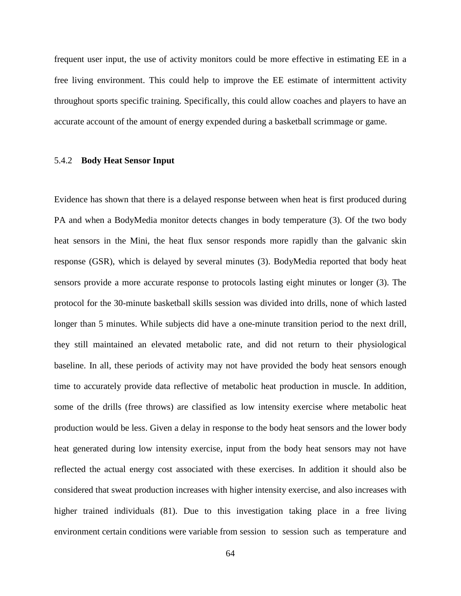frequent user input, the use of activity monitors could be more effective in estimating EE in a free living environment. This could help to improve the EE estimate of intermittent activity throughout sports specific training. Specifically, this could allow coaches and players to have an accurate account of the amount of energy expended during a basketball scrimmage or game.

#### 5.4.2 **Body Heat Sensor Input**

Evidence has shown that there is a delayed response between when heat is first produced during PA and when a BodyMedia monitor detects changes in body temperature (3). Of the two body heat sensors in the Mini, the heat flux sensor responds more rapidly than the galvanic skin response (GSR), which is delayed by several minutes (3). BodyMedia reported that body heat sensors provide a more accurate response to protocols lasting eight minutes or longer (3). The protocol for the 30-minute basketball skills session was divided into drills, none of which lasted longer than 5 minutes. While subjects did have a one-minute transition period to the next drill, they still maintained an elevated metabolic rate, and did not return to their physiological baseline. In all, these periods of activity may not have provided the body heat sensors enough time to accurately provide data reflective of metabolic heat production in muscle. In addition, some of the drills (free throws) are classified as low intensity exercise where metabolic heat production would be less. Given a delay in response to the body heat sensors and the lower body heat generated during low intensity exercise, input from the body heat sensors may not have reflected the actual energy cost associated with these exercises. In addition it should also be considered that sweat production increases with higher intensity exercise, and also increases with higher trained individuals (81). Due to this investigation taking place in a free living environment certain conditions were variable from session to session such as temperature and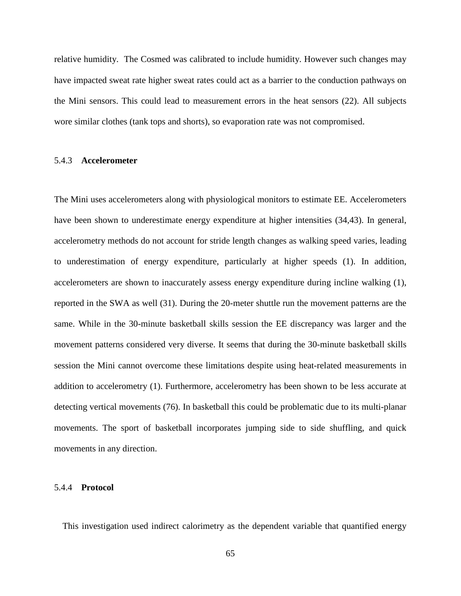relative humidity. The Cosmed was calibrated to include humidity. However such changes may have impacted sweat rate higher sweat rates could act as a barrier to the conduction pathways on the Mini sensors. This could lead to measurement errors in the heat sensors (22). All subjects wore similar clothes (tank tops and shorts), so evaporation rate was not compromised.

#### 5.4.3 **Accelerometer**

The Mini uses accelerometers along with physiological monitors to estimate EE. Accelerometers have been shown to underestimate energy expenditure at higher intensities (34,43). In general, accelerometry methods do not account for stride length changes as walking speed varies, leading to underestimation of energy expenditure, particularly at higher speeds (1). In addition, accelerometers are shown to inaccurately assess energy expenditure during incline walking (1), reported in the SWA as well (31). During the 20-meter shuttle run the movement patterns are the same. While in the 30-minute basketball skills session the EE discrepancy was larger and the movement patterns considered very diverse. It seems that during the 30-minute basketball skills session the Mini cannot overcome these limitations despite using heat-related measurements in addition to accelerometry (1). Furthermore, accelerometry has been shown to be less accurate at detecting vertical movements (76). In basketball this could be problematic due to its multi-planar movements. The sport of basketball incorporates jumping side to side shuffling, and quick movements in any direction.

#### 5.4.4 **Protocol**

This investigation used indirect calorimetry as the dependent variable that quantified energy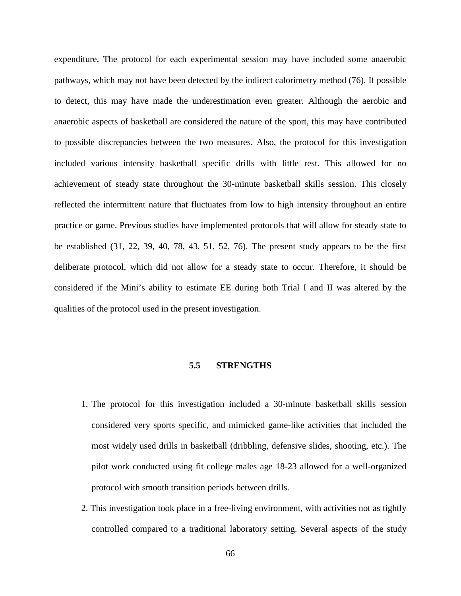expenditure. The protocol for each experimental session may have included some anaerobic pathways, which may not have been detected by the indirect calorimetry method (76). If possible to detect, this may have made the underestimation even greater. Although the aerobic and anaerobic aspects of basketball are considered the nature of the sport, this may have contributed to possible discrepancies between the two measures. Also, the protocol for this investigation included various intensity basketball specific drills with little rest. This allowed for no achievement of steady state throughout the 30-minute basketball skills session. This closely reflected the intermittent nature that fluctuates from low to high intensity throughout an entire practice or game. Previous studies have implemented protocols that will allow for steady state to be established (31, 22, 39, 40, 78, 43, 51, 52, 76). The present study appears to be the first deliberate protocol, which did not allow for a steady state to occur. Therefore, it should be considered if the Mini's ability to estimate EE during both Trial I and II was altered by the qualities of the protocol used in the present investigation.

#### **5.5 STRENGTHS**

- 1. The protocol for this investigation included a 30-minute basketball skills session considered very sports specific, and mimicked game-like activities that included the most widely used drills in basketball (dribbling, defensive slides, shooting, etc.). The pilot work conducted using fit college males age 18-23 allowed for a well-organized protocol with smooth transition periods between drills.
- 2. This investigation took place in a free-living environment, with activities not as tightly controlled compared to a traditional laboratory setting. Several aspects of the study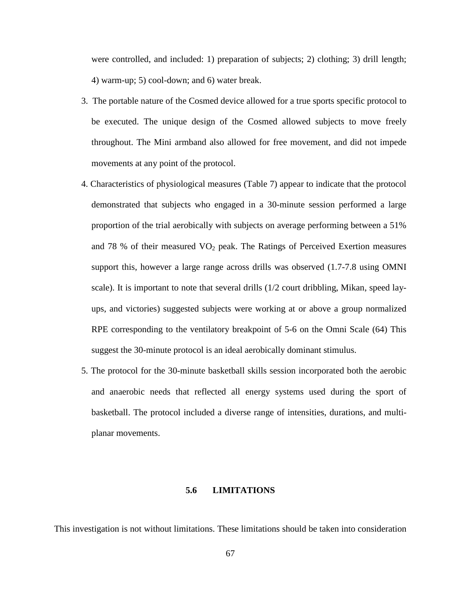were controlled, and included: 1) preparation of subjects; 2) clothing; 3) drill length; 4) warm-up; 5) cool-down; and 6) water break.

- 3. The portable nature of the Cosmed device allowed for a true sports specific protocol to be executed. The unique design of the Cosmed allowed subjects to move freely throughout. The Mini armband also allowed for free movement, and did not impede movements at any point of the protocol.
- 4. Characteristics of physiological measures (Table 7) appear to indicate that the protocol demonstrated that subjects who engaged in a 30-minute session performed a large proportion of the trial aerobically with subjects on average performing between a 51% and 78 % of their measured  $VO<sub>2</sub>$  peak. The Ratings of Perceived Exertion measures support this, however a large range across drills was observed (1.7-7.8 using OMNI scale). It is important to note that several drills (1/2 court dribbling, Mikan, speed layups, and victories) suggested subjects were working at or above a group normalized RPE corresponding to the ventilatory breakpoint of 5-6 on the Omni Scale (64) This suggest the 30-minute protocol is an ideal aerobically dominant stimulus.
- 5. The protocol for the 30-minute basketball skills session incorporated both the aerobic and anaerobic needs that reflected all energy systems used during the sport of basketball. The protocol included a diverse range of intensities, durations, and multiplanar movements.

#### **5.6 LIMITATIONS**

This investigation is not without limitations. These limitations should be taken into consideration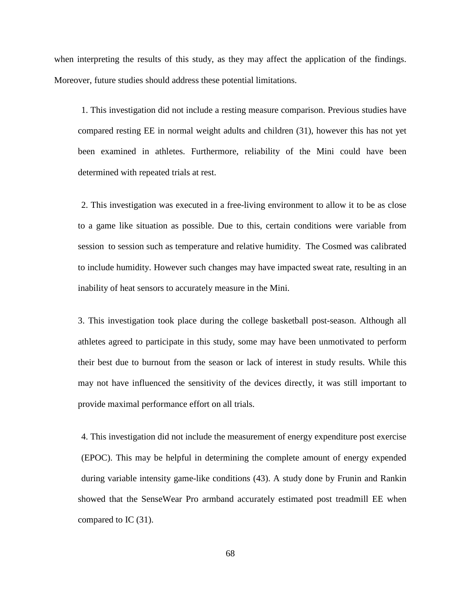when interpreting the results of this study, as they may affect the application of the findings. Moreover, future studies should address these potential limitations.

1. This investigation did not include a resting measure comparison. Previous studies have compared resting EE in normal weight adults and children (31), however this has not yet been examined in athletes. Furthermore, reliability of the Mini could have been determined with repeated trials at rest.

2. This investigation was executed in a free-living environment to allow it to be as close to a game like situation as possible. Due to this, certain conditions were variable from session to session such as temperature and relative humidity. The Cosmed was calibrated to include humidity. However such changes may have impacted sweat rate, resulting in an inability of heat sensors to accurately measure in the Mini.

3. This investigation took place during the college basketball post-season. Although all athletes agreed to participate in this study, some may have been unmotivated to perform their best due to burnout from the season or lack of interest in study results. While this may not have influenced the sensitivity of the devices directly, it was still important to provide maximal performance effort on all trials.

4. This investigation did not include the measurement of energy expenditure post exercise (EPOC). This may be helpful in determining the complete amount of energy expended during variable intensity game-like conditions (43). A study done by Frunin and Rankin showed that the SenseWear Pro armband accurately estimated post treadmill EE when compared to IC (31).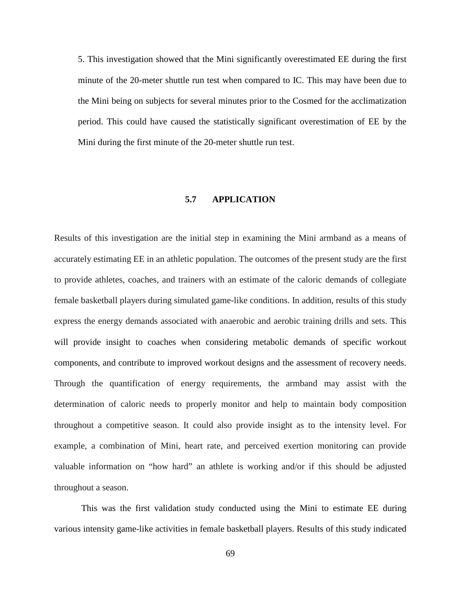5. This investigation showed that the Mini significantly overestimated EE during the first minute of the 20-meter shuttle run test when compared to IC. This may have been due to the Mini being on subjects for several minutes prior to the Cosmed for the acclimatization period. This could have caused the statistically significant overestimation of EE by the Mini during the first minute of the 20-meter shuttle run test.

#### **5.7 APPLICATION**

Results of this investigation are the initial step in examining the Mini armband as a means of accurately estimating EE in an athletic population. The outcomes of the present study are the first to provide athletes, coaches, and trainers with an estimate of the caloric demands of collegiate female basketball players during simulated game-like conditions. In addition, results of this study express the energy demands associated with anaerobic and aerobic training drills and sets. This will provide insight to coaches when considering metabolic demands of specific workout components, and contribute to improved workout designs and the assessment of recovery needs. Through the quantification of energy requirements, the armband may assist with the determination of caloric needs to properly monitor and help to maintain body composition throughout a competitive season. It could also provide insight as to the intensity level. For example, a combination of Mini, heart rate, and perceived exertion monitoring can provide valuable information on "how hard" an athlete is working and/or if this should be adjusted throughout a season.

This was the first validation study conducted using the Mini to estimate EE during various intensity game-like activities in female basketball players. Results of this study indicated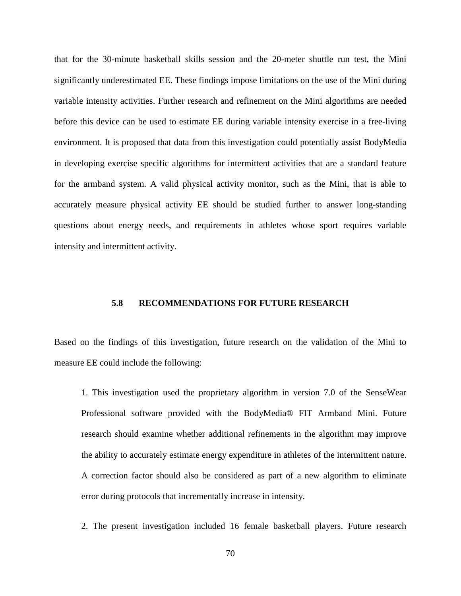that for the 30-minute basketball skills session and the 20-meter shuttle run test, the Mini significantly underestimated EE. These findings impose limitations on the use of the Mini during variable intensity activities. Further research and refinement on the Mini algorithms are needed before this device can be used to estimate EE during variable intensity exercise in a free-living environment. It is proposed that data from this investigation could potentially assist BodyMedia in developing exercise specific algorithms for intermittent activities that are a standard feature for the armband system. A valid physical activity monitor, such as the Mini, that is able to accurately measure physical activity EE should be studied further to answer long-standing questions about energy needs, and requirements in athletes whose sport requires variable intensity and intermittent activity.

#### **5.8 RECOMMENDATIONS FOR FUTURE RESEARCH**

Based on the findings of this investigation, future research on the validation of the Mini to measure EE could include the following:

1. This investigation used the proprietary algorithm in version 7.0 of the SenseWear Professional software provided with the BodyMedia® FIT Armband Mini. Future research should examine whether additional refinements in the algorithm may improve the ability to accurately estimate energy expenditure in athletes of the intermittent nature. A correction factor should also be considered as part of a new algorithm to eliminate error during protocols that incrementally increase in intensity.

2. The present investigation included 16 female basketball players. Future research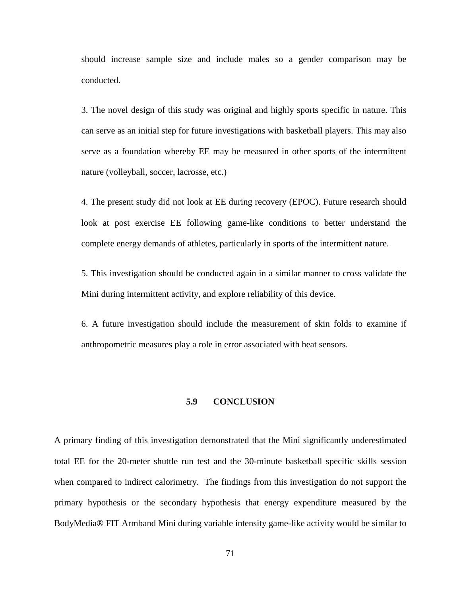should increase sample size and include males so a gender comparison may be conducted.

3. The novel design of this study was original and highly sports specific in nature. This can serve as an initial step for future investigations with basketball players. This may also serve as a foundation whereby EE may be measured in other sports of the intermittent nature (volleyball, soccer, lacrosse, etc.)

4. The present study did not look at EE during recovery (EPOC). Future research should look at post exercise EE following game-like conditions to better understand the complete energy demands of athletes, particularly in sports of the intermittent nature.

5. This investigation should be conducted again in a similar manner to cross validate the Mini during intermittent activity, and explore reliability of this device.

6. A future investigation should include the measurement of skin folds to examine if anthropometric measures play a role in error associated with heat sensors.

#### **5.9 CONCLUSION**

A primary finding of this investigation demonstrated that the Mini significantly underestimated total EE for the 20-meter shuttle run test and the 30-minute basketball specific skills session when compared to indirect calorimetry. The findings from this investigation do not support the primary hypothesis or the secondary hypothesis that energy expenditure measured by the BodyMedia® FIT Armband Mini during variable intensity game-like activity would be similar to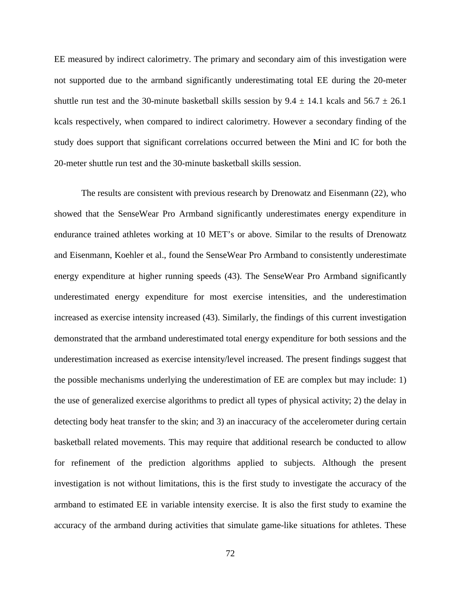EE measured by indirect calorimetry. The primary and secondary aim of this investigation were not supported due to the armband significantly underestimating total EE during the 20-meter shuttle run test and the 30-minute basketball skills session by  $9.4 \pm 14.1$  kcals and  $56.7 \pm 26.1$ kcals respectively, when compared to indirect calorimetry. However a secondary finding of the study does support that significant correlations occurred between the Mini and IC for both the 20-meter shuttle run test and the 30-minute basketball skills session.

The results are consistent with previous research by Drenowatz and Eisenmann (22), who showed that the SenseWear Pro Armband significantly underestimates energy expenditure in endurance trained athletes working at 10 MET's or above. Similar to the results of Drenowatz and Eisenmann, Koehler et al., found the SenseWear Pro Armband to consistently underestimate energy expenditure at higher running speeds (43). The SenseWear Pro Armband significantly underestimated energy expenditure for most exercise intensities, and the underestimation increased as exercise intensity increased (43). Similarly, the findings of this current investigation demonstrated that the armband underestimated total energy expenditure for both sessions and the underestimation increased as exercise intensity/level increased. The present findings suggest that the possible mechanisms underlying the underestimation of EE are complex but may include: 1) the use of generalized exercise algorithms to predict all types of physical activity; 2) the delay in detecting body heat transfer to the skin; and 3) an inaccuracy of the accelerometer during certain basketball related movements. This may require that additional research be conducted to allow for refinement of the prediction algorithms applied to subjects. Although the present investigation is not without limitations, this is the first study to investigate the accuracy of the armband to estimated EE in variable intensity exercise. It is also the first study to examine the accuracy of the armband during activities that simulate game-like situations for athletes. These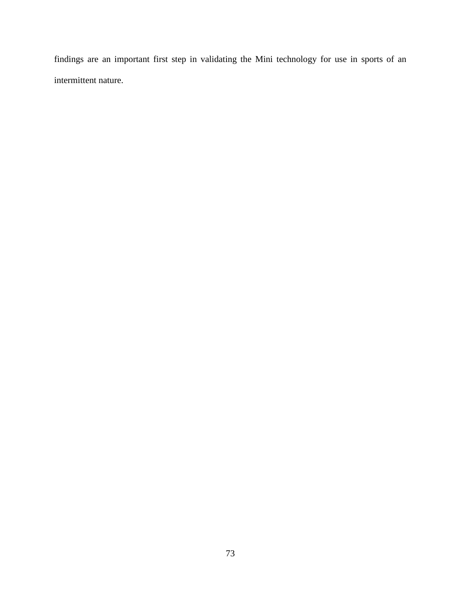findings are an important first step in validating the Mini technology for use in sports of an intermittent nature.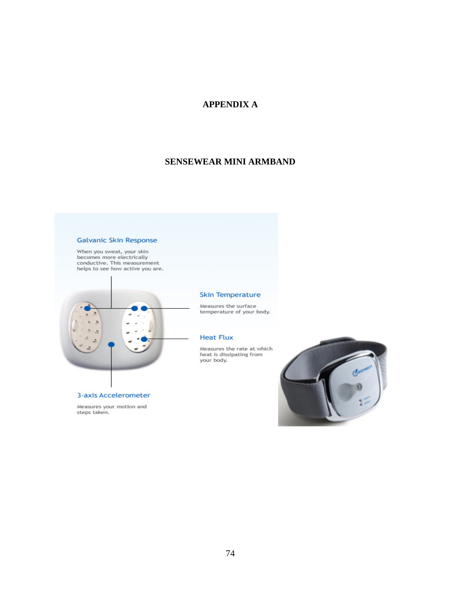# **APPENDIX A**

## **SENSEWEAR MINI ARMBAND**

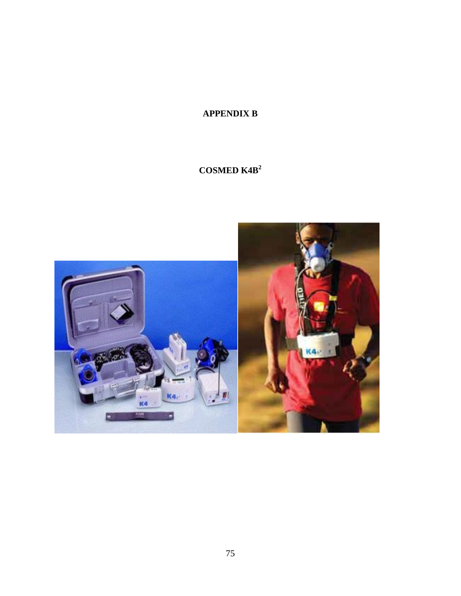# **APPENDIX B**

# **COSMED K4B<sup>2</sup>**

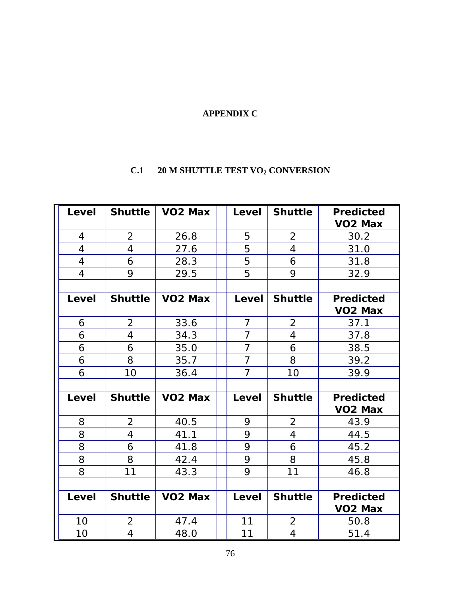# **APPENDIX C**

# **C.1 20 M SHUTTLE TEST VO2 CONVERSION**

| Level          | <b>Shuttle</b> | VO <sub>2</sub> Max | Level          | <b>Shuttle</b> | <b>Predicted</b><br><b>VO2 Max</b> |
|----------------|----------------|---------------------|----------------|----------------|------------------------------------|
| $\overline{4}$ | $\overline{2}$ | 26.8                | 5              | $\overline{2}$ | 30.2                               |
| $\overline{4}$ | $\overline{4}$ | 27.6                | 5              | $\overline{4}$ | 31.0                               |
| $\overline{4}$ | 6              | 28.3                | 5              | 6              | 31.8                               |
| 4              | 9              | 29.5                | 5              | 9              | 32.9                               |
|                |                |                     |                |                |                                    |
| Level          | <b>Shuttle</b> | VO <sub>2</sub> Max | Level          | <b>Shuttle</b> | <b>Predicted</b>                   |
|                |                |                     |                |                | <b>VO2 Max</b>                     |
| 6              | $\overline{2}$ | 33.6                | $\overline{7}$ | $\overline{2}$ | 37.1                               |
| 6              | 4              | 34.3                | $\overline{7}$ | $\overline{4}$ | 37.8                               |
| 6              | 6              | 35.0                | $\overline{7}$ | 6              | 38.5                               |
| 6              | 8              | 35.7                | $\overline{7}$ | 8              | 39.2                               |
| 6              | 10             | 36.4                | $\overline{7}$ | 10             | 39.9                               |
|                |                |                     |                |                |                                    |
| Level          | <b>Shuttle</b> | VO <sub>2</sub> Max | Level          | <b>Shuttle</b> | <b>Predicted</b>                   |
|                |                |                     |                |                | <b>VO2 Max</b>                     |
| 8              | $\overline{2}$ | 40.5                | 9              | $\overline{2}$ | 43.9                               |
| 8              | 4              | 41.1                | 9              | $\overline{4}$ | 44.5                               |
| 8              | 6              | 41.8                | 9              | 6              | 45.2                               |
| 8              | 8              | 42.4                | 9              | 8              | 45.8                               |
| 8              | 11             | 43.3                | 9              | 11             | 46.8                               |
|                |                |                     |                |                |                                    |
| Level          | <b>Shuttle</b> | VO <sub>2</sub> Max | Level          | <b>Shuttle</b> | <b>Predicted</b>                   |
|                |                |                     |                |                | VO <sub>2</sub> Max                |
| 10             | $\overline{2}$ | 47.4                | 11             | $\overline{2}$ | 50.8                               |
| 10             | 4              | 48.0                | 11             | $\overline{4}$ | 51.4                               |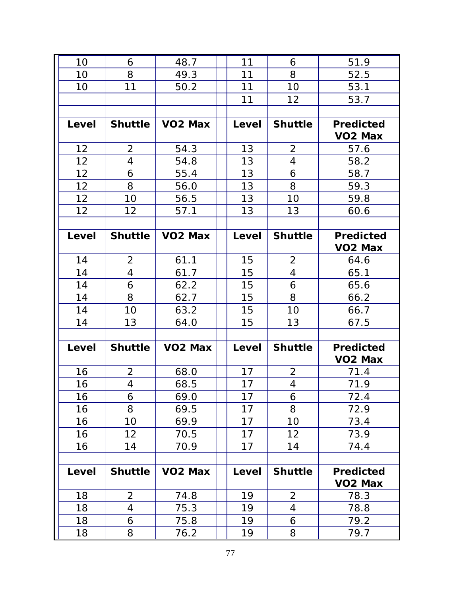| 10    | 6              | 48.7                | 11    | 6              | 51.9                |
|-------|----------------|---------------------|-------|----------------|---------------------|
| 10    | 8              | 49.3                | 11    | 8              | 52.5                |
| 10    | 11             | 50.2                | 11    | 10             | 53.1                |
|       |                |                     | 11    | 12             | 53.7                |
|       |                |                     |       |                |                     |
| Level | <b>Shuttle</b> | VO <sub>2</sub> Max | Level | <b>Shuttle</b> | <b>Predicted</b>    |
|       |                |                     |       |                | VO <sub>2</sub> Max |
| 12    | $\overline{2}$ | 54.3                | 13    | $\overline{2}$ | 57.6                |
| 12    | 4              | 54.8                | 13    | $\overline{4}$ | 58.2                |
| 12    | 6              | 55.4                | 13    | 6              | 58.7                |
| 12    | 8              | 56.0                | 13    | 8              | 59.3                |
| 12    | 10             | 56.5                | 13    | 10             | 59.8                |
| 12    | 12             | 57.1                | 13    | 13             | 60.6                |
|       |                |                     |       |                |                     |
| Level | <b>Shuttle</b> | VO <sub>2</sub> Max | Level | <b>Shuttle</b> | <b>Predicted</b>    |
|       |                |                     |       |                | VO <sub>2</sub> Max |
| 14    | $\overline{2}$ | 61.1                | 15    | $\overline{2}$ | 64.6                |
| 14    | 4              | 61.7                | 15    | $\overline{4}$ | 65.1                |
| 14    | 6              | 62.2                | 15    | 6              | 65.6                |
| 14    | 8              | 62.7                | 15    | 8              | 66.2                |
| 14    | 10             | 63.2                | 15    | 10             | 66.7                |
| 14    | 13             | 64.0                | 15    | 13             | 67.5                |
|       |                |                     |       |                |                     |
| Level | <b>Shuttle</b> | <b>VO2 Max</b>      | Level | <b>Shuttle</b> | <b>Predicted</b>    |
|       |                |                     |       |                | VO <sub>2</sub> Max |
| 16    | $\overline{2}$ | 68.0                | 17    | $\overline{2}$ | 71.4                |
| 16    | 4              | 68.5                | 17    | 4              | 71.9                |
| 16    | 6              | 69.0                | 17    | 6              | 72.4                |
| 16    | 8              | 69.5                | 17    | 8              | 72.9                |
| 16    | 10             | 69.9                | 17    | 10             | 73.4                |
| 16    | 12             | 70.5                | 17    | 12             | 73.9                |
| 16    | 14             | 70.9                | 17    | 14             | 74.4                |
|       |                |                     |       |                |                     |
| Level | <b>Shuttle</b> | VO <sub>2</sub> Max | Level | <b>Shuttle</b> | <b>Predicted</b>    |
|       |                |                     |       |                | VO <sub>2</sub> Max |
| 18    | $\overline{2}$ | 74.8                | 19    | $\overline{2}$ | 78.3                |
| 18    | 4              | 75.3                | 19    | 4              | 78.8                |
| 18    | 6              | 75.8                | 19    | 6              | 79.2                |
| 18    | 8              | 76.2                | 19    | 8              | 79.7                |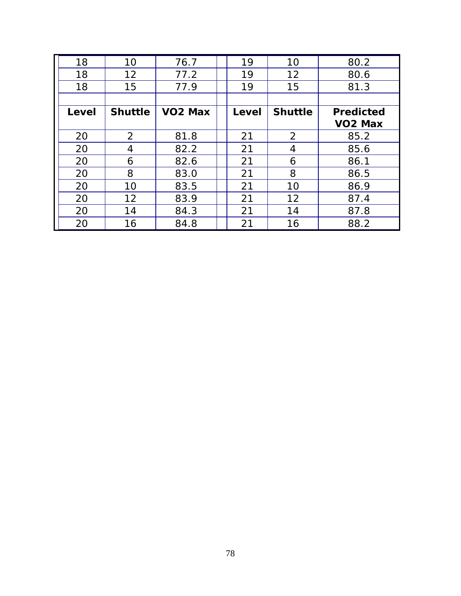| 18    | 10             | 76.7                | 19    | 10             | 80.2             |
|-------|----------------|---------------------|-------|----------------|------------------|
| 18    | 12             | 77.2                | 19    | 12             | 80.6             |
| 18    | 15             | 77.9                | 19    | 15             | 81.3             |
|       |                |                     |       |                |                  |
| Level | <b>Shuttle</b> | VO <sub>2</sub> Max | Level | <b>Shuttle</b> | <b>Predicted</b> |
|       |                |                     |       |                | <b>VO2 Max</b>   |
| 20    | 2              | 81.8                | 21    | $\overline{2}$ | 85.2             |
| 20    | 4              | 82.2                | 21    | 4              | 85.6             |
| 20    | 6              | 82.6                | 21    | 6              | 86.1             |
| 20    | 8              | 83.0                | 21    | 8              | 86.5             |
| 20    | 10             | 83.5                | 21    | 10             | 86.9             |
| 20    | 12             | 83.9                | 21    | 12             | 87.4             |
| 20    | 14             | 84.3                | 21    | 14             | 87.8             |
| 20    | 16             | 84.8                | 21    | 16             | 88.2             |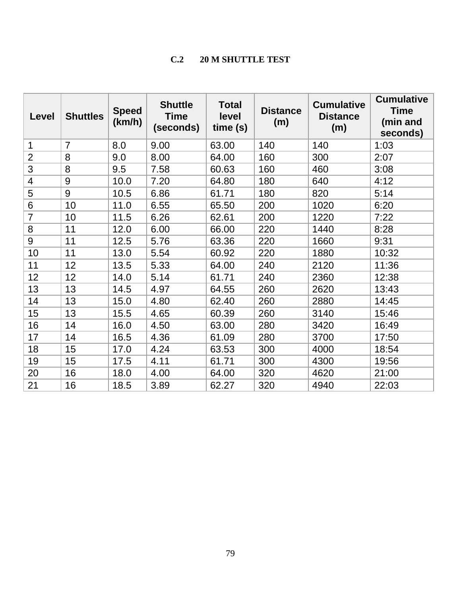# **C.2 20 M SHUTTLE TEST**

| <b>Level</b>   | <b>Shuttles</b> | <b>Speed</b><br>(km/h) | <b>Shuttle</b><br><b>Time</b><br>(seconds) | <b>Total</b><br>level<br>time(s) | <b>Distance</b><br>(m) | <b>Cumulative</b><br><b>Distance</b><br>(m) | <b>Cumulative</b><br><b>Time</b><br>(min and<br>seconds) |
|----------------|-----------------|------------------------|--------------------------------------------|----------------------------------|------------------------|---------------------------------------------|----------------------------------------------------------|
| 1              | $\overline{7}$  | 8.0                    | 9.00                                       | 63.00                            | 140                    | 140                                         | 1:03                                                     |
| $\overline{2}$ | 8               | 9.0                    | 8.00                                       | 64.00                            | 160                    | 300                                         | 2:07                                                     |
| 3              | 8               | 9.5                    | 7.58                                       | 60.63                            | 160                    | 460                                         | 3:08                                                     |
| 4              | $9\,$           | 10.0                   | 7.20                                       | 64.80                            | 180                    | 640                                         | 4:12                                                     |
| 5              | 9               | 10.5                   | 6.86                                       | 61.71                            | 180                    | 820                                         | 5:14                                                     |
| 6              | 10              | 11.0                   | 6.55                                       | 65.50                            | 200                    | 1020                                        | 6:20                                                     |
| $\overline{7}$ | 10              | 11.5                   | 6.26                                       | 62.61                            | 200                    | 1220                                        | 7:22                                                     |
| 8              | 11              | 12.0                   | 6.00                                       | 66.00                            | 220                    | 1440                                        | 8:28                                                     |
| 9              | 11              | 12.5                   | 5.76                                       | 63.36                            | 220                    | 1660                                        | 9:31                                                     |
| 10             | 11              | 13.0                   | 5.54                                       | 60.92                            | 220                    | 1880                                        | 10:32                                                    |
| 11             | 12              | 13.5                   | 5.33                                       | 64.00                            | 240                    | 2120                                        | 11:36                                                    |
| 12             | 12              | 14.0                   | 5.14                                       | 61.71                            | 240                    | 2360                                        | 12:38                                                    |
| 13             | 13              | 14.5                   | 4.97                                       | 64.55                            | 260                    | 2620                                        | 13:43                                                    |
| 14             | 13              | 15.0                   | 4.80                                       | 62.40                            | 260                    | 2880                                        | 14:45                                                    |
| 15             | 13              | 15.5                   | 4.65                                       | 60.39                            | 260                    | 3140                                        | 15:46                                                    |
| 16             | 14              | 16.0                   | 4.50                                       | 63.00                            | 280                    | 3420                                        | 16:49                                                    |
| 17             | 14              | 16.5                   | 4.36                                       | 61.09                            | 280                    | 3700                                        | 17:50                                                    |
| 18             | 15              | 17.0                   | 4.24                                       | 63.53                            | 300                    | 4000                                        | 18:54                                                    |
| 19             | 15              | 17.5                   | 4.11                                       | 61.71                            | 300                    | 4300                                        | 19:56                                                    |
| 20             | 16              | 18.0                   | 4.00                                       | 64.00                            | 320                    | 4620                                        | 21:00                                                    |
| 21             | 16              | 18.5                   | 3.89                                       | 62.27                            | 320                    | 4940                                        | 22:03                                                    |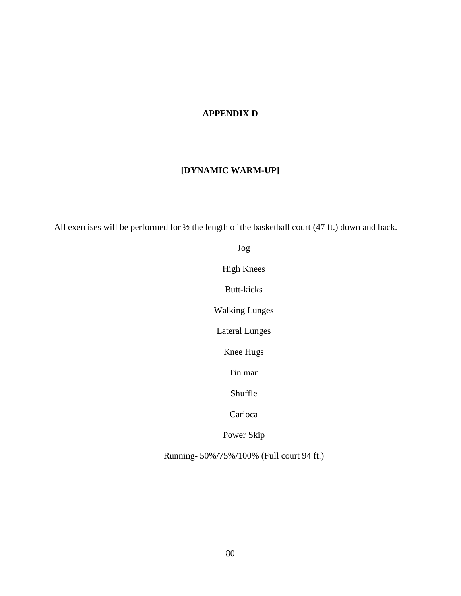# **APPENDIX D**

# **[DYNAMIC WARM-UP]**

All exercises will be performed for ½ the length of the basketball court (47 ft.) down and back.

Jog

High Knees

Butt-kicks

Walking Lunges

Lateral Lunges

Knee Hugs

Tin man

Shuffle

Carioca

Power Skip

Running- 50%/75%/100% (Full court 94 ft.)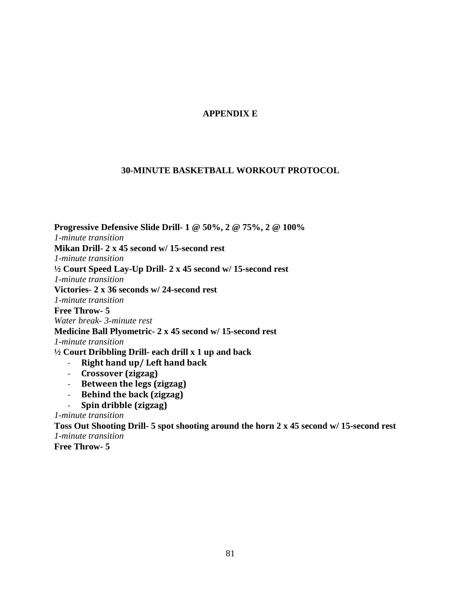# **APPENDIX E**

## **30-MINUTE BASKETBALL WORKOUT PROTOCOL**

**Progressive Defensive Slide Drill- 1 @ 50%, 2 @ 75%, 2 @ 100%** *1-minute transition* **Mikan Drill- 2 x 45 second w/ 15-second rest** *1-minute transition* **½ Court Speed Lay-Up Drill- 2 x 45 second w/ 15-second rest** *1-minute transition* **Victories- 2 x 36 seconds w/ 24-second rest** *1-minute transition* **Free Throw- 5** *Water break- 3-minute rest* **Medicine Ball Plyometric- 2 x 45 second w/ 15-second rest** *1-minute transition* **½ Court Dribbling Drill- each drill x 1 up and back** - **Right hand up/ Left hand back** - **Crossover (zigzag)**

- **Between the legs (zigzag)**
- **Behind the back (zigzag)**
- **Spin dribble (zigzag)**

*1-minute transition*

**Toss Out Shooting Drill- 5 spot shooting around the horn 2 x 45 second w/ 15-second rest** *1-minute transition* **Free Throw- 5**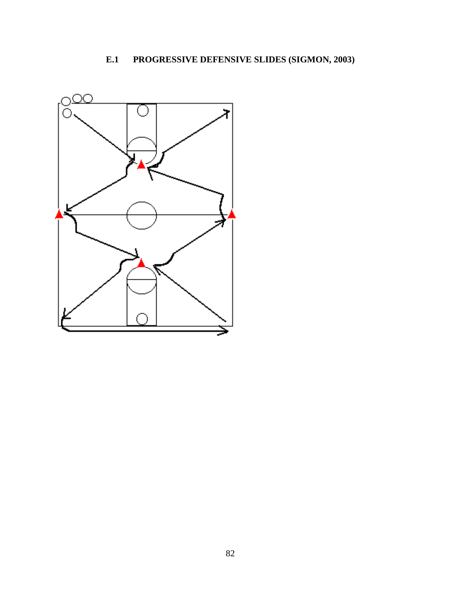# **E.1 PROGRESSIVE DEFENSIVE SLIDES (SIGMON, 2003)**

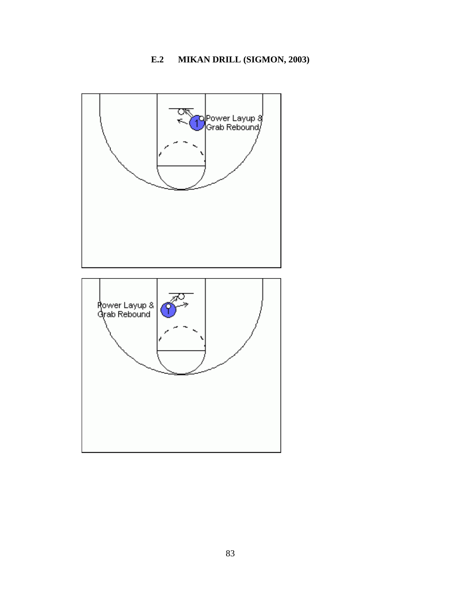# **E.2 MIKAN DRILL (SIGMON, 2003)**

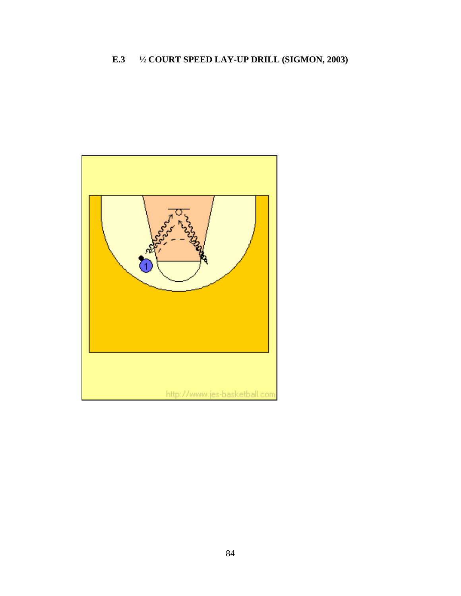# **E.3 ½ COURT SPEED LAY-UP DRILL (SIGMON, 2003)**

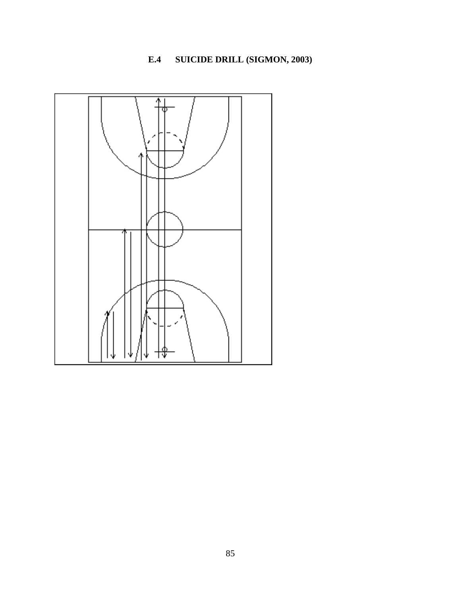# **E.4 SUICIDE DRILL (SIGMON, 2003)**

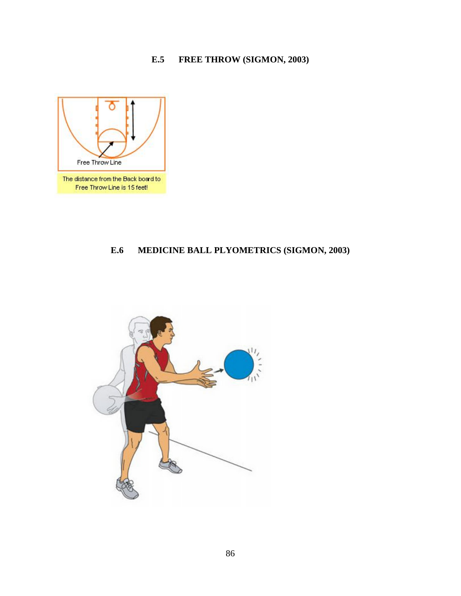# **E.5 FREE THROW (SIGMON, 2003)**



# **E.6 MEDICINE BALL PLYOMETRICS (SIGMON, 2003)**

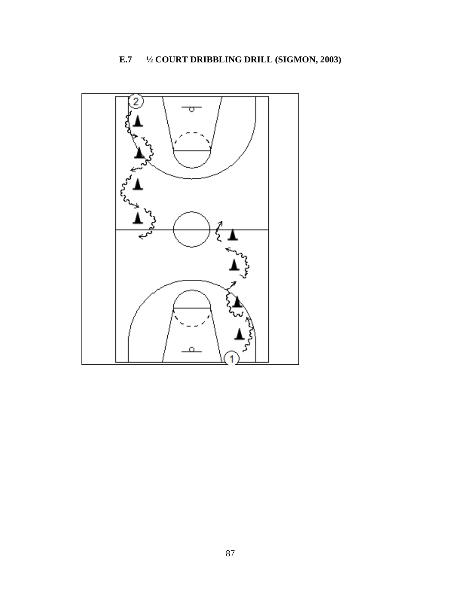# **E.7 ½ COURT DRIBBLING DRILL (SIGMON, 2003)**

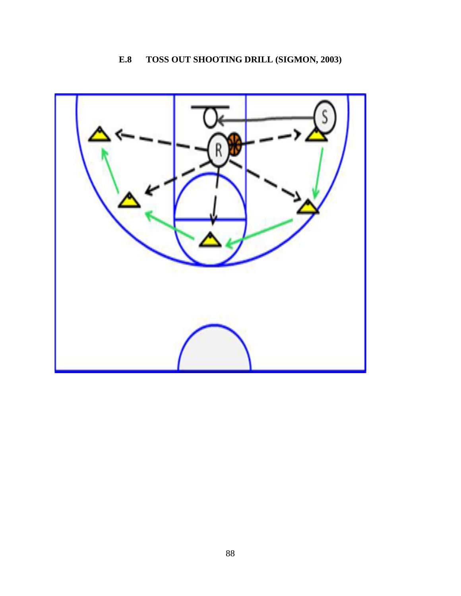# **E.8 TOSS OUT SHOOTING DRILL (SIGMON, 2003)**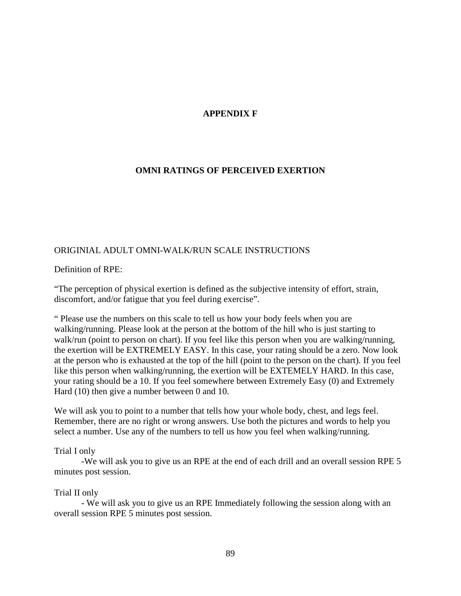# **APPENDIX F**

# **OMNI RATINGS OF PERCEIVED EXERTION**

## ORIGINIAL ADULT OMNI-WALK/RUN SCALE INSTRUCTIONS

Definition of RPE:

"The perception of physical exertion is defined as the subjective intensity of effort, strain, discomfort, and/or fatigue that you feel during exercise".

" Please use the numbers on this scale to tell us how your body feels when you are walking/running. Please look at the person at the bottom of the hill who is just starting to walk/run (point to person on chart). If you feel like this person when you are walking/running, the exertion will be EXTREMELY EASY. In this case, your rating should be a zero. Now look at the person who is exhausted at the top of the hill (point to the person on the chart). If you feel like this person when walking/running, the exertion will be EXTEMELY HARD. In this case, your rating should be a 10. If you feel somewhere between Extremely Easy (0) and Extremely Hard (10) then give a number between 0 and 10.

We will ask you to point to a number that tells how your whole body, chest, and legs feel. Remember, there are no right or wrong answers. Use both the pictures and words to help you select a number. Use any of the numbers to tell us how you feel when walking/running.

## Trial I only

-We will ask you to give us an RPE at the end of each drill and an overall session RPE 5 minutes post session.

## Trial II only

- We will ask you to give us an RPE Immediately following the session along with an overall session RPE 5 minutes post session.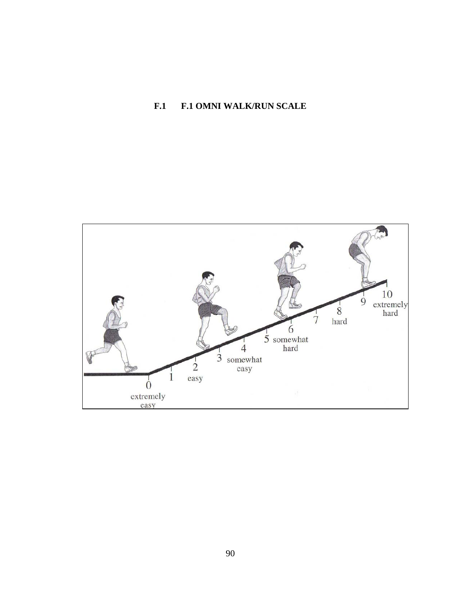# **F.1 F.1 OMNI WALK/RUN SCALE**

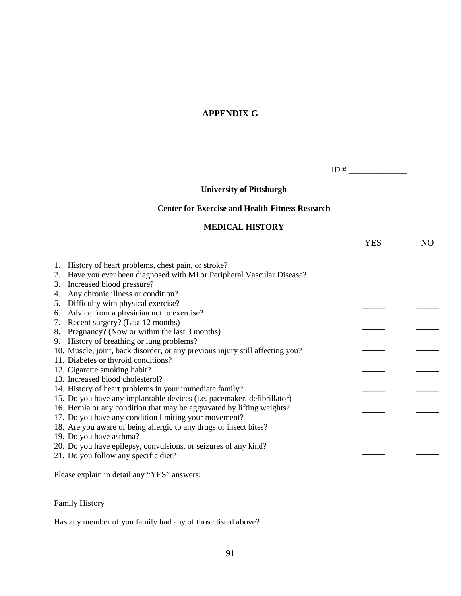# **APPENDIX G**

ID # \_\_\_\_\_\_\_\_\_\_\_\_\_\_

# **University of Pittsburgh**

## **Center for Exercise and Health-Fitness Research**

#### **MEDICAL HISTORY**

|                                  |                                                                               | YES | N <sub>O</sub> |
|----------------------------------|-------------------------------------------------------------------------------|-----|----------------|
| 1.                               | History of heart problems, chest pain, or stroke?                             |     |                |
| 2.                               | Have you ever been diagnosed with MI or Peripheral Vascular Disease?          |     |                |
| Increased blood pressure?<br>3.  |                                                                               |     |                |
| 4.                               | Any chronic illness or condition?                                             |     |                |
| 5.                               | Difficulty with physical exercise?                                            |     |                |
| 6.                               | Advice from a physician not to exercise?                                      |     |                |
| 7.                               | Recent surgery? (Last 12 months)                                              |     |                |
| 8.                               | Pregnancy? (Now or within the last 3 months)                                  |     |                |
|                                  | 9. History of breathing or lung problems?                                     |     |                |
|                                  | 10. Muscle, joint, back disorder, or any previous injury still affecting you? |     |                |
|                                  | 11. Diabetes or thyroid conditions?                                           |     |                |
| 12. Cigarette smoking habit?     |                                                                               |     |                |
| 13. Increased blood cholesterol? |                                                                               |     |                |
|                                  | 14. History of heart problems in your immediate family?                       |     |                |
|                                  | 15. Do you have any implantable devices (i.e. pacemaker, defibrillator)       |     |                |
|                                  | 16. Hernia or any condition that may be aggravated by lifting weights?        |     |                |
|                                  | 17. Do you have any condition limiting your movement?                         |     |                |
|                                  | 18. Are you aware of being allergic to any drugs or insect bites?             |     |                |
| 19. Do you have asthma?          |                                                                               |     |                |
|                                  | 20. Do you have epilepsy, convulsions, or seizures of any kind?               |     |                |
|                                  | 21. Do you follow any specific diet?                                          |     |                |
|                                  |                                                                               |     |                |
|                                  |                                                                               |     |                |

Please explain in detail any "YES" answers:

Family History

Has any member of you family had any of those listed above?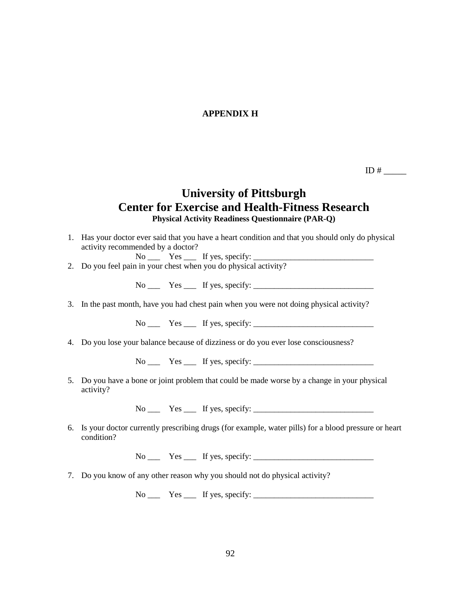## **APPENDIX H**

ID  $#$ 

# **University of Pittsburgh Center for Exercise and Health-Fitness Research Physical Activity Readiness Questionnaire (PAR-Q)**

1. Has your doctor ever said that you have a heart condition and that you should only do physical activity recommended by a doctor?  $No$   $\overline{\phantom{a}}$  Yes  $\overline{\phantom{a}}$  If yes, specify:  $\overline{\phantom{a}}$ 2. Do you feel pain in your chest when you do physical activity?

 $No \_\_\_\$  Yes  $\_\_\$  If yes, specify:  $\_\_\_\_\_\_\_\_\_\_\_\_\_\_\_$ 

3. In the past month, have you had chest pain when you were not doing physical activity?

 $N_0$   $Yes$  If yes, specify:

4. Do you lose your balance because of dizziness or do you ever lose consciousness?

No Yes If yes, specify:

5. Do you have a bone or joint problem that could be made worse by a change in your physical activity?

 $No \_\_\_\_$  Yes  $\_\_\_$  If yes, specify:  $\_\_\_\_\_\_\_\_\_\_\_\_\_$ 

6. Is your doctor currently prescribing drugs (for example, water pills) for a blood pressure or heart condition?

 $No \_\_\_\$  Yes  $\_\_\$  If yes, specify:  $\_\_\_\_\_\_\_\_\_\_\_\_\_\_\_$ 

7. Do you know of any other reason why you should not do physical activity?

 $No \_\_$  Yes  $\_\_$  If yes, specify:  $\_\_$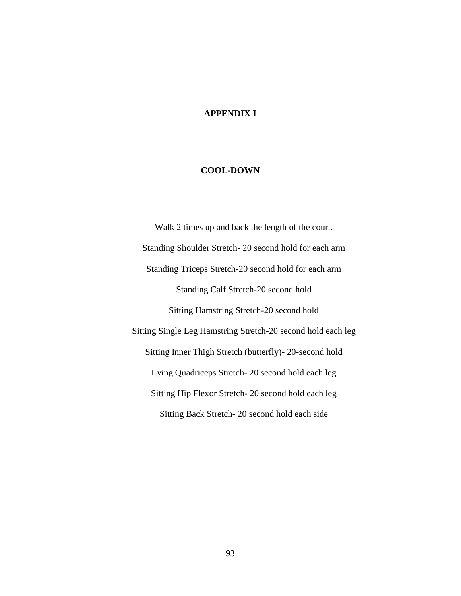# **APPENDIX I**

#### **COOL-DOWN**

Walk 2 times up and back the length of the court. Standing Shoulder Stretch- 20 second hold for each arm Standing Triceps Stretch-20 second hold for each arm Standing Calf Stretch-20 second hold Sitting Hamstring Stretch-20 second hold Sitting Single Leg Hamstring Stretch-20 second hold each leg Sitting Inner Thigh Stretch (butterfly)- 20-second hold Lying Quadriceps Stretch- 20 second hold each leg Sitting Hip Flexor Stretch- 20 second hold each leg Sitting Back Stretch- 20 second hold each side

93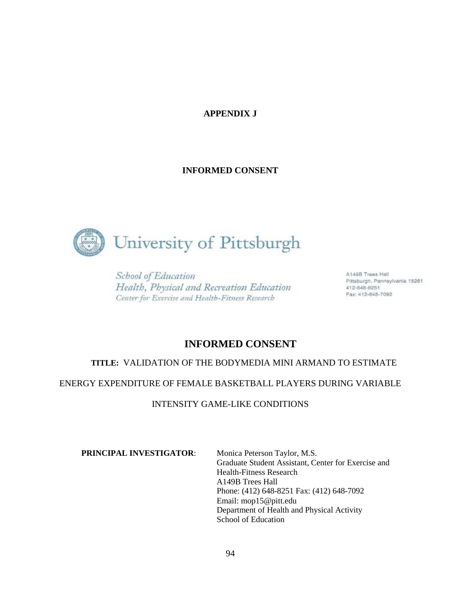# **APPENDIX J**

## **INFORMED CONSENT**



School of Education Health, Physical and Recreation Education Center for Exercise and Health-Fitness Research

A149B Trees Hall Pittsburgh, Pennsylvania 15261 412-648-8251 Fax: 412-648-7092

# **INFORMED CONSENT**

## **TITLE:** VALIDATION OF THE BODYMEDIA MINI ARMAND TO ESTIMATE

ENERGY EXPENDITURE OF FEMALE BASKETBALL PLAYERS DURING VARIABLE

INTENSITY GAME-LIKE CONDITIONS

**PRINCIPAL INVESTIGATOR:** Monica Peterson Taylor, M.S.

Graduate Student Assistant, Center for Exercise and Health-Fitness Research A149B Trees Hall Phone: (412) 648-8251 Fax: (412) 648-7092 Email: mop15@pitt.edu Department of Health and Physical Activity School of Education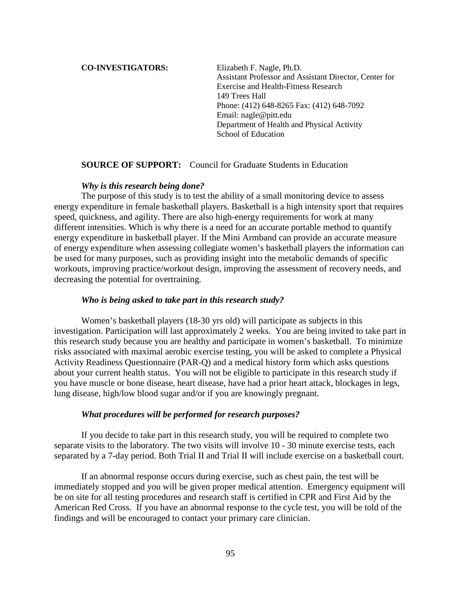#### **CO-INVESTIGATORS:** Elizabeth F. Nagle, Ph.D.

Assistant Professor and Assistant Director, Center for Exercise and Health-Fitness Research 149 Trees Hall Phone: (412) 648-8265 Fax: (412) 648-7092 Email: nagle@pitt.edu Department of Health and Physical Activity School of Education

#### **SOURCE OF SUPPORT:** Council for Graduate Students in Education

#### *Why is this research being done?*

The purpose of this study is to test the ability of a small monitoring device to assess energy expenditure in female basketball players. Basketball is a high intensity sport that requires speed, quickness, and agility. There are also high-energy requirements for work at many different intensities. Which is why there is a need for an accurate portable method to quantify energy expenditure in basketball player. If the Mini Armband can provide an accurate measure of energy expenditure when assessing collegiate women's basketball players the information can be used for many purposes, such as providing insight into the metabolic demands of specific workouts, improving practice/workout design, improving the assessment of recovery needs, and decreasing the potential for overtraining.

#### *Who is being asked to take part in this research study?*

Women's basketball players (18-30 yrs old) will participate as subjects in this investigation. Participation will last approximately 2 weeks. You are being invited to take part in this research study because you are healthy and participate in women's basketball. To minimize risks associated with maximal aerobic exercise testing, you will be asked to complete a Physical Activity Readiness Questionnaire (PAR-Q) and a medical history form which asks questions about your current health status. You will not be eligible to participate in this research study if you have muscle or bone disease, heart disease, have had a prior heart attack, blockages in legs, lung disease, high/low blood sugar and/or if you are knowingly pregnant.

#### *What procedures will be performed for research purposes?*

If you decide to take part in this research study, you will be required to complete two separate visits to the laboratory. The two visits will involve 10 - 30 minute exercise tests, each separated by a 7-day period. Both Trial II and Trial II will include exercise on a basketball court.

If an abnormal response occurs during exercise, such as chest pain, the test will be immediately stopped and you will be given proper medical attention. Emergency equipment will be on site for all testing procedures and research staff is certified in CPR and First Aid by the American Red Cross. If you have an abnormal response to the cycle test, you will be told of the findings and will be encouraged to contact your primary care clinician.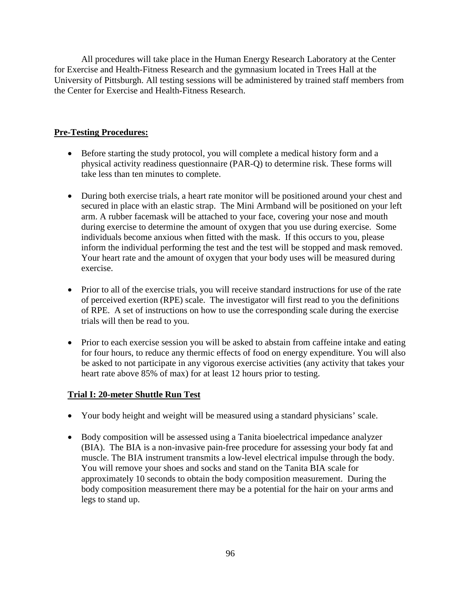All procedures will take place in the Human Energy Research Laboratory at the Center for Exercise and Health-Fitness Research and the gymnasium located in Trees Hall at the University of Pittsburgh. All testing sessions will be administered by trained staff members from the Center for Exercise and Health-Fitness Research.

# **Pre-Testing Procedures:**

- Before starting the study protocol, you will complete a medical history form and a physical activity readiness questionnaire (PAR-Q) to determine risk. These forms will take less than ten minutes to complete.
- During both exercise trials, a heart rate monitor will be positioned around your chest and secured in place with an elastic strap. The Mini Armband will be positioned on your left arm. A rubber facemask will be attached to your face, covering your nose and mouth during exercise to determine the amount of oxygen that you use during exercise. Some individuals become anxious when fitted with the mask. If this occurs to you, please inform the individual performing the test and the test will be stopped and mask removed. Your heart rate and the amount of oxygen that your body uses will be measured during exercise.
- Prior to all of the exercise trials, you will receive standard instructions for use of the rate of perceived exertion (RPE) scale. The investigator will first read to you the definitions of RPE. A set of instructions on how to use the corresponding scale during the exercise trials will then be read to you.
- Prior to each exercise session you will be asked to abstain from caffeine intake and eating for four hours, to reduce any thermic effects of food on energy expenditure. You will also be asked to not participate in any vigorous exercise activities (any activity that takes your heart rate above 85% of max) for at least 12 hours prior to testing.

# **Trial I: 20-meter Shuttle Run Test**

- Your body height and weight will be measured using a standard physicians' scale.
- Body composition will be assessed using a Tanita bioelectrical impedance analyzer (BIA). The BIA is a non-invasive pain-free procedure for assessing your body fat and muscle. The BIA instrument transmits a low-level electrical impulse through the body. You will remove your shoes and socks and stand on the Tanita BIA scale for approximately 10 seconds to obtain the body composition measurement. During the body composition measurement there may be a potential for the hair on your arms and legs to stand up.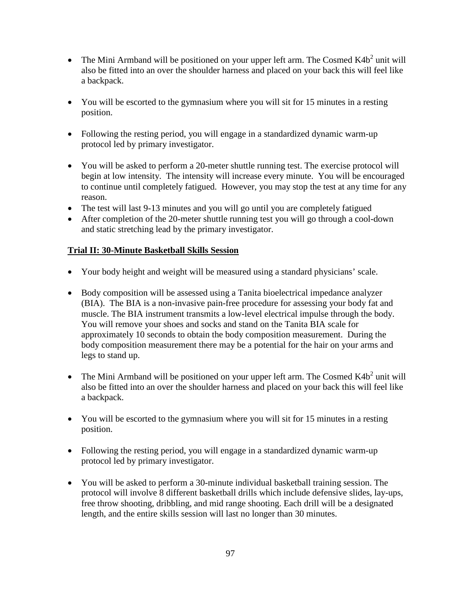- The Mini Armband will be positioned on your upper left arm. The Cosmed  $K4b<sup>2</sup>$  unit will also be fitted into an over the shoulder harness and placed on your back this will feel like a backpack.
- You will be escorted to the gymnasium where you will sit for 15 minutes in a resting position.
- Following the resting period, you will engage in a standardized dynamic warm-up protocol led by primary investigator.
- You will be asked to perform a 20-meter shuttle running test. The exercise protocol will begin at low intensity. The intensity will increase every minute. You will be encouraged to continue until completely fatigued. However, you may stop the test at any time for any reason.
- The test will last 9-13 minutes and you will go until you are completely fatigued
- After completion of the 20-meter shuttle running test you will go through a cool-down and static stretching lead by the primary investigator.

# **Trial II: 30-Minute Basketball Skills Session**

- Your body height and weight will be measured using a standard physicians' scale.
- Body composition will be assessed using a Tanita bioelectrical impedance analyzer (BIA). The BIA is a non-invasive pain-free procedure for assessing your body fat and muscle. The BIA instrument transmits a low-level electrical impulse through the body. You will remove your shoes and socks and stand on the Tanita BIA scale for approximately 10 seconds to obtain the body composition measurement. During the body composition measurement there may be a potential for the hair on your arms and legs to stand up.
- The Mini Armband will be positioned on your upper left arm. The Cosmed  $K4b<sup>2</sup>$  unit will also be fitted into an over the shoulder harness and placed on your back this will feel like a backpack.
- You will be escorted to the gymnasium where you will sit for 15 minutes in a resting position.
- Following the resting period, you will engage in a standardized dynamic warm-up protocol led by primary investigator.
- You will be asked to perform a 30-minute individual basketball training session. The protocol will involve 8 different basketball drills which include defensive slides, lay-ups, free throw shooting, dribbling, and mid range shooting. Each drill will be a designated length, and the entire skills session will last no longer than 30 minutes.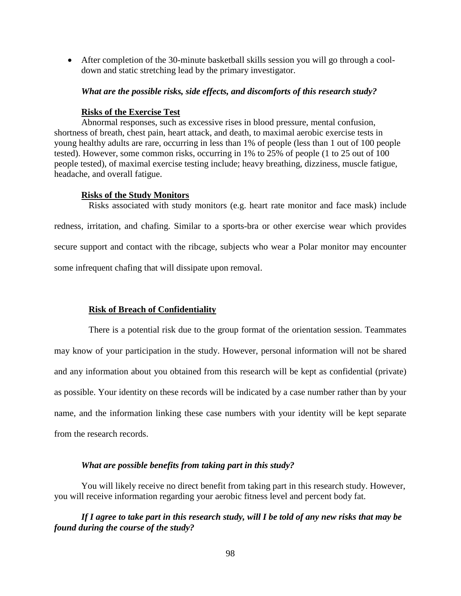• After completion of the 30-minute basketball skills session you will go through a cooldown and static stretching lead by the primary investigator.

#### *What are the possible risks, side effects, and discomforts of this research study?*

#### **Risks of the Exercise Test**

Abnormal responses, such as excessive rises in blood pressure, mental confusion, shortness of breath, chest pain, heart attack, and death, to maximal aerobic exercise tests in young healthy adults are rare, occurring in less than 1% of people (less than 1 out of 100 people tested). However, some common risks, occurring in 1% to 25% of people (1 to 25 out of 100 people tested), of maximal exercise testing include; heavy breathing, dizziness, muscle fatigue, headache, and overall fatigue.

#### **Risks of the Study Monitors**

Risks associated with study monitors (e.g. heart rate monitor and face mask) include redness, irritation, and chafing. Similar to a sports-bra or other exercise wear which provides secure support and contact with the ribcage, subjects who wear a Polar monitor may encounter some infrequent chafing that will dissipate upon removal.

#### **Risk of Breach of Confidentiality**

There is a potential risk due to the group format of the orientation session. Teammates may know of your participation in the study. However, personal information will not be shared and any information about you obtained from this research will be kept as confidential (private) as possible. Your identity on these records will be indicated by a case number rather than by your name, and the information linking these case numbers with your identity will be kept separate from the research records.

#### *What are possible benefits from taking part in this study?*

You will likely receive no direct benefit from taking part in this research study. However, you will receive information regarding your aerobic fitness level and percent body fat.

### *If I agree to take part in this research study, will I be told of any new risks that may be found during the course of the study?*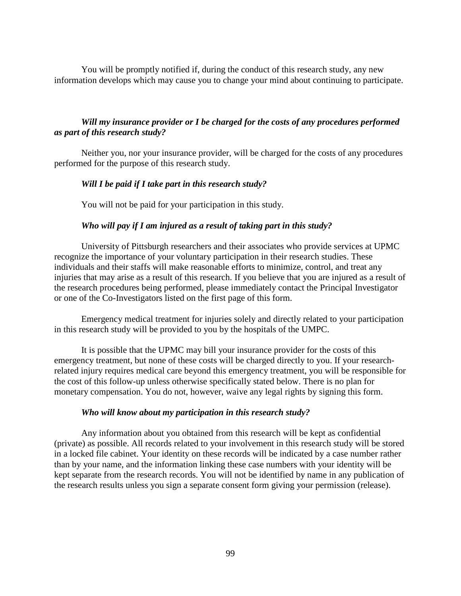You will be promptly notified if, during the conduct of this research study, any new information develops which may cause you to change your mind about continuing to participate.

### *Will my insurance provider or I be charged for the costs of any procedures performed as part of this research study?*

Neither you, nor your insurance provider, will be charged for the costs of any procedures performed for the purpose of this research study.

#### *Will I be paid if I take part in this research study?*

You will not be paid for your participation in this study.

#### *Who will pay if I am injured as a result of taking part in this study?*

University of Pittsburgh researchers and their associates who provide services at UPMC recognize the importance of your voluntary participation in their research studies. These individuals and their staffs will make reasonable efforts to minimize, control, and treat any injuries that may arise as a result of this research. If you believe that you are injured as a result of the research procedures being performed, please immediately contact the Principal Investigator or one of the Co-Investigators listed on the first page of this form.

Emergency medical treatment for injuries solely and directly related to your participation in this research study will be provided to you by the hospitals of the UMPC.

It is possible that the UPMC may bill your insurance provider for the costs of this emergency treatment, but none of these costs will be charged directly to you. If your researchrelated injury requires medical care beyond this emergency treatment, you will be responsible for the cost of this follow-up unless otherwise specifically stated below. There is no plan for monetary compensation. You do not, however, waive any legal rights by signing this form.

#### *Who will know about my participation in this research study?*

Any information about you obtained from this research will be kept as confidential (private) as possible. All records related to your involvement in this research study will be stored in a locked file cabinet. Your identity on these records will be indicated by a case number rather than by your name, and the information linking these case numbers with your identity will be kept separate from the research records. You will not be identified by name in any publication of the research results unless you sign a separate consent form giving your permission (release).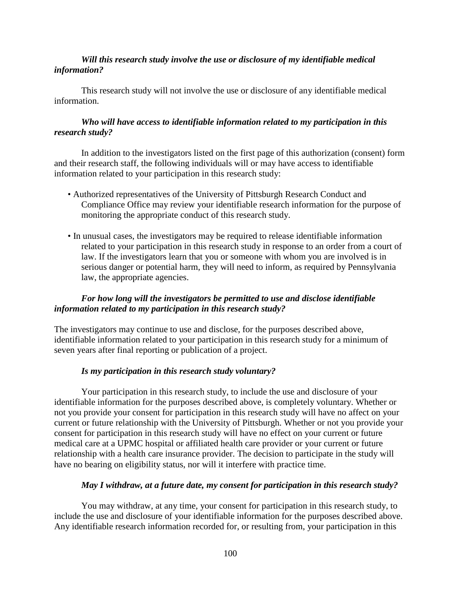### *Will this research study involve the use or disclosure of my identifiable medical information?*

This research study will not involve the use or disclosure of any identifiable medical information.

## *Who will have access to identifiable information related to my participation in this research study?*

In addition to the investigators listed on the first page of this authorization (consent) form and their research staff, the following individuals will or may have access to identifiable information related to your participation in this research study:

- Authorized representatives of the University of Pittsburgh Research Conduct and Compliance Office may review your identifiable research information for the purpose of monitoring the appropriate conduct of this research study.
- In unusual cases, the investigators may be required to release identifiable information related to your participation in this research study in response to an order from a court of law. If the investigators learn that you or someone with whom you are involved is in serious danger or potential harm, they will need to inform, as required by Pennsylvania law, the appropriate agencies.

# *For how long will the investigators be permitted to use and disclose identifiable information related to my participation in this research study?*

The investigators may continue to use and disclose, for the purposes described above, identifiable information related to your participation in this research study for a minimum of seven years after final reporting or publication of a project.

# *Is my participation in this research study voluntary?*

Your participation in this research study, to include the use and disclosure of your identifiable information for the purposes described above, is completely voluntary. Whether or not you provide your consent for participation in this research study will have no affect on your current or future relationship with the University of Pittsburgh. Whether or not you provide your consent for participation in this research study will have no effect on your current or future medical care at a UPMC hospital or affiliated health care provider or your current or future relationship with a health care insurance provider. The decision to participate in the study will have no bearing on eligibility status, nor will it interfere with practice time.

#### *May I withdraw, at a future date, my consent for participation in this research study?*

You may withdraw, at any time, your consent for participation in this research study, to include the use and disclosure of your identifiable information for the purposes described above. Any identifiable research information recorded for, or resulting from, your participation in this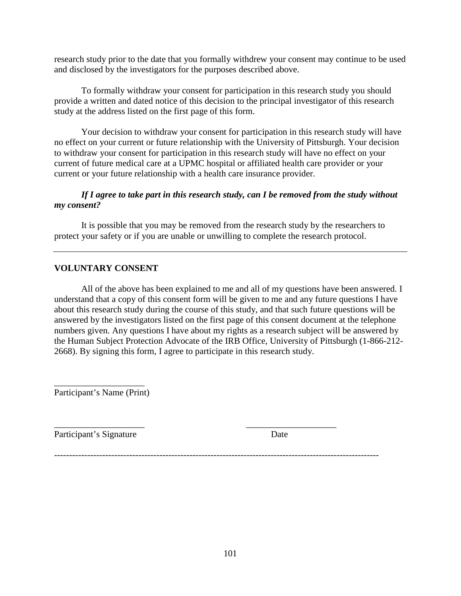research study prior to the date that you formally withdrew your consent may continue to be used and disclosed by the investigators for the purposes described above.

To formally withdraw your consent for participation in this research study you should provide a written and dated notice of this decision to the principal investigator of this research study at the address listed on the first page of this form.

Your decision to withdraw your consent for participation in this research study will have no effect on your current or future relationship with the University of Pittsburgh. Your decision to withdraw your consent for participation in this research study will have no effect on your current of future medical care at a UPMC hospital or affiliated health care provider or your current or your future relationship with a health care insurance provider.

### *If I agree to take part in this research study, can I be removed from the study without my consent?*

It is possible that you may be removed from the research study by the researchers to protect your safety or if you are unable or unwilling to complete the research protocol.

# **VOLUNTARY CONSENT**

All of the above has been explained to me and all of my questions have been answered. I understand that a copy of this consent form will be given to me and any future questions I have about this research study during the course of this study, and that such future questions will be answered by the investigators listed on the first page of this consent document at the telephone numbers given. Any questions I have about my rights as a research subject will be answered by the Human Subject Protection Advocate of the IRB Office, University of Pittsburgh (1-866-212- 2668). By signing this form, I agree to participate in this research study.

\_\_\_\_\_\_\_\_\_\_\_\_\_\_\_\_\_\_\_\_ Participant's Name (Print)

\_\_\_\_\_\_\_\_\_\_\_\_\_\_\_\_\_\_\_\_ \_\_\_\_\_\_\_\_\_\_\_\_\_\_\_\_\_\_\_\_ Participant's Signature Date

------------------------------------------------------------------------------------------------------------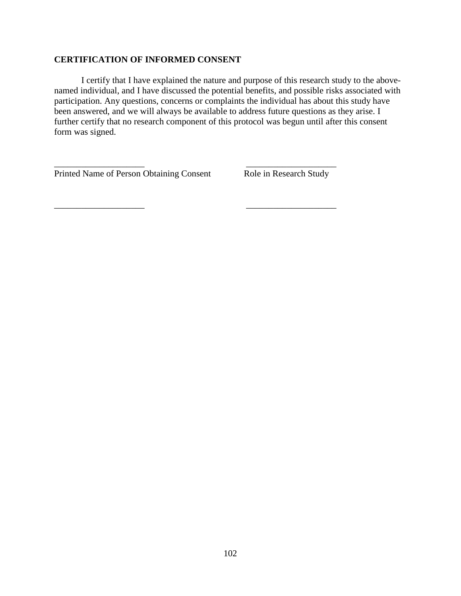### **CERTIFICATION OF INFORMED CONSENT**

I certify that I have explained the nature and purpose of this research study to the abovenamed individual, and I have discussed the potential benefits, and possible risks associated with participation. Any questions, concerns or complaints the individual has about this study have been answered, and we will always be available to address future questions as they arise. I further certify that no research component of this protocol was begun until after this consent form was signed.

\_\_\_\_\_\_\_\_\_\_\_\_\_\_\_\_\_\_\_\_ \_\_\_\_\_\_\_\_\_\_\_\_\_\_\_\_\_\_\_\_

Printed Name of Person Obtaining Consent Role in Research Study

\_\_\_\_\_\_\_\_\_\_\_\_\_\_\_\_\_\_\_\_ \_\_\_\_\_\_\_\_\_\_\_\_\_\_\_\_\_\_\_\_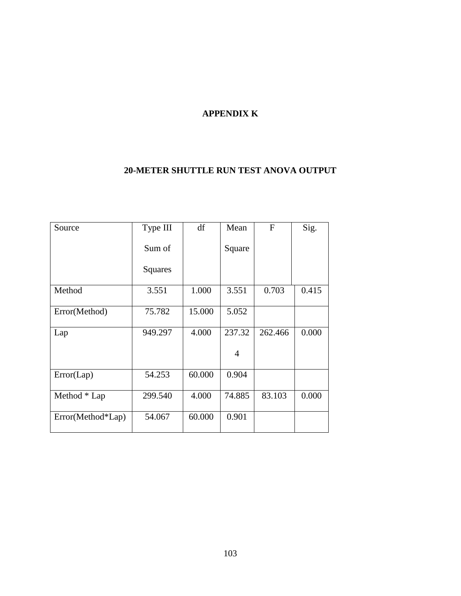# **APPENDIX K**

# **20-METER SHUTTLE RUN TEST ANOVA OUTPUT**

| Source            | Type III       | df     | Mean           | $\mathbf F$ | Sig.  |
|-------------------|----------------|--------|----------------|-------------|-------|
|                   | Sum of         |        | Square         |             |       |
|                   | <b>Squares</b> |        |                |             |       |
| Method            | 3.551          | 1.000  | 3.551          | 0.703       | 0.415 |
| Error(Method)     | 75.782         | 15.000 | 5.052          |             |       |
| Lap               | 949.297        | 4.000  | 237.32         | 262.466     | 0.000 |
|                   |                |        | $\overline{4}$ |             |       |
| Error(Lap)        | 54.253         | 60.000 | 0.904          |             |       |
| Method * Lap      | 299.540        | 4.000  | 74.885         | 83.103      | 0.000 |
| Error(Method*Lap) | 54.067         | 60.000 | 0.901          |             |       |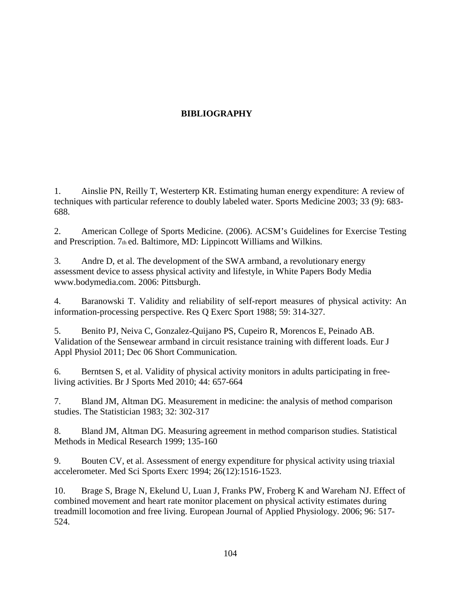# **BIBLIOGRAPHY**

1. Ainslie PN, Reilly T, Westerterp KR. Estimating human energy expenditure: A review of techniques with particular reference to doubly labeled water. Sports Medicine 2003; 33 (9): 683- 688.

2. American College of Sports Medicine. (2006). ACSM's Guidelines for Exercise Testing and Prescription. 7th ed. Baltimore, MD: Lippincott Williams and Wilkins.

3. Andre D, et al. The development of the SWA armband, a revolutionary energy assessment device to assess physical activity and lifestyle, in White Papers Body Media www.bodymedia.com. 2006: Pittsburgh.

4. Baranowski T. Validity and reliability of self-report measures of physical activity: An information-processing perspective. Res Q Exerc Sport 1988; 59: 314-327.

5. Benito PJ, Neiva C, Gonzalez-Quijano PS, Cupeiro R, Morencos E, Peinado AB. Validation of the Sensewear armband in circuit resistance training with different loads. Eur J Appl Physiol 2011; Dec 06 Short Communication.

6. Berntsen S, et al. Validity of physical activity monitors in adults participating in freeliving activities. Br J Sports Med 2010; 44: 657-664

7. Bland JM, Altman DG. Measurement in medicine: the analysis of method comparison studies. The Statistician 1983; 32: 302-317

8. Bland JM, Altman DG. Measuring agreement in method comparison studies. Statistical Methods in Medical Research 1999; 135-160

9. Bouten CV, et al. Assessment of energy expenditure for physical activity using triaxial accelerometer. Med Sci Sports Exerc 1994; 26(12):1516-1523.

10. Brage S, Brage N, Ekelund U, Luan J, Franks PW, Froberg K and Wareham NJ. Effect of combined movement and heart rate monitor placement on physical activity estimates during treadmill locomotion and free living. European Journal of Applied Physiology. 2006; 96: 517- 524.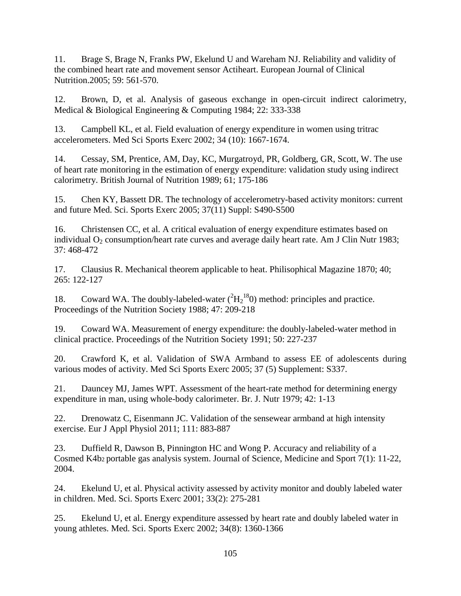11. Brage S, Brage N, Franks PW, Ekelund U and Wareham NJ. Reliability and validity of the combined heart rate and movement sensor Actiheart. European Journal of Clinical Nutrition.2005; 59: 561-570.

12. Brown, D, et al. Analysis of gaseous exchange in open-circuit indirect calorimetry, Medical & Biological Engineering & Computing 1984; 22: 333-338

13. Campbell KL, et al. Field evaluation of energy expenditure in women using tritrac accelerometers. Med Sci Sports Exerc 2002; 34 (10): 1667-1674.

14. Cessay, SM, Prentice, AM, Day, KC, Murgatroyd, PR, Goldberg, GR, Scott, W. The use of heart rate monitoring in the estimation of energy expenditure: validation study using indirect calorimetry. British Journal of Nutrition 1989; 61; 175-186

15. Chen KY, Bassett DR. The technology of accelerometry-based activity monitors: current and future Med. Sci. Sports Exerc 2005; 37(11) Suppl: S490-S500

16. Christensen CC, et al. A critical evaluation of energy expenditure estimates based on individual  $O_2$  consumption/heart rate curves and average daily heart rate. Am J Clin Nutr 1983; 37: 468-472

17. Clausius R. Mechanical theorem applicable to heat. Philisophical Magazine 1870; 40; 265: 122-127

18. Coward WA. The doubly-labeled-water  $(^{2}H_{2}^{18}0)$  method: principles and practice. Proceedings of the Nutrition Society 1988; 47: 209-218

19. Coward WA. Measurement of energy expenditure: the doubly-labeled-water method in clinical practice. Proceedings of the Nutrition Society 1991; 50: 227-237

20. Crawford K, et al. Validation of SWA Armband to assess EE of adolescents during various modes of activity. Med Sci Sports Exerc 2005; 37 (5) Supplement: S337.

21. Dauncey MJ, James WPT. Assessment of the heart-rate method for determining energy expenditure in man, using whole-body calorimeter. Br. J. Nutr 1979; 42: 1-13

22. Drenowatz C, Eisenmann JC. Validation of the sensewear armband at high intensity exercise. Eur J Appl Physiol 2011; 111: 883-887

23. Duffield R, Dawson B, Pinnington HC and Wong P. Accuracy and reliability of a Cosmed K4b2 portable gas analysis system. Journal of Science, Medicine and Sport 7(1): 11-22, 2004.

24. Ekelund U, et al. Physical activity assessed by activity monitor and doubly labeled water in children. Med. Sci. Sports Exerc 2001; 33(2): 275-281

25. Ekelund U, et al. Energy expenditure assessed by heart rate and doubly labeled water in young athletes. Med. Sci. Sports Exerc 2002; 34(8): 1360-1366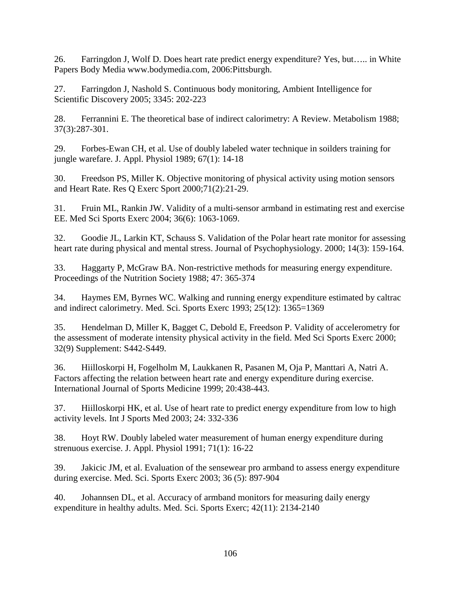26. Farringdon J, Wolf D. Does heart rate predict energy expenditure? Yes, but….. in White Papers Body Media www.bodymedia.com, 2006:Pittsburgh.

27. Farringdon J, Nashold S. Continuous body monitoring, Ambient Intelligence for Scientific Discovery 2005; 3345: 202-223

28. Ferrannini E. The theoretical base of indirect calorimetry: A Review. Metabolism 1988; 37(3):287-301.

29. Forbes-Ewan CH, et al. Use of doubly labeled water technique in soilders training for jungle warefare. J. Appl. Physiol 1989; 67(1): 14-18

30. Freedson PS, Miller K. Objective monitoring of physical activity using motion sensors and Heart Rate. Res Q Exerc Sport 2000;71(2):21-29.

31. Fruin ML, Rankin JW. Validity of a multi-sensor armband in estimating rest and exercise EE. Med Sci Sports Exerc 2004; 36(6): 1063-1069.

32. Goodie JL, Larkin KT, Schauss S. Validation of the Polar heart rate monitor for assessing heart rate during physical and mental stress. Journal of Psychophysiology. 2000; 14(3): 159-164.

33. Haggarty P, McGraw BA. Non-restrictive methods for measuring energy expenditure. Proceedings of the Nutrition Society 1988; 47: 365-374

34. Haymes EM, Byrnes WC. Walking and running energy expenditure estimated by caltrac and indirect calorimetry. Med. Sci. Sports Exerc 1993; 25(12): 1365=1369

35. Hendelman D, Miller K, Bagget C, Debold E, Freedson P. Validity of accelerometry for the assessment of moderate intensity physical activity in the field. Med Sci Sports Exerc 2000; 32(9) Supplement: S442-S449.

36. Hiilloskorpi H, Fogelholm M, Laukkanen R, Pasanen M, Oja P, Manttari A, Natri A. Factors affecting the relation between heart rate and energy expenditure during exercise. International Journal of Sports Medicine 1999; 20:438-443.

37. Hiilloskorpi HK, et al. Use of heart rate to predict energy expenditure from low to high activity levels. Int J Sports Med 2003; 24: 332-336

38. Hoyt RW. Doubly labeled water measurement of human energy expenditure during strenuous exercise. J. Appl. Physiol 1991; 71(1): 16-22

39. Jakicic JM, et al. Evaluation of the sensewear pro armband to assess energy expenditure during exercise. Med. Sci. Sports Exerc 2003; 36 (5): 897-904

40. Johannsen DL, et al. Accuracy of armband monitors for measuring daily energy expenditure in healthy adults. Med. Sci. Sports Exerc; 42(11): 2134-2140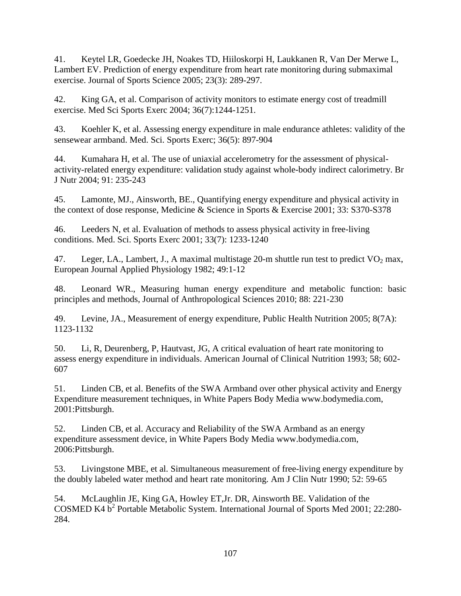41. Keytel LR, Goedecke JH, Noakes TD, Hiiloskorpi H, Laukkanen R, Van Der Merwe L, Lambert EV. Prediction of energy expenditure from heart rate monitoring during submaximal exercise. Journal of Sports Science 2005; 23(3): 289-297.

42. King GA, et al. Comparison of activity monitors to estimate energy cost of treadmill exercise. Med Sci Sports Exerc 2004; 36(7):1244-1251.

43. Koehler K, et al. Assessing energy expenditure in male endurance athletes: validity of the sensewear armband. Med. Sci. Sports Exerc; 36(5): 897-904

44. Kumahara H, et al. The use of uniaxial accelerometry for the assessment of physicalactivity-related energy expenditure: validation study against whole-body indirect calorimetry. Br J Nutr 2004; 91: 235-243

45. Lamonte, MJ., Ainsworth, BE., Quantifying energy expenditure and physical activity in the context of dose response, Medicine & Science in Sports & Exercise 2001; 33: S370-S378

46. Leeders N, et al. Evaluation of methods to assess physical activity in free-living conditions. Med. Sci. Sports Exerc 2001; 33(7): 1233-1240

47. Leger, LA., Lambert, J., A maximal multistage 20-m shuttle run test to predict  $VO<sub>2</sub>$  max, European Journal Applied Physiology 1982; 49:1-12

48. Leonard WR., Measuring human energy expenditure and metabolic function: basic principles and methods, Journal of Anthropological Sciences 2010; 88: 221-230

49. Levine, JA., Measurement of energy expenditure, Public Health Nutrition 2005; 8(7A): 1123-1132

50. Li, R, Deurenberg, P, Hautvast, JG, A critical evaluation of heart rate monitoring to assess energy expenditure in individuals. American Journal of Clinical Nutrition 1993; 58; 602- 607

51. Linden CB, et al. Benefits of the SWA Armband over other physical activity and Energy Expenditure measurement techniques, in White Papers Body Media www.bodymedia.com, 2001:Pittsburgh.

52. Linden CB, et al. Accuracy and Reliability of the SWA Armband as an energy expenditure assessment device, in White Papers Body Media www.bodymedia.com, 2006:Pittsburgh.

53. Livingstone MBE, et al. Simultaneous measurement of free-living energy expenditure by the doubly labeled water method and heart rate monitoring. Am J Clin Nutr 1990; 52: 59-65

54. McLaughlin JE, King GA, Howley ET,Jr. DR, Ainsworth BE. Validation of the COSMED K4 b<sup>2</sup> Portable Metabolic System. International Journal of Sports Med 2001; 22:280-284.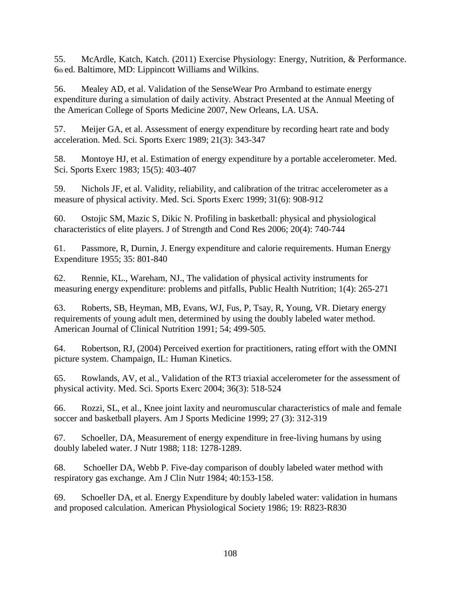55. McArdle, Katch, Katch. (2011) Exercise Physiology: Energy, Nutrition, & Performance. 6th ed. Baltimore, MD: Lippincott Williams and Wilkins.

56. Mealey AD, et al. Validation of the SenseWear Pro Armband to estimate energy expenditure during a simulation of daily activity. Abstract Presented at the Annual Meeting of the American College of Sports Medicine 2007, New Orleans, LA. USA.

57. Meijer GA, et al. Assessment of energy expenditure by recording heart rate and body acceleration. Med. Sci. Sports Exerc 1989; 21(3): 343-347

58. Montoye HJ, et al. Estimation of energy expenditure by a portable accelerometer. Med. Sci. Sports Exerc 1983; 15(5): 403-407

59. Nichols JF, et al. Validity, reliability, and calibration of the tritrac accelerometer as a measure of physical activity. Med. Sci. Sports Exerc 1999; 31(6): 908-912

60. Ostojic SM, Mazic S, Dikic N. Profiling in basketball: physical and physiological characteristics of elite players. J of Strength and Cond Res 2006; 20(4): 740-744

61. Passmore, R, Durnin, J. Energy expenditure and calorie requirements. Human Energy Expenditure 1955; 35: 801-840

62. Rennie, KL., Wareham, NJ., The validation of physical activity instruments for measuring energy expenditure: problems and pitfalls, Public Health Nutrition; 1(4): 265-271

63. Roberts, SB, Heyman, MB, Evans, WJ, Fus, P, Tsay, R, Young, VR. Dietary energy requirements of young adult men, determined by using the doubly labeled water method. American Journal of Clinical Nutrition 1991; 54; 499-505.

64. Robertson, RJ, (2004) Perceived exertion for practitioners, rating effort with the OMNI picture system. Champaign, IL: Human Kinetics.

65. Rowlands, AV, et al., Validation of the RT3 triaxial accelerometer for the assessment of physical activity. Med. Sci. Sports Exerc 2004; 36(3): 518-524

66. Rozzi, SL, et al., Knee joint laxity and neuromuscular characteristics of male and female soccer and basketball players. Am J Sports Medicine 1999; 27 (3): 312-319

67. Schoeller, DA, Measurement of energy expenditure in free-living humans by using doubly labeled water. J Nutr 1988; 118: 1278-1289.

68. Schoeller DA, Webb P. Five-day comparison of doubly labeled water method with respiratory gas exchange. Am J Clin Nutr 1984; 40:153-158.

69. Schoeller DA, et al. Energy Expenditure by doubly labeled water: validation in humans and proposed calculation. American Physiological Society 1986; 19: R823-R830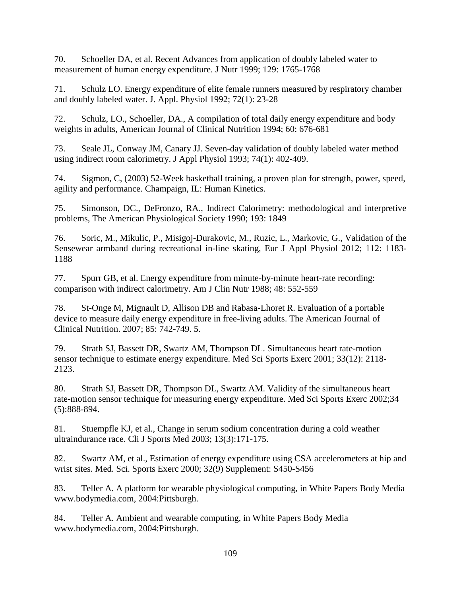70. Schoeller DA, et al. Recent Advances from application of doubly labeled water to measurement of human energy expenditure. J Nutr 1999; 129: 1765-1768

71. Schulz LO. Energy expenditure of elite female runners measured by respiratory chamber and doubly labeled water. J. Appl. Physiol 1992; 72(1): 23-28

72. Schulz, LO., Schoeller, DA., A compilation of total daily energy expenditure and body weights in adults, American Journal of Clinical Nutrition 1994; 60: 676-681

73. Seale JL, Conway JM, Canary JJ. Seven-day validation of doubly labeled water method using indirect room calorimetry. J Appl Physiol 1993; 74(1): 402-409.

74. Sigmon, C, (2003) 52-Week basketball training, a proven plan for strength, power, speed, agility and performance. Champaign, IL: Human Kinetics.

75. Simonson, DC., DeFronzo, RA., Indirect Calorimetry: methodological and interpretive problems, The American Physiological Society 1990; 193: 1849

76. Soric, M., Mikulic, P., Misigoj-Durakovic, M., Ruzic, L., Markovic, G., Validation of the Sensewear armband during recreational in-line skating, Eur J Appl Physiol 2012; 112: 1183- 1188

77. Spurr GB, et al. Energy expenditure from minute-by-minute heart-rate recording: comparison with indirect calorimetry. Am J Clin Nutr 1988; 48: 552-559

78. St-Onge M, Mignault D, Allison DB and Rabasa-Lhoret R. Evaluation of a portable device to measure daily energy expenditure in free-living adults. The American Journal of Clinical Nutrition. 2007; 85: 742-749. 5.

79. Strath SJ, Bassett DR, Swartz AM, Thompson DL. Simultaneous heart rate-motion sensor technique to estimate energy expenditure. Med Sci Sports Exerc 2001; 33(12): 2118- 2123.

80. Strath SJ, Bassett DR, Thompson DL, Swartz AM. Validity of the simultaneous heart rate-motion sensor technique for measuring energy expenditure. Med Sci Sports Exerc 2002;34 (5):888-894.

81. Stuempfle KJ, et al., Change in serum sodium concentration during a cold weather ultraindurance race. Cli J Sports Med 2003; 13(3):171-175.

82. Swartz AM, et al., Estimation of energy expenditure using CSA accelerometers at hip and wrist sites. Med. Sci. Sports Exerc 2000; 32(9) Supplement: S450-S456

83. Teller A. A platform for wearable physiological computing, in White Papers Body Media www.bodymedia.com, 2004:Pittsburgh.

84. Teller A. Ambient and wearable computing, in White Papers Body Media www.bodymedia.com, 2004:Pittsburgh.